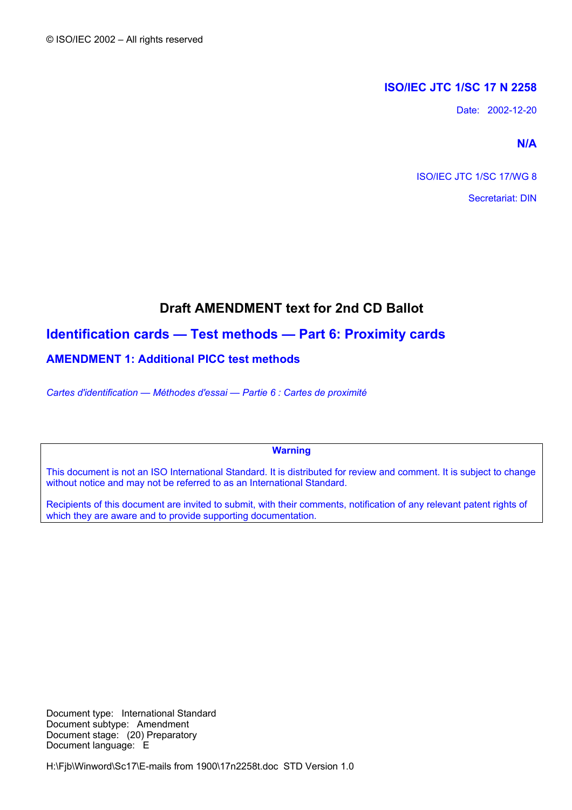## **ISO/IEC JTC 1/SC 17 N 2258**

Date: 2002-12-20

**N/A** 

ISO/IEC JTC 1/SC 17/WG 8

Secretariat: DIN

# **Draft AMENDMENT text for 2nd CD Ballot**

# **Identification cards — Test methods — Part 6: Proximity cards**

## **AMENDMENT 1: Additional PICC test methods**

*Cartes d'identification — Méthodes d'essai — Partie 6 : Cartes de proximité* 

**Warning** 

This document is not an ISO International Standard. It is distributed for review and comment. It is subject to change without notice and may not be referred to as an International Standard.

Recipients of this document are invited to submit, with their comments, notification of any relevant patent rights of which they are aware and to provide supporting documentation.

Document type: International Standard Document subtype: Amendment Document stage: (20) Preparatory Document language: E

H:\Fjb\Winword\Sc17\E-mails from 1900\17n2258t.doc STD Version 1.0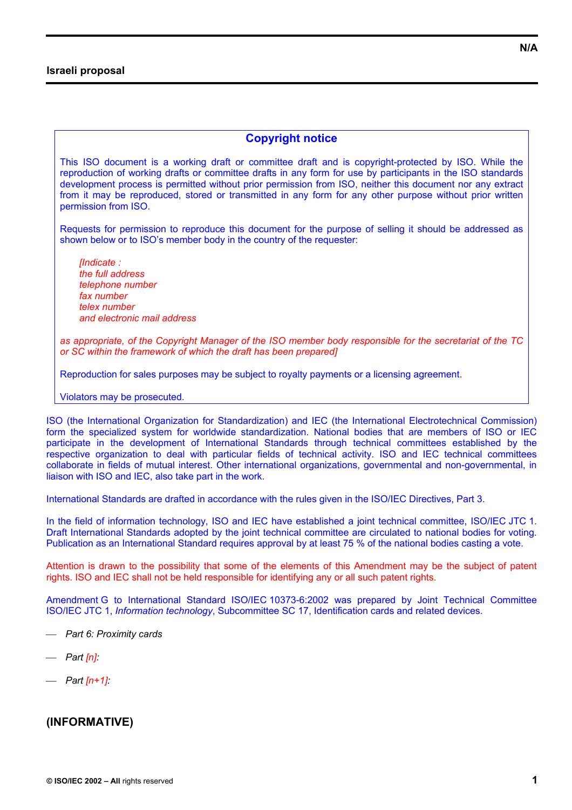### **Israeli proposal**

## **Copyright notice**

This ISO document is a working draft or committee draft and is copyright-protected by ISO. While the reproduction of working drafts or committee drafts in any form for use by participants in the ISO standards development process is permitted without prior permission from ISO, neither this document nor any extract from it may be reproduced, stored or transmitted in any form for any other purpose without prior written permission from ISO.

Requests for permission to reproduce this document for the purpose of selling it should be addressed as shown below or to ISO's member body in the country of the requester:

*[Indicate : the full address telephone number fax number telex number and electronic mail address* 

*as appropriate, of the Copyright Manager of the ISO member body responsible for the secretariat of the TC or SC within the framework of which the draft has been prepared]* 

Reproduction for sales purposes may be subject to royalty payments or a licensing agreement.

Violators may be prosecuted.

ISO (the International Organization for Standardization) and IEC (the International Electrotechnical Commission) form the specialized system for worldwide standardization. National bodies that are members of ISO or IEC participate in the development of International Standards through technical committees established by the respective organization to deal with particular fields of technical activity. ISO and IEC technical committees collaborate in fields of mutual interest. Other international organizations, governmental and non-governmental, in liaison with ISO and IEC, also take part in the work.

International Standards are drafted in accordance with the rules given in the ISO/IEC Directives, Part 3.

In the field of information technology, ISO and IEC have established a joint technical committee, ISO/IEC JTC 1. Draft International Standards adopted by the joint technical committee are circulated to national bodies for voting. Publication as an International Standard requires approval by at least 75 % of the national bodies casting a vote.

Attention is drawn to the possibility that some of the elements of this Amendment may be the subject of patent rights. ISO and IEC shall not be held responsible for identifying any or all such patent rights.

Amendment G to International Standard ISO/IEC 10373-6:2002 was prepared by Joint Technical Committee ISO/IEC JTC 1, *Information technology*, Subcommittee SC 17, Identification cards and related devices.

- *Part 6: Proximity cards*
- *Part [n]:*
- *Part [n+1]:*

## **(INFORMATIVE)**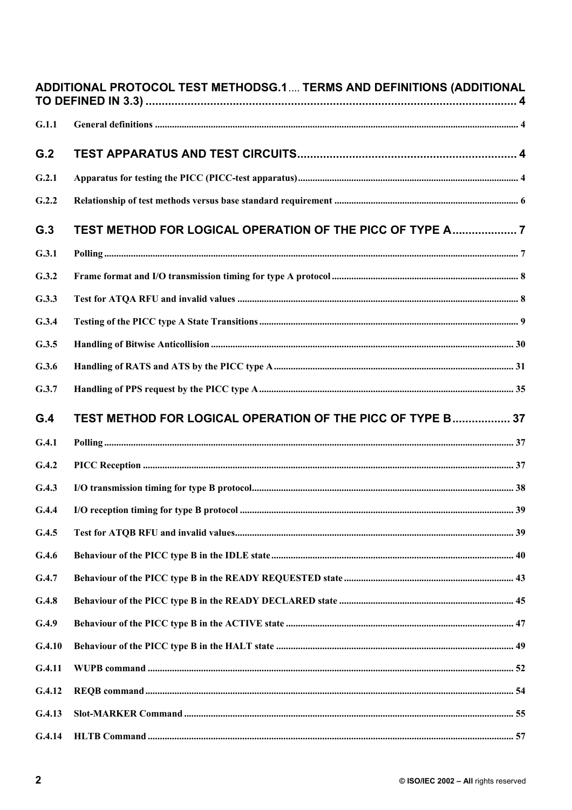|        | ADDITIONAL PROTOCOL TEST METHODSG.1 TERMS AND DEFINITIONS (ADDITIONAL |  |
|--------|-----------------------------------------------------------------------|--|
| G.1.1  |                                                                       |  |
| G.2    |                                                                       |  |
| G.2.1  |                                                                       |  |
| G.2.2  |                                                                       |  |
| G.3    | TEST METHOD FOR LOGICAL OPERATION OF THE PICC OF TYPE A7              |  |
| G.3.1  |                                                                       |  |
| G.3.2  |                                                                       |  |
| G.3.3  |                                                                       |  |
| G.3.4  |                                                                       |  |
| G.3.5  |                                                                       |  |
| G.3.6  |                                                                       |  |
| G.3.7  |                                                                       |  |
| G.4    | TEST METHOD FOR LOGICAL OPERATION OF THE PICC OF TYPE B 37            |  |
| G.4.1  |                                                                       |  |
| G.4.2  |                                                                       |  |
| G.4.3  |                                                                       |  |
| G.4.4  |                                                                       |  |
| G.4.5  |                                                                       |  |
| G.4.6  |                                                                       |  |
| G.4.7  |                                                                       |  |
| G.4.8  |                                                                       |  |
| G.4.9  |                                                                       |  |
| G.4.10 |                                                                       |  |
| G.4.11 |                                                                       |  |
|        |                                                                       |  |
| G.4.12 |                                                                       |  |
| G.4.13 |                                                                       |  |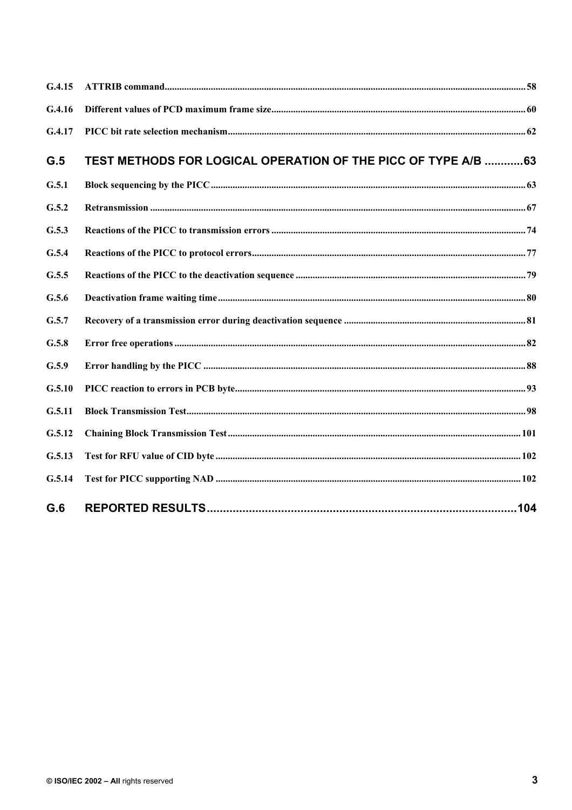| G.4.15 |                                                                |  |
|--------|----------------------------------------------------------------|--|
| G.4.16 |                                                                |  |
| G.4.17 |                                                                |  |
| G.5    | TEST METHODS FOR LOGICAL OPERATION OF THE PICC OF TYPE A/B  63 |  |
| G.5.1  |                                                                |  |
| G.5.2  |                                                                |  |
| G.5.3  |                                                                |  |
| G.5.4  |                                                                |  |
| G.5.5  |                                                                |  |
| G.5.6  |                                                                |  |
| G.5.7  |                                                                |  |
| G.5.8  |                                                                |  |
| G.5.9  |                                                                |  |
| G.5.10 |                                                                |  |
| G.5.11 |                                                                |  |
| G.5.12 |                                                                |  |
| G.5.13 |                                                                |  |
| G.5.14 |                                                                |  |
| G.6    |                                                                |  |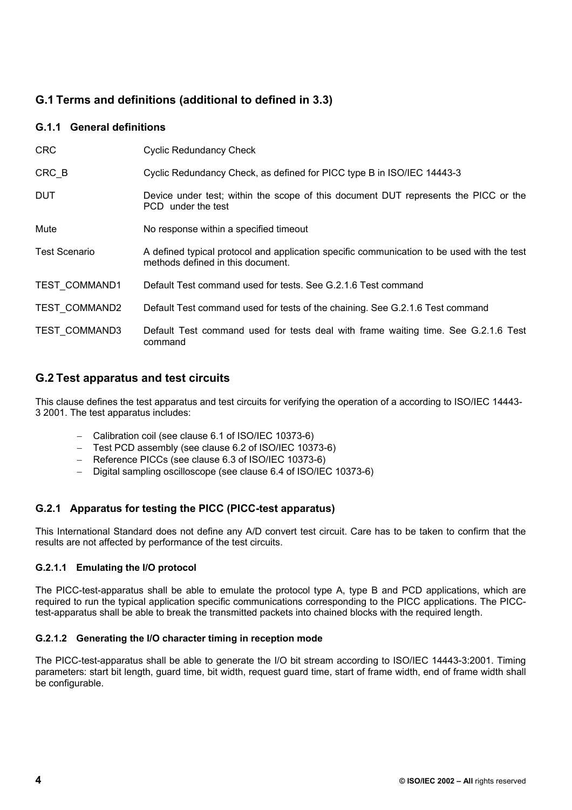# **G.1 Terms and definitions (additional to defined in 3.3)**

## **G.1.1 General definitions**

| <b>CRC</b>           | <b>Cyclic Redundancy Check</b>                                                                                                  |
|----------------------|---------------------------------------------------------------------------------------------------------------------------------|
| CRC B                | Cyclic Redundancy Check, as defined for PICC type B in ISO/IEC 14443-3                                                          |
| <b>DUT</b>           | Device under test; within the scope of this document DUT represents the PICC or the<br>PCD under the test                       |
| Mute                 | No response within a specified timeout                                                                                          |
| <b>Test Scenario</b> | A defined typical protocol and application specific communication to be used with the test<br>methods defined in this document. |
| <b>TEST COMMAND1</b> | Default Test command used for tests. See G.2.1.6 Test command                                                                   |
| <b>TEST COMMAND2</b> | Default Test command used for tests of the chaining. See G.2.1.6 Test command                                                   |
| <b>TEST COMMAND3</b> | Default Test command used for tests deal with frame waiting time. See G.2.1.6 Test<br>command                                   |

## **G.2 Test apparatus and test circuits**

This clause defines the test apparatus and test circuits for verifying the operation of a according to ISO/IEC 14443- 3 2001. The test apparatus includes:

- − Calibration coil (see clause 6.1 of ISO/IEC 10373-6)
- − Test PCD assembly (see clause 6.2 of ISO/IEC 10373-6)
- − Reference PICCs (see clause 6.3 of ISO/IEC 10373-6)
- − Digital sampling oscilloscope (see clause 6.4 of ISO/IEC 10373-6)

## **G.2.1 Apparatus for testing the PICC (PICC-test apparatus)**

This International Standard does not define any A/D convert test circuit. Care has to be taken to confirm that the results are not affected by performance of the test circuits.

### **G.2.1.1 Emulating the I/O protocol**

The PICC-test-apparatus shall be able to emulate the protocol type A, type B and PCD applications, which are required to run the typical application specific communications corresponding to the PICC applications. The PICCtest-apparatus shall be able to break the transmitted packets into chained blocks with the required length.

### **G.2.1.2 Generating the I/O character timing in reception mode**

The PICC-test-apparatus shall be able to generate the I/O bit stream according to ISO/IEC 14443-3:2001. Timing parameters: start bit length, guard time, bit width, request guard time, start of frame width, end of frame width shall be configurable.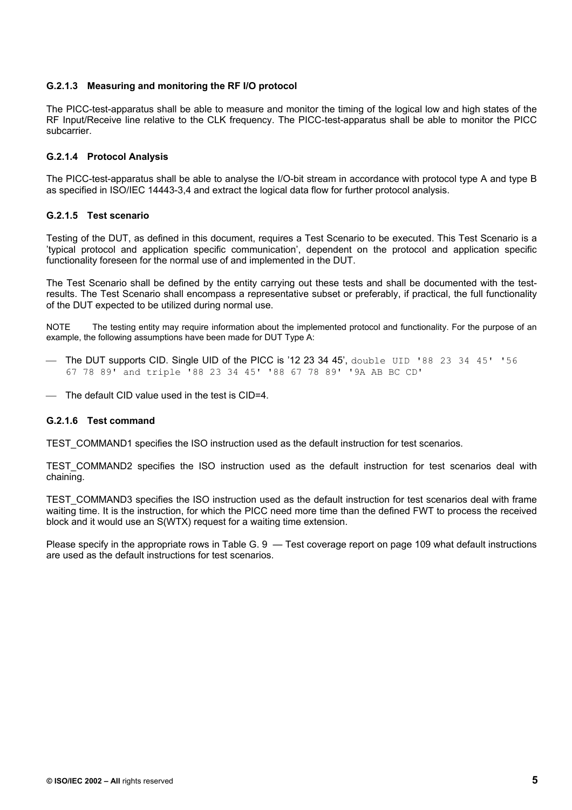#### **G.2.1.3 Measuring and monitoring the RF I/O protocol**

The PICC-test-apparatus shall be able to measure and monitor the timing of the logical low and high states of the RF Input/Receive line relative to the CLK frequency. The PICC-test-apparatus shall be able to monitor the PICC subcarrier.

#### **G.2.1.4 Protocol Analysis**

The PICC-test-apparatus shall be able to analyse the I/O-bit stream in accordance with protocol type A and type B as specified in ISO/IEC 14443-3,4 and extract the logical data flow for further protocol analysis.

#### **G.2.1.5 Test scenario**

Testing of the DUT, as defined in this document, requires a Test Scenario to be executed. This Test Scenario is a 'typical protocol and application specific communication', dependent on the protocol and application specific functionality foreseen for the normal use of and implemented in the DUT.

The Test Scenario shall be defined by the entity carrying out these tests and shall be documented with the testresults. The Test Scenario shall encompass a representative subset or preferably, if practical, the full functionality of the DUT expected to be utilized during normal use.

NOTE The testing entity may require information about the implemented protocol and functionality. For the purpose of an example, the following assumptions have been made for DUT Type A:

- The DUT supports CID. Single UID of the PICC is '12 23 34 45', double UID '88 23 34 45' '56 67 78 89' and triple '88 23 34 45' '88 67 78 89' '9A AB BC CD'
- The default CID value used in the test is CID=4.

#### **G.2.1.6 Test command**

TEST\_COMMAND1 specifies the ISO instruction used as the default instruction for test scenarios.

TEST COMMAND2 specifies the ISO instruction used as the default instruction for test scenarios deal with chaining.

TEST\_COMMAND3 specifies the ISO instruction used as the default instruction for test scenarios deal with frame waiting time. It is the instruction, for which the PICC need more time than the defined FWT to process the received block and it would use an S(WTX) request for a waiting time extension.

Please specify in the appropriate rows in Table G. 9 — Test coverage report on page 109 what default instructions are used as the default instructions for test scenarios.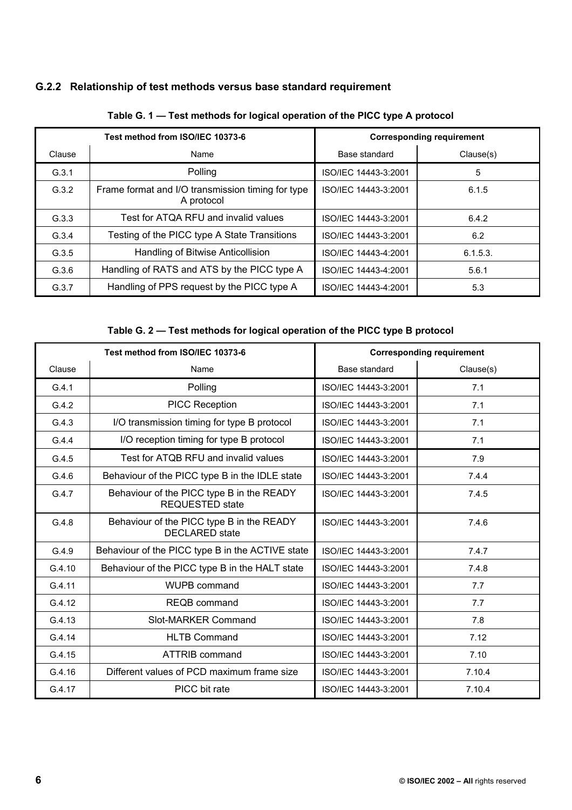# **G.2.2 Relationship of test methods versus base standard requirement**

| Test method from ISO/IEC 10373-6 |                                                                 | <b>Corresponding requirement</b> |           |
|----------------------------------|-----------------------------------------------------------------|----------------------------------|-----------|
| Clause                           | Name                                                            | Base standard                    | Clause(s) |
| G.3.1                            | Polling                                                         | ISO/IEC 14443-3:2001             | 5         |
| G.3.2                            | Frame format and I/O transmission timing for type<br>A protocol | ISO/IEC 14443-3:2001             | 6.1.5     |
| G.3.3                            | Test for ATQA RFU and invalid values                            | ISO/IEC 14443-3:2001             | 6.4.2     |
| G.3.4                            | Testing of the PICC type A State Transitions                    | ISO/IEC 14443-3:2001             | 6.2       |
| G.3.5                            | Handling of Bitwise Anticollision                               | ISO/IEC 14443-4:2001             | 6.1.5.3.  |
| G.3.6                            | Handling of RATS and ATS by the PICC type A                     | ISO/IEC 14443-4:2001             | 5.6.1     |
| G.3.7                            | Handling of PPS request by the PICC type A                      | ISO/IEC 14443-4:2001             | 5.3       |

**Table G. 1 — Test methods for logical operation of the PICC type A protocol** 

**Table G. 2 — Test methods for logical operation of the PICC type B protocol** 

| Test method from ISO/IEC 10373-6 |                                                                     | <b>Corresponding requirement</b> |           |
|----------------------------------|---------------------------------------------------------------------|----------------------------------|-----------|
| Clause                           | Name                                                                |                                  | Clause(s) |
| G.4.1                            | Polling                                                             | ISO/IEC 14443-3:2001             | 7.1       |
| G.4.2                            | PICC Reception                                                      | ISO/IEC 14443-3:2001             | 7.1       |
| G.4.3                            | I/O transmission timing for type B protocol                         | ISO/IEC 14443-3:2001             | 7.1       |
| G.4.4                            | I/O reception timing for type B protocol                            | ISO/IEC 14443-3:2001             | 7.1       |
| G.4.5                            | Test for ATQB RFU and invalid values                                | ISO/IEC 14443-3:2001             | 7.9       |
| G.4.6                            | Behaviour of the PICC type B in the IDLE state                      | ISO/IEC 14443-3:2001             | 7.4.4     |
| G.4.7                            | Behaviour of the PICC type B in the READY<br><b>REQUESTED state</b> | ISO/IEC 14443-3:2001             | 7.4.5     |
| G.4.8                            | Behaviour of the PICC type B in the READY<br><b>DECLARED</b> state  | ISO/IEC 14443-3:2001             | 7.4.6     |
| G.4.9                            | Behaviour of the PICC type B in the ACTIVE state                    | ISO/IEC 14443-3:2001             | 7.4.7     |
| G.4.10                           | Behaviour of the PICC type B in the HALT state                      | ISO/IEC 14443-3:2001             | 7.4.8     |
| G.4.11                           | WUPB command                                                        | ISO/IEC 14443-3:2001             | 7.7       |
| G.4.12                           | <b>REQB</b> command                                                 | ISO/IEC 14443-3:2001             | 7.7       |
| G.4.13                           | Slot-MARKER Command                                                 | ISO/IEC 14443-3:2001             | 7.8       |
| G.4.14                           | <b>HLTB Command</b>                                                 | ISO/IEC 14443-3:2001             | 7.12      |
| G.4.15                           | <b>ATTRIB command</b>                                               | ISO/IEC 14443-3:2001             | 7.10      |
| G.4.16                           | Different values of PCD maximum frame size                          | ISO/IEC 14443-3:2001             | 7.10.4    |
| G.4.17                           | PICC bit rate                                                       | ISO/IEC 14443-3:2001             | 7.10.4    |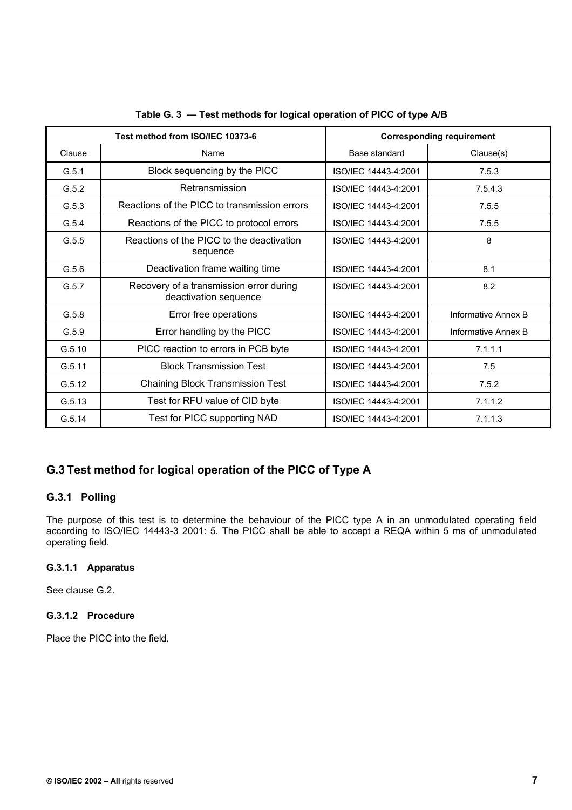| Test method from ISO/IEC 10373-6 |                                                                  | <b>Corresponding requirement</b> |                     |
|----------------------------------|------------------------------------------------------------------|----------------------------------|---------------------|
| Clause                           | Name                                                             | Base standard                    | Clause(s)           |
| G.5.1                            | Block sequencing by the PICC                                     | ISO/IEC 14443-4:2001             | 7.5.3               |
| G.5.2                            | Retransmission                                                   | ISO/IEC 14443-4:2001             | 7.5.4.3             |
| G.5.3                            | Reactions of the PICC to transmission errors                     | ISO/IEC 14443-4:2001             | 7.5.5               |
| G.5.4                            | Reactions of the PICC to protocol errors                         | ISO/IEC 14443-4:2001             | 7.5.5               |
| G.5.5                            | Reactions of the PICC to the deactivation<br>sequence            | ISO/IEC 14443-4:2001             | 8                   |
| G.5.6                            | Deactivation frame waiting time                                  | ISO/IEC 14443-4:2001             | 8.1                 |
| G.5.7                            | Recovery of a transmission error during<br>deactivation sequence | ISO/IEC 14443-4:2001             | 8.2                 |
| G.5.8                            | Error free operations                                            | ISO/IEC 14443-4:2001             | Informative Annex B |
| G.5.9                            | Error handling by the PICC                                       | ISO/IEC 14443-4:2001             | Informative Annex B |
| G.5.10                           | PICC reaction to errors in PCB byte                              | ISO/IEC 14443-4:2001             | 7.1.1.1             |
| G.5.11                           | <b>Block Transmission Test</b>                                   | ISO/IEC 14443-4:2001             | 7.5                 |
| G.5.12                           | <b>Chaining Block Transmission Test</b>                          | ISO/IEC 14443-4:2001             | 7.5.2               |
| G.5.13                           | Test for RFU value of CID byte                                   | ISO/IEC 14443-4:2001             | 7.1.1.2             |
| G.5.14                           | Test for PICC supporting NAD                                     | ISO/IEC 14443-4:2001             | 7.1.1.3             |

## **Table G. 3 — Test methods for logical operation of PICC of type A/B**

# **G.3 Test method for logical operation of the PICC of Type A**

## **G.3.1 Polling**

The purpose of this test is to determine the behaviour of the PICC type A in an unmodulated operating field according to ISO/IEC 14443-3 2001: 5. The PICC shall be able to accept a REQA within 5 ms of unmodulated operating field.

## **G.3.1.1 Apparatus**

See clause G.2.

## **G.3.1.2 Procedure**

Place the PICC into the field.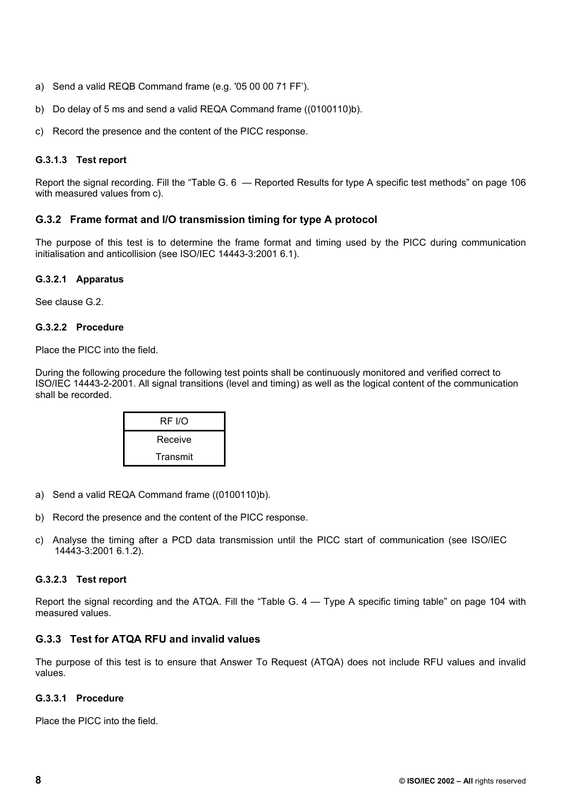- a) Send a valid REQB Command frame (e.g. '05 00 00 71 FF').
- b) Do delay of 5 ms and send a valid REQA Command frame ((0100110)b).
- c) Record the presence and the content of the PICC response.

## **G.3.1.3 Test report**

Report the signal recording. Fill the "Table G. 6 — Reported Results for type A specific test methods" on page 106 with measured values from c).

## **G.3.2 Frame format and I/O transmission timing for type A protocol**

The purpose of this test is to determine the frame format and timing used by the PICC during communication initialisation and anticollision (see ISO/IEC 14443-3:2001 6.1).

## **G.3.2.1 Apparatus**

See clause G.2.

### **G.3.2.2 Procedure**

Place the PICC into the field.

During the following procedure the following test points shall be continuously monitored and verified correct to ISO/IEC 14443-2-2001. All signal transitions (level and timing) as well as the logical content of the communication shall be recorded.

| RF I/O   |
|----------|
| Receive  |
| Transmit |

- a) Send a valid REQA Command frame ((0100110)b).
- b) Record the presence and the content of the PICC response.
- c) Analyse the timing after a PCD data transmission until the PICC start of communication (see ISO/IEC 14443-3:2001 6.1.2).

## **G.3.2.3 Test report**

Report the signal recording and the ATQA. Fill the "Table G. 4 — Type A specific timing table" on page 104 with measured values.

## **G.3.3 Test for ATQA RFU and invalid values**

The purpose of this test is to ensure that Answer To Request (ATQA) does not include RFU values and invalid values.

### **G.3.3.1 Procedure**

Place the PICC into the field.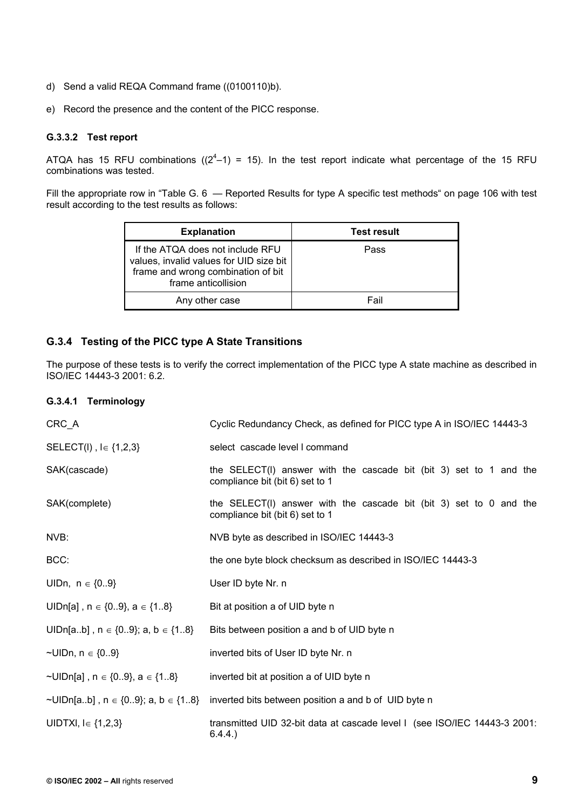- d) Send a valid REQA Command frame ((0100110)b).
- e) Record the presence and the content of the PICC response.

#### **G.3.3.2 Test report**

ATQA has 15 RFU combinations ( $(2^4-1)$  = 15). In the test report indicate what percentage of the 15 RFU combinations was tested.

Fill the appropriate row in "Table G. 6 — Reported Results for type A specific test methods" on page 106 with test result according to the test results as follows:

| <b>Explanation</b>                                                                                                                       | <b>Test result</b> |
|------------------------------------------------------------------------------------------------------------------------------------------|--------------------|
| If the ATQA does not include RFU<br>values, invalid values for UID size bit<br>frame and wrong combination of bit<br>frame anticollision | Pass               |
| Any other case                                                                                                                           | Fail               |

## **G.3.4 Testing of the PICC type A State Transitions**

The purpose of these tests is to verify the correct implementation of the PICC type A state machine as described in ISO/IEC 14443-3 2001: 6.2.

#### **G.3.4.1 Terminology**

| CRC_A                                         | Cyclic Redundancy Check, as defined for PICC type A in ISO/IEC 14443-3                                  |
|-----------------------------------------------|---------------------------------------------------------------------------------------------------------|
| SELECT(I), $I \in \{1,2,3\}$                  | select cascade level I command                                                                          |
| SAK(cascade)                                  | the $SELECT(I)$ answer with the cascade bit (bit 3) set to 1 and the<br>compliance bit (bit 6) set to 1 |
| SAK(complete)                                 | the $SELECT(I)$ answer with the cascade bit (bit 3) set to 0 and the<br>compliance bit (bit 6) set to 1 |
| NVB:                                          | NVB byte as described in ISO/IEC 14443-3                                                                |
| BCC:                                          | the one byte block checksum as described in ISO/IEC 14443-3                                             |
| UIDn, $n \in \{09\}$                          | User ID byte Nr. n                                                                                      |
| UIDn[a], $n \in \{09\}$ , $a \in \{18\}$      | Bit at position a of UID byte n                                                                         |
| UIDn[ab], $n \in \{09\}$ ; a, $b \in \{18\}$  | Bits between position a and b of UID byte n                                                             |
| ~UIDn, $n \in \{09\}$                         | inverted bits of User ID byte Nr. n                                                                     |
| ~UIDn[a], $n \in \{09\}$ , $a \in \{18\}$     | inverted bit at position a of UID byte n                                                                |
| ~UIDn[ab], $n \in \{09\}$ ; a, b $\in \{18\}$ | inverted bits between position a and b of UID byte n                                                    |
| UIDTXI, $I \in \{1,2,3\}$                     | transmitted UID 32-bit data at cascade level I (see ISO/IEC 14443-3 2001:<br>6.4.4.                     |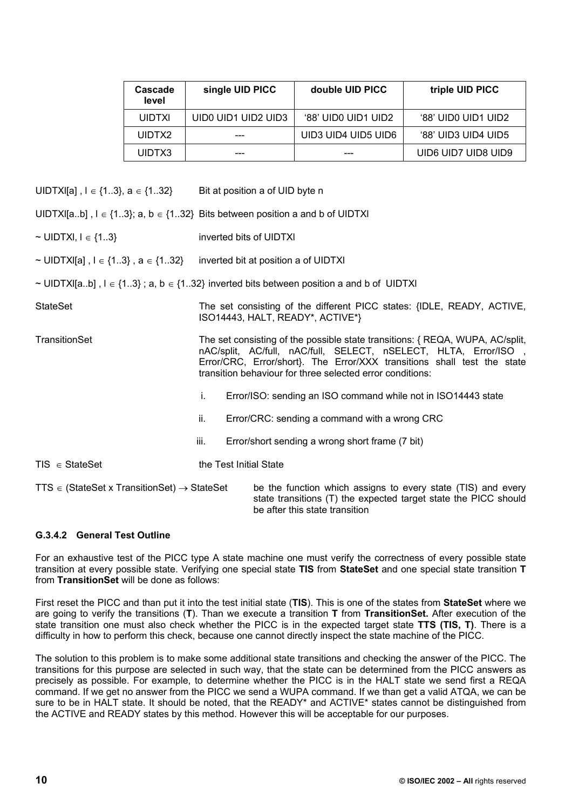| Cascade<br>level | single UID PICC     | double UID PICC     | triple UID PICC     |
|------------------|---------------------|---------------------|---------------------|
| <b>UIDTXI</b>    | UIDO UID1 UID2 UID3 | '88' UID0 UID1 UID2 | '88' UID0 UID1 UID2 |
| UIDTX2           | ---                 | UID3 UID4 UID5 UID6 | '88' UID3 UID4 UID5 |
| UIDTX3           |                     |                     | UID6 UID7 UID8 UID9 |

UIDTXI[a],  $I \in \{1..3\}$ ,  $a \in \{1..32\}$  Bit at position a of UID byte n

UIDTXI[a..b],  $I \in \{1..3\}$ ; a,  $b \in \{1..32\}$  Bits between position a and b of UIDTXI

- ~ UIDTXI,  $I \in \{1..3\}$  inverted bits of UIDTXI
- ~ UIDTXI[a],  $I \in \{1..3\}$ ,  $a \in \{1..32\}$  inverted bit at position a of UIDTXI
- ~ UIDTXI[a..b] ,  $l \in \{1..3\}$ ; a, b  $\in \{1..32\}$  inverted bits between position a and b of UIDTXI

| StateSet           | The set consisting of the different PICC states: {IDLE, READY, ACTIVE,<br>ISO14443, HALT, READY*, ACTIVE*}                                                                                                                                                                               |  |
|--------------------|------------------------------------------------------------------------------------------------------------------------------------------------------------------------------------------------------------------------------------------------------------------------------------------|--|
| TransitionSet      | The set consisting of the possible state transitions: { REQA, WUPA, AC/split,<br>nAC/split, AC/full, nAC/full, SELECT, nSELECT, HLTA, Error/ISO,<br>Error/CRC, Error/short}. The Error/XXX transitions shall test the state<br>transition behaviour for three selected error conditions: |  |
|                    | i.<br>Error/ISO: sending an ISO command while not in ISO14443 state                                                                                                                                                                                                                      |  |
|                    | ii.<br>Error/CRC: sending a command with a wrong CRC                                                                                                                                                                                                                                     |  |
|                    | iii.<br>Error/short sending a wrong short frame (7 bit)                                                                                                                                                                                                                                  |  |
| $TIS \in StateSet$ | the Test Initial State                                                                                                                                                                                                                                                                   |  |

TTS  $\in$  (StateSet x TransitionSet)  $\rightarrow$  StateSet be the function which assigns to every state (TIS) and every state transitions (T) the expected target state the PICC should be after this state transition

### **G.3.4.2 General Test Outline**

For an exhaustive test of the PICC type A state machine one must verify the correctness of every possible state transition at every possible state. Verifying one special state **TIS** from **StateSet** and one special state transition **T**  from **TransitionSet** will be done as follows:

First reset the PICC and than put it into the test initial state (**TIS**). This is one of the states from **StateSet** where we are going to verify the transitions (**T**). Than we execute a transition **T** from **TransitionSet.** After execution of the state transition one must also check whether the PICC is in the expected target state **TTS (TIS, T)**. There is a difficulty in how to perform this check, because one cannot directly inspect the state machine of the PICC.

The solution to this problem is to make some additional state transitions and checking the answer of the PICC. The transitions for this purpose are selected in such way, that the state can be determined from the PICC answers as precisely as possible. For example, to determine whether the PICC is in the HALT state we send first a REQA command. If we get no answer from the PICC we send a WUPA command. If we than get a valid ATQA, we can be sure to be in HALT state. It should be noted, that the READY\* and ACTIVE\* states cannot be distinguished from the ACTIVE and READY states by this method. However this will be acceptable for our purposes.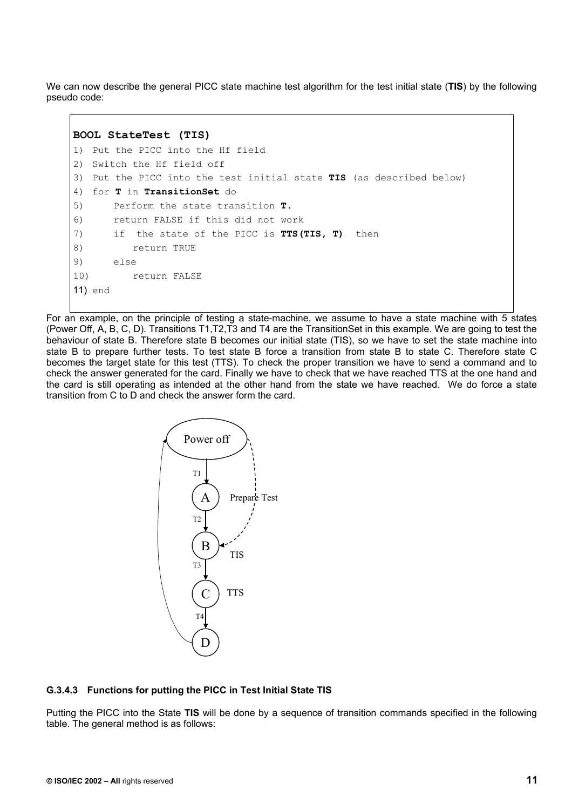We can now describe the general PICC state machine test algorithm for the test initial state (**TIS**) by the following pseudo code:

```
BOOL StateTest (TIS) 
1) Put the PICC into the Hf field 
2) Switch the Hf field off 
3) Put the PICC into the test initial state TIS (as described below) 
4) for T in TransitionSet do 
5) Perform the state transition T. 
6) return FALSE if this did not work 
7) if the state of the PICC is TTS(TIS, T) then 
8) return TRUE 
9) else 
10) return FALSE 
11) end
```
For an example, on the principle of testing a state-machine, we assume to have a state machine with 5 states (Power Off, A, B, C, D). Transitions T1,T2,T3 and T4 are the TransitionSet in this example. We are going to test the behaviour of state B. Therefore state B becomes our initial state (TIS), so we have to set the state machine into state B to prepare further tests. To test state B force a transition from state B to state C. Therefore state C becomes the target state for this test (TTS). To check the proper transition we have to send a command and to check the answer generated for the card. Finally we have to check that we have reached TTS at the one hand and the card is still operating as intended at the other hand from the state we have reached. We do force a state transition from C to D and check the answer form the card.



#### **G.3.4.3 Functions for putting the PICC in Test Initial State TIS**

Putting the PICC into the State **TIS** will be done by a sequence of transition commands specified in the following table. The general method is as follows: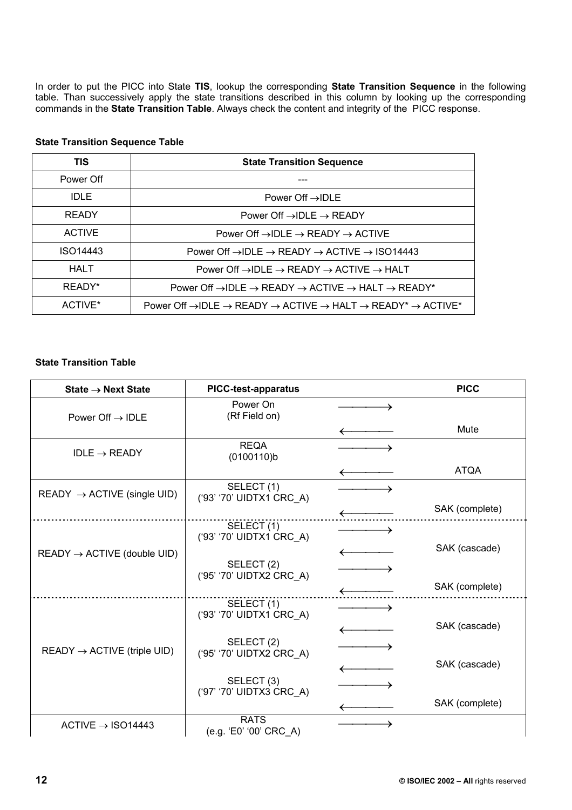In order to put the PICC into State **TIS**, lookup the corresponding **State Transition Sequence** in the following table. Than successively apply the state transitions described in this column by looking up the corresponding commands in the **State Transition Table**. Always check the content and integrity of the PICC response.

| TIS<br><b>State Transition Sequence</b> |                                                                                                                                     |
|-----------------------------------------|-------------------------------------------------------------------------------------------------------------------------------------|
| Power Off                               |                                                                                                                                     |
| IDLE.                                   | Power Off $\rightarrow$ IDLE                                                                                                        |
| <b>READY</b>                            | Power Off $\rightarrow$ IDLE $\rightarrow$ READY                                                                                    |
| <b>ACTIVE</b>                           | Power Off $\rightarrow$ IDLE $\rightarrow$ READY $\rightarrow$ ACTIVE                                                               |
| ISO14443                                | Power Off $\rightarrow$ IDLE $\rightarrow$ READY $\rightarrow$ ACTIVE $\rightarrow$ ISO14443                                        |
| <b>HALT</b>                             | Power Off $\rightarrow$ IDLE $\rightarrow$ READY $\rightarrow$ ACTIVE $\rightarrow$ HALT                                            |
| READY*                                  | Power Off $\rightarrow$ IDLE $\rightarrow$ READY $\rightarrow$ ACTIVE $\rightarrow$ HALT $\rightarrow$ READY*                       |
| ACTIVE*                                 | Power Off $\rightarrow$ IDLE $\rightarrow$ READY $\rightarrow$ ACTIVE $\rightarrow$ HALT $\rightarrow$ READY* $\rightarrow$ ACTIVE* |

### **State Transition Sequence Table**

### **State Transition Table**

| State $\rightarrow$ Next State          | <b>PICC-test-apparatus</b>                        | <b>PICC</b>    |
|-----------------------------------------|---------------------------------------------------|----------------|
| Power Off $\rightarrow$ IDLE            | Power On<br>(Rf Field on)                         |                |
|                                         |                                                   | Mute           |
| $IDLE \rightarrow READV$                | <b>REQA</b><br>$(0100110)$ b                      |                |
|                                         |                                                   | ATQA           |
| READY $\rightarrow$ ACTIVE (single UID) | SELECT (1)<br>('93' '70' UIDTX1 CRC_A)            |                |
|                                         |                                                   | SAK (complete) |
|                                         | SELECT (1)<br>('93' '70' UIDTX1 CRC_A)            |                |
| $READV \rightarrow ACTIVE$ (double UID) |                                                   | SAK (cascade)  |
|                                         | SELECT (2)<br>('95' '70' UIDTX2 CRC_A)            |                |
|                                         |                                                   | SAK (complete) |
|                                         | SELECT (1)<br>('93' '70' UIDTX1 CRC_A)            |                |
|                                         |                                                   | SAK (cascade)  |
| $READV \rightarrow ACTIVE$ (triple UID) | SELECT <sub>(2)</sub><br>('95' '70' UIDTX2 CRC_A) |                |
|                                         |                                                   | SAK (cascade)  |
|                                         | SELECT (3)<br>('97' '70' UIDTX3 CRC_A)            |                |
|                                         |                                                   | SAK (complete) |
| $ACTIVE \rightarrow ISO14443$           | <b>RATS</b><br>(e.g. 'E0' '00' CRC A)             |                |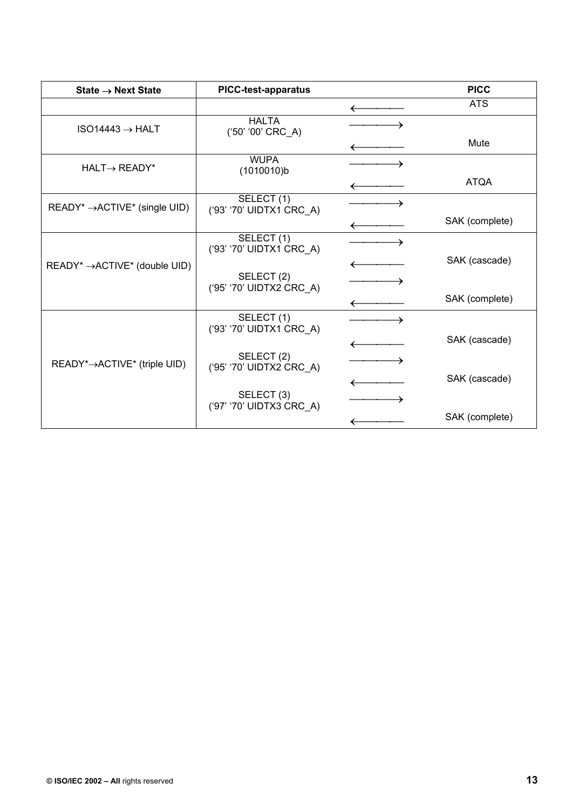| State $\rightarrow$ Next State              | <b>PICC-test-apparatus</b>             | <b>PICC</b>    |
|---------------------------------------------|----------------------------------------|----------------|
|                                             |                                        | <b>ATS</b>     |
| $ISO14443 \rightarrow HALT$                 | <b>HALTA</b><br>('50' '00' CRC_A)      |                |
|                                             |                                        | Mute           |
| $HALT\rightarrow READV^*$                   | <b>WUPA</b><br>(1010010)b              |                |
|                                             |                                        | <b>ATQA</b>    |
| $READV^* \rightarrow ACTIVE^*$ (single UID) | SELECT (1)<br>('93' '70' UIDTX1 CRC_A) |                |
|                                             |                                        | SAK (complete) |
|                                             | SELECT (1)<br>('93' '70' UIDTX1 CRC_A) |                |
| $READV^* \rightarrow ACTIVE^*$ (double UID) |                                        | SAK (cascade)  |
|                                             | SELECT (2)<br>('95' '70' UIDTX2 CRC_A) |                |
|                                             |                                        | SAK (complete) |
|                                             | SELECT (1)<br>('93' '70' UIDTX1 CRC_A) |                |
|                                             |                                        | SAK (cascade)  |
| READY*→ACTIVE* (triple UID)                 | SELECT (2)<br>('95' '70' UIDTX2 CRC_A) |                |
|                                             |                                        | SAK (cascade)  |
|                                             | SELECT (3)<br>('97' '70' UIDTX3 CRC_A) |                |
|                                             |                                        | SAK (complete) |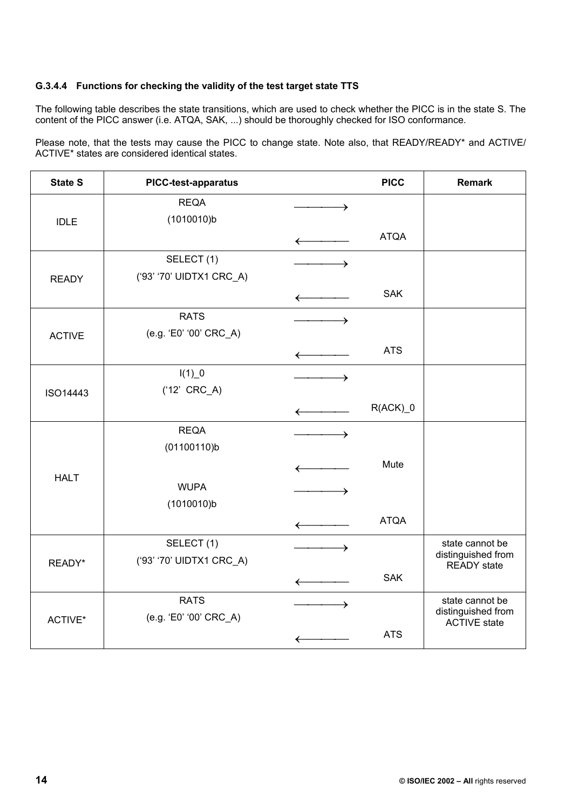### **G.3.4.4 Functions for checking the validity of the test target state TTS**

The following table describes the state transitions, which are used to check whether the PICC is in the state S. The content of the PICC answer (i.e. ATQA, SAK, ...) should be thoroughly checked for ISO conformance.

Please note, that the tests may cause the PICC to change state. Note also, that READY/READY\* and ACTIVE/ ACTIVE\* states are considered identical states.

| <b>State S</b> | PICC-test-apparatus       |              | <b>PICC</b>           | <b>Remark</b>                            |
|----------------|---------------------------|--------------|-----------------------|------------------------------------------|
| <b>IDLE</b>    | <b>REQA</b><br>(1010010)b |              |                       |                                          |
|                |                           |              | <b>ATQA</b>           |                                          |
|                | SELECT(1)                 | →            |                       |                                          |
| <b>READY</b>   | ('93' '70' UIDTX1 CRC_A)  |              | <b>SAK</b>            |                                          |
|                |                           | $\leftarrow$ |                       |                                          |
|                | <b>RATS</b>               |              |                       |                                          |
| <b>ACTIVE</b>  | (e.g. 'E0' '00' CRC_A)    |              | <b>ATS</b>            |                                          |
|                | $I(1)$ <sup>0</sup>       | →            |                       |                                          |
| ISO14443       | $('12' CRC_A)$            |              |                       |                                          |
|                |                           |              | $R(ACK)$ <sup>0</sup> |                                          |
|                | <b>REQA</b>               | →            |                       |                                          |
|                | (01100110)b               |              |                       |                                          |
| <b>HALT</b>    |                           |              | Mute                  |                                          |
|                | <b>WUPA</b>               |              |                       |                                          |
|                | (1010010)b                |              | <b>ATQA</b>           |                                          |
|                | SELECT(1)                 |              |                       | state cannot be                          |
| READY*         | ('93' '70' UIDTX1 CRC_A)  |              |                       | distinguished from<br><b>READY</b> state |
|                |                           |              | <b>SAK</b>            |                                          |
|                | <b>RATS</b>               | →            |                       | state cannot be<br>distinguished from    |
| ACTIVE*        | (e.g. 'E0' '00' CRC_A)    |              |                       | <b>ACTIVE</b> state                      |
|                |                           |              | <b>ATS</b>            |                                          |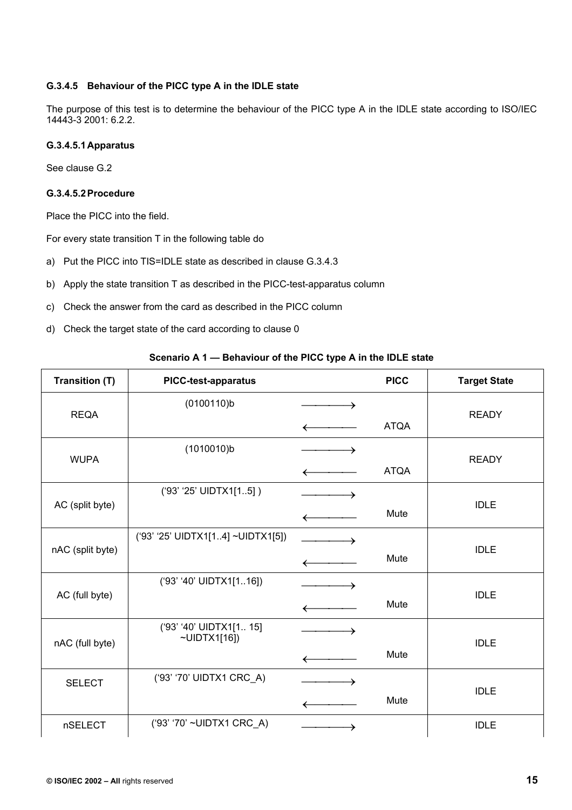### **G.3.4.5 Behaviour of the PICC type A in the IDLE state**

The purpose of this test is to determine the behaviour of the PICC type A in the IDLE state according to ISO/IEC 14443-3 2001: 6.2.2.

### **G.3.4.5.1 Apparatus**

See clause G.2

### **G.3.4.5.2 Procedure**

Place the PICC into the field.

For every state transition T in the following table do

- a) Put the PICC into TIS=IDLE state as described in clause G.3.4.3
- b) Apply the state transition T as described in the PICC-test-apparatus column
- c) Check the answer from the card as described in the PICC column
- d) Check the target state of the card according to clause 0

#### **Scenario A 1 — Behaviour of the PICC type A in the IDLE state**

| <b>Transition (T)</b> | <b>PICC-test-apparatus</b>                    |   | <b>PICC</b> | <b>Target State</b> |
|-----------------------|-----------------------------------------------|---|-------------|---------------------|
| <b>REQA</b>           | (0100110)b                                    | → |             | <b>READY</b>        |
|                       |                                               |   | <b>ATQA</b> |                     |
| <b>WUPA</b>           | (1010010)b                                    | → |             | <b>READY</b>        |
|                       |                                               |   | <b>ATQA</b> |                     |
| AC (split byte)       | ('93' '25' UIDTX1[15])                        |   |             | <b>IDLE</b>         |
|                       |                                               |   | Mute        |                     |
|                       | ('93' '25' UIDTX1[14] ~UIDTX1[5])             |   |             | <b>IDLE</b>         |
| nAC (split byte)      |                                               |   | Mute        |                     |
|                       | ('93' '40' UIDTX1[116])                       |   |             |                     |
| AC (full byte)        |                                               |   | Mute        | <b>IDLE</b>         |
|                       | ('93' '40' UIDTX1[1 15]<br>$\neg$ UIDTX1[16]) |   |             |                     |
| nAC (full byte)       |                                               |   | Mute        | <b>IDLE</b>         |
| <b>SELECT</b>         | ('93' '70' UIDTX1 CRC_A)                      |   |             |                     |
|                       |                                               |   | Mute        | <b>IDLE</b>         |
| nSELECT               | ('93' '70' ~UIDTX1 CRC_A)                     |   |             | <b>IDLE</b>         |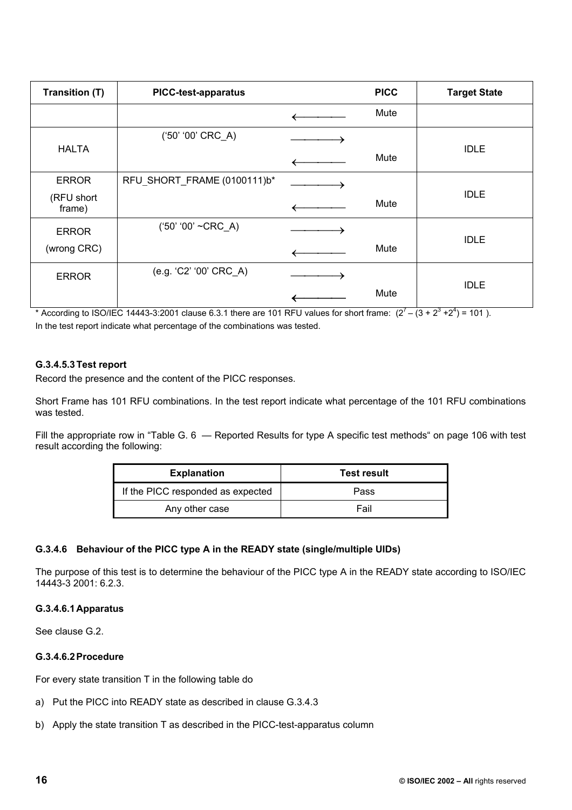| <b>Transition (T)</b> | <b>PICC-test-apparatus</b>  | <b>PICC</b> | <b>Target State</b> |
|-----------------------|-----------------------------|-------------|---------------------|
|                       |                             | Mute        |                     |
|                       | ('50' '00' CRC_A)           |             |                     |
| <b>HALTA</b>          |                             | Mute        | <b>IDLE</b>         |
| <b>ERROR</b>          | RFU SHORT_FRAME (0100111)b* |             |                     |
| (RFU short<br>frame)  |                             | Mute        | <b>IDLE</b>         |
| <b>ERROR</b>          | $('50' '00' ~CRC_A)$        |             |                     |
| (wrong CRC)           |                             | Mute        | <b>IDLE</b>         |
| <b>ERROR</b>          | (e.g. 'C2' '00' CRC_A)      |             |                     |
|                       |                             | Mute        | <b>IDLE</b>         |

\* According to ISO/IEC 14443-3:2001 clause 6.3.1 there are 101 RFU values for short frame:  $(2^7 - (3 + 2^3 + 2^4) = 101)$ . In the test report indicate what percentage of the combinations was tested.

### **G.3.4.5.3 Test report**

Record the presence and the content of the PICC responses.

Short Frame has 101 RFU combinations. In the test report indicate what percentage of the 101 RFU combinations was tested.

Fill the appropriate row in "Table G. 6 – Reported Results for type A specific test methods" on page 106 with test result according the following:

| <b>Explanation</b>                | <b>Test result</b> |
|-----------------------------------|--------------------|
| If the PICC responded as expected | Pass               |
| Any other case                    | Fail               |

### **G.3.4.6 Behaviour of the PICC type A in the READY state (single/multiple UIDs)**

The purpose of this test is to determine the behaviour of the PICC type A in the READY state according to ISO/IEC 14443-3 2001: 6.2.3.

### **G.3.4.6.1 Apparatus**

See clause G.2.

### **G.3.4.6.2 Procedure**

For every state transition T in the following table do

- a) Put the PICC into READY state as described in clause G.3.4.3
- b) Apply the state transition T as described in the PICC-test-apparatus column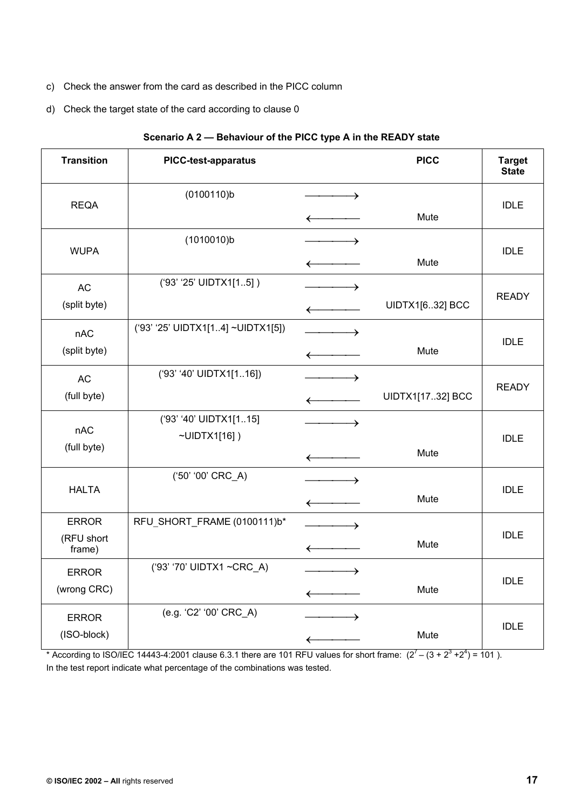- c) Check the answer from the card as described in the PICC column
- d) Check the target state of the card according to clause 0

| <b>Transition</b>    | <b>PICC-test-apparatus</b>        |                                  | <b>PICC</b>      | <b>Target</b><br><b>State</b> |
|----------------------|-----------------------------------|----------------------------------|------------------|-------------------------------|
| <b>REQA</b>          | (0100110)b                        | $\longrightarrow$                |                  | <b>IDLE</b>                   |
|                      |                                   | $\leftarrow$                     | Mute             |                               |
| <b>WUPA</b>          | (1010010)b                        |                                  |                  | <b>IDLE</b>                   |
|                      |                                   | $\leftarrow$                     | Mute             |                               |
| <b>AC</b>            | ('93' '25' UIDTX1[15])            | →                                |                  | <b>READY</b>                  |
| (split byte)         |                                   | $\leftarrow$                     | UIDTX1[632] BCC  |                               |
| nAC                  | ('93' '25' UIDTX1[14] ~UIDTX1[5]) |                                  |                  | <b>IDLE</b>                   |
| (split byte)         |                                   | $\longleftarrow$                 | Mute             |                               |
| <b>AC</b>            | ('93' '40' UIDTX1[116])           | $\overline{\phantom{a}}$         |                  | <b>READY</b>                  |
| (full byte)          |                                   | $\leftarrow$                     | UIDTX1[1732] BCC |                               |
| nAC                  | ('93' '40' UIDTX1[115]            | $\overbrace{\hspace{1.5cm}}^{ }$ |                  |                               |
| (full byte)          | $\neg$ UIDTX1[16])                |                                  | Mute             | <b>IDLE</b>                   |
|                      | ('50' '00' CRC_A)                 | $\longleftarrow$                 |                  |                               |
| <b>HALTA</b>         |                                   |                                  |                  | <b>IDLE</b>                   |
|                      |                                   | $\leftarrow$                     | Mute             |                               |
| <b>ERROR</b>         | RFU SHORT_FRAME (0100111)b*       | →                                |                  | <b>IDLE</b>                   |
| (RFU short<br>frame) |                                   | $\longleftarrow$                 | Mute             |                               |
| <b>ERROR</b>         | ('93' '70' UIDTX1 ~CRC_A)         |                                  |                  | <b>IDLE</b>                   |
| (wrong CRC)          |                                   | $\longleftarrow$                 | Mute             |                               |
| <b>ERROR</b>         | (e.g. 'C2' '00' CRC_A)            | $\rightarrow$                    |                  |                               |
| (ISO-block)          |                                   | $\leftarrow$                     | Mute             | <b>IDLE</b>                   |

### **Scenario A 2 — Behaviour of the PICC type A in the READY state**

\* According to ISO/IEC 14443-4:2001 clause 6.3.1 there are 101 RFU values for short frame:  $(2^7 - (3 + 2^3 + 2^4) = 101)$ . In the test report indicate what percentage of the combinations was tested.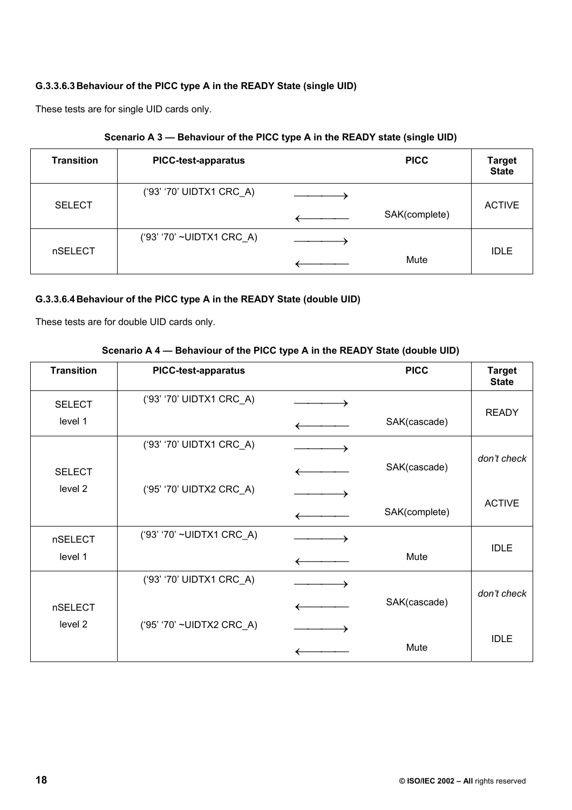## **G.3.3.6.3 Behaviour of the PICC type A in the READY State (single UID)**

These tests are for single UID cards only.

| <b>Transition</b> | <b>PICC-test-apparatus</b> | <b>PICC</b>   | <b>Target</b><br><b>State</b> |
|-------------------|----------------------------|---------------|-------------------------------|
| <b>SELECT</b>     | ('93' '70' UIDTX1 CRC_A)   | SAK(complete) | <b>ACTIVE</b>                 |
| nSELECT           | ('93' '70' ~UIDTX1 CRC A)  | Mute          | <b>IDLE</b>                   |

## **G.3.3.6.4 Behaviour of the PICC type A in the READY State (double UID)**

These tests are for double UID cards only.

|  | Scenario A 4 – Behaviour of the PICC type A in the READY State (double UID) |
|--|-----------------------------------------------------------------------------|
|--|-----------------------------------------------------------------------------|

| <b>Transition</b> | <b>PICC-test-apparatus</b> | <b>PICC</b>   | <b>Target</b><br><b>State</b> |
|-------------------|----------------------------|---------------|-------------------------------|
| <b>SELECT</b>     | ('93' '70' UIDTX1 CRC_A)   |               |                               |
| level 1           |                            | SAK(cascade)  | <b>READY</b>                  |
|                   | ('93' '70' UIDTX1 CRC_A)   |               |                               |
| <b>SELECT</b>     |                            | SAK(cascade)  | don't check                   |
| level 2           | ('95' '70' UIDTX2 CRC_A)   |               |                               |
|                   |                            | SAK(complete) | <b>ACTIVE</b>                 |
| nSELECT           | ('93' '70' ~UIDTX1 CRC_A)  |               |                               |
| level 1           |                            | Mute          | <b>IDLE</b>                   |
|                   | ('93' '70' UIDTX1 CRC_A)   |               |                               |
| nSELECT           |                            | SAK(cascade)  | don't check                   |
| level 2           | ('95' '70' ~UIDTX2 CRC_A)  |               |                               |
|                   |                            | Mute          | <b>IDLE</b>                   |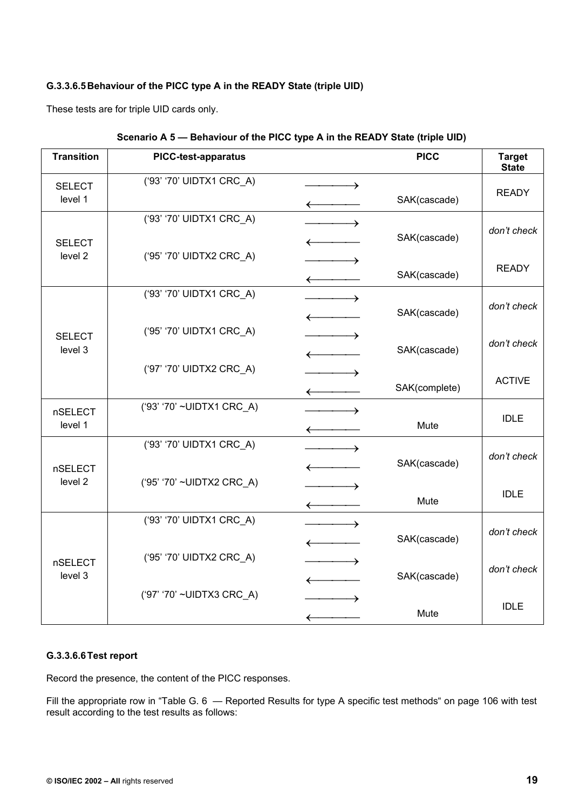## **G.3.3.6.5 Behaviour of the PICC type A in the READY State (triple UID)**

These tests are for triple UID cards only.

| <b>Transition</b>         | <b>PICC-test-apparatus</b> |                                                 | <b>PICC</b>   | <b>Target</b><br><b>State</b> |
|---------------------------|----------------------------|-------------------------------------------------|---------------|-------------------------------|
| <b>SELECT</b><br>level 1  | ('93' '70' UIDTX1 CRC_A)   | $\longrightarrow$                               | SAK(cascade)  | <b>READY</b>                  |
|                           | ('93' '70' UIDTX1 CRC_A)   | <u> 1999 - Johann Barnett, f</u>                |               |                               |
| <b>SELECT</b>             |                            |                                                 | SAK(cascade)  | don't check                   |
| level <sub>2</sub>        | ('95' '70' UIDTX2 CRC A)   |                                                 | SAK(cascade)  | <b>READY</b>                  |
|                           | ('93' '70' UIDTX1 CRC_A)   |                                                 |               | don't check                   |
|                           | ('95' '70' UIDTX1 CRC_A)   | $\leftarrow$                                    | SAK(cascade)  |                               |
| <b>SELECT</b><br>level 3  |                            | $\longrightarrow$<br>$\leftarrow$               | SAK(cascade)  | don't check                   |
|                           | ('97' '70' UIDTX2 CRC_A)   |                                                 |               | <b>ACTIVE</b>                 |
|                           |                            | $\longleftarrow$                                | SAK(complete) |                               |
| <b>nSELECT</b><br>level 1 | ('93' '70' ~UIDTX1 CRC A)  | $\longrightarrow$                               |               | <b>IDLE</b>                   |
|                           |                            |                                                 | Mute          |                               |
|                           | ('93' '70' UIDTX1 CRC A)   | $\longrightarrow$                               |               | don't check                   |
| <b>nSELECT</b>            |                            | $\leftarrow$                                    | SAK(cascade)  |                               |
| level <sub>2</sub>        | ('95' '70' ~UIDTX2 CRC_A)  |                                                 |               | <b>IDLE</b>                   |
|                           |                            | $\longleftarrow$                                | Mute          |                               |
|                           | ('93' '70' UIDTX1 CRC_A)   | $\hspace{1.5cm} \longrightarrow \hspace{1.5cm}$ |               | don't check                   |
|                           |                            | $\longleftarrow$                                | SAK(cascade)  |                               |
| <b>nSELECT</b>            | ('95' '70' UIDTX2 CRC_A)   |                                                 |               | don't check                   |
| level 3                   |                            |                                                 | SAK(cascade)  |                               |
|                           | ('97' '70' ~UIDTX3 CRC_A)  |                                                 |               | <b>IDLE</b>                   |
|                           |                            | $\longleftarrow$                                | Mute          |                               |

### **G.3.3.6.6 Test report**

Record the presence, the content of the PICC responses.

Fill the appropriate row in "Table G. 6 — Reported Results for type A specific test methods" on page 106 with test result according to the test results as follows: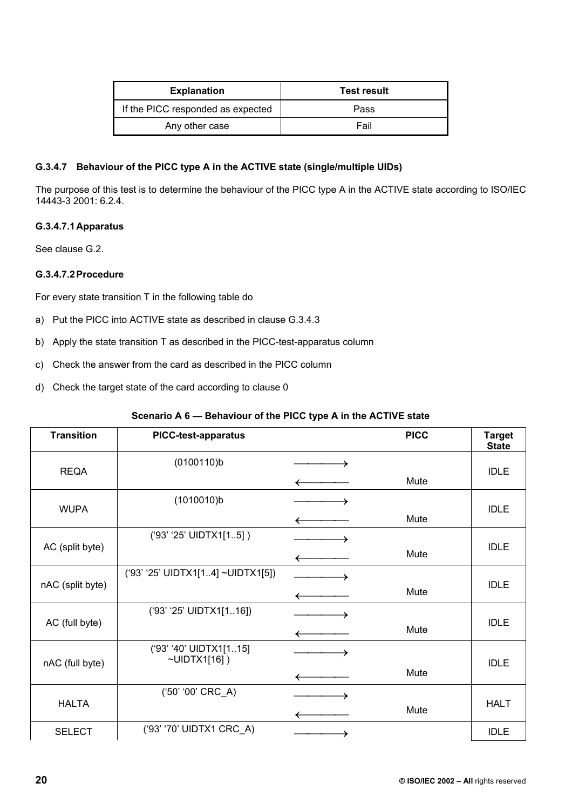| <b>Explanation</b>                | <b>Test result</b> |  |  |
|-----------------------------------|--------------------|--|--|
| If the PICC responded as expected | Pass               |  |  |
| Any other case                    | Fail               |  |  |

### **G.3.4.7 Behaviour of the PICC type A in the ACTIVE state (single/multiple UIDs)**

The purpose of this test is to determine the behaviour of the PICC type A in the ACTIVE state according to ISO/IEC 14443-3 2001: 6.2.4.

## **G.3.4.7.1 Apparatus**

See clause G.2.

### **G.3.4.7.2 Procedure**

For every state transition T in the following table do

- a) Put the PICC into ACTIVE state as described in clause G.3.4.3
- b) Apply the state transition T as described in the PICC-test-apparatus column
- c) Check the answer from the card as described in the PICC column
- d) Check the target state of the card according to clause 0

## **Scenario A 6 — Behaviour of the PICC type A in the ACTIVE state**

| <b>Transition</b> | <b>PICC-test-apparatus</b>             |   | <b>PICC</b> | <b>Target</b><br><b>State</b> |  |
|-------------------|----------------------------------------|---|-------------|-------------------------------|--|
|                   | (0100110)b                             | → |             |                               |  |
| <b>REQA</b>       |                                        |   | Mute        | <b>IDLE</b>                   |  |
| <b>WUPA</b>       | (1010010)b                             |   |             | <b>IDLE</b>                   |  |
|                   |                                        |   | Mute        |                               |  |
|                   | ('93' '25' UIDTX1[15])                 |   |             |                               |  |
| AC (split byte)   |                                        |   | Mute        | <b>IDLE</b>                   |  |
|                   | ('93' '25' UIDTX1[14] ~UIDTX1[5])      |   |             |                               |  |
| nAC (split byte)  |                                        |   | Mute        | <b>IDLE</b>                   |  |
|                   | ('93' '25' UIDTX1[116])                |   |             |                               |  |
| AC (full byte)    |                                        |   | Mute        | <b>IDLE</b>                   |  |
|                   | ('93' '40' UIDTX1[115]<br>~UIDTX1[16]) |   |             |                               |  |
| nAC (full byte)   |                                        |   | Mute        | <b>IDLE</b>                   |  |
| <b>HALTA</b>      | ('50' '00' CRC_A)                      |   |             |                               |  |
|                   |                                        |   | Mute        | <b>HALT</b>                   |  |
| <b>SELECT</b>     | ('93' '70' UIDTX1 CRC A)               |   |             | <b>IDLE</b>                   |  |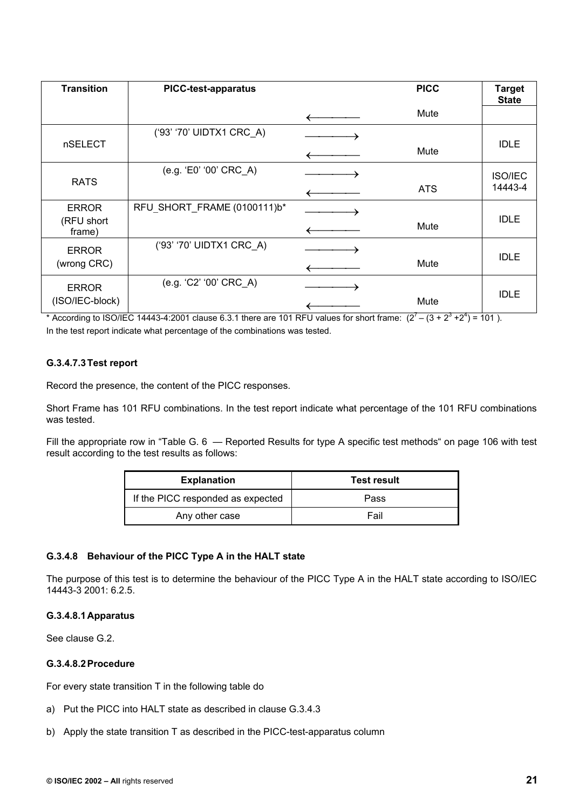| <b>Transition</b>    | <b>PICC-test-apparatus</b>  | <b>PICC</b> | <b>Target</b><br><b>State</b> |
|----------------------|-----------------------------|-------------|-------------------------------|
|                      |                             | Mute        |                               |
|                      | ('93' '70' UIDTX1 CRC_A)    |             |                               |
| nSELECT              |                             | Mute        | <b>IDLE</b>                   |
| <b>RATS</b>          | (e.g. 'E0' '00' CRC_A)      |             | <b>ISO/IEC</b>                |
|                      |                             | <b>ATS</b>  | 14443-4                       |
| <b>ERROR</b>         | RFU SHORT_FRAME (0100111)b* |             | <b>IDLE</b>                   |
| (RFU short<br>frame) |                             | Mute        |                               |
| <b>ERROR</b>         | ('93' '70' UIDTX1 CRC A)    |             | <b>IDLE</b>                   |
| (wrong CRC)          |                             | Mute        |                               |
| <b>ERROR</b>         | (e.g. 'C2' '00' CRC_A)      |             |                               |
| (ISO/IEC-block)      |                             | Mute        | <b>IDLE</b>                   |

\* According to ISO/IEC 14443-4:2001 clause 6.3.1 there are 101 RFU values for short frame:  $(2^7 - (3 + 2^3 + 2^4) = 101)$ . In the test report indicate what percentage of the combinations was tested.

### **G.3.4.7.3 Test report**

Record the presence, the content of the PICC responses.

Short Frame has 101 RFU combinations. In the test report indicate what percentage of the 101 RFU combinations was tested.

Fill the appropriate row in "Table G. 6 - Reported Results for type A specific test methods" on page 106 with test result according to the test results as follows:

| <b>Explanation</b>                | <b>Test result</b> |
|-----------------------------------|--------------------|
| If the PICC responded as expected | Pass               |
| Any other case                    | Fail               |

### **G.3.4.8 Behaviour of the PICC Type A in the HALT state**

The purpose of this test is to determine the behaviour of the PICC Type A in the HALT state according to ISO/IEC 14443-3 2001: 6.2.5.

#### **G.3.4.8.1 Apparatus**

See clause G.2.

### **G.3.4.8.2 Procedure**

For every state transition T in the following table do

- a) Put the PICC into HALT state as described in clause G.3.4.3
- b) Apply the state transition T as described in the PICC-test-apparatus column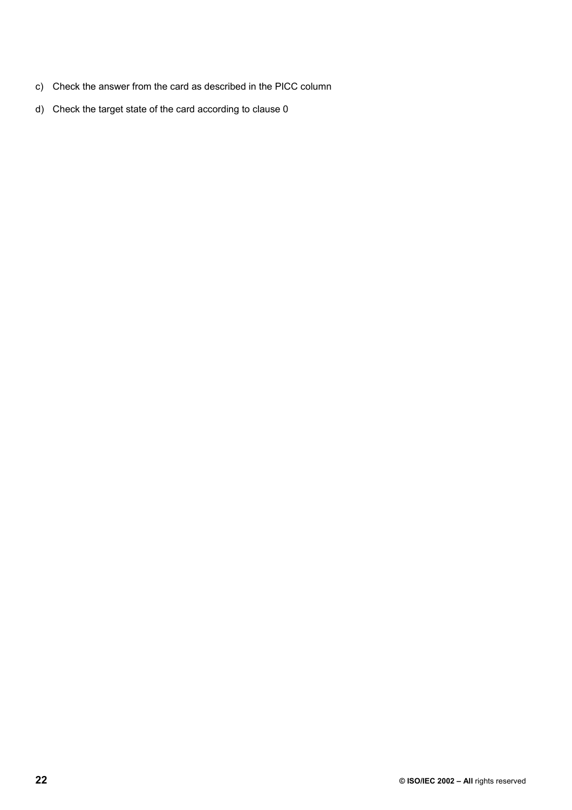- c) Check the answer from the card as described in the PICC column
- d) Check the target state of the card according to clause 0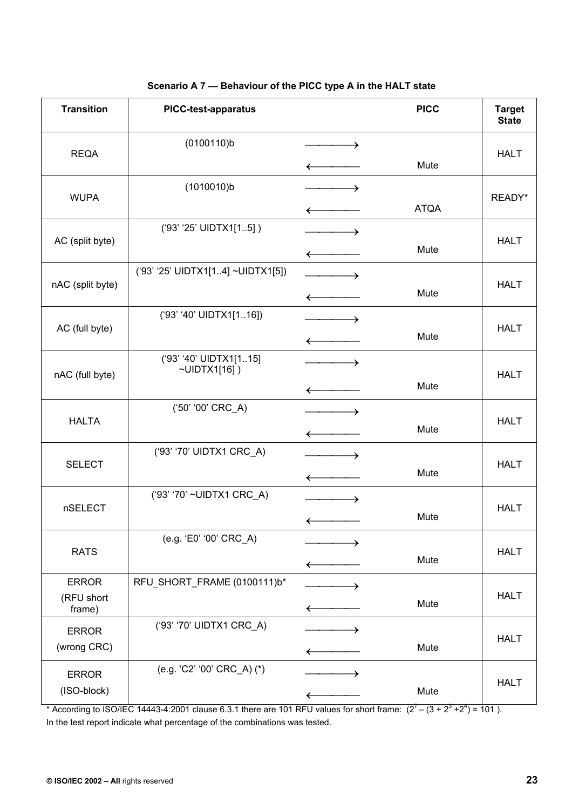| <b>Transition</b>                    | <b>PICC-test-apparatus</b>             |                  | <b>PICC</b> | <b>Target</b><br><b>State</b> |
|--------------------------------------|----------------------------------------|------------------|-------------|-------------------------------|
| <b>REQA</b>                          | (0100110)b                             | →                | Mute        | <b>HALT</b>                   |
| <b>WUPA</b>                          | (1010010)b                             | $\longleftarrow$ | <b>ATQA</b> | READY*                        |
| AC (split byte)                      | ('93' '25' UIDTX1[15])                 |                  | Mute        | <b>HALT</b>                   |
| nAC (split byte)                     | ('93' '25' UIDTX1[14] ~UIDTX1[5])      |                  | Mute        | <b>HALT</b>                   |
| AC (full byte)                       | ('93' '40' UIDTX1[116])                |                  | Mute        | <b>HALT</b>                   |
| nAC (full byte)                      | ('93' '40' UIDTX1[115]<br>~UIDTX1[16]) | →                | Mute        | <b>HALT</b>                   |
| <b>HALTA</b>                         | ('50' '00' CRC_A)                      |                  | Mute        | <b>HALT</b>                   |
| <b>SELECT</b>                        | ('93' '70' UIDTX1 CRC_A)               | →                | Mute        | <b>HALT</b>                   |
| nSELECT                              | ('93' '70' ~UIDTX1 CRC_A)              | →                | Mute        | <b>HALT</b>                   |
| <b>RATS</b>                          | (e.g. 'E0' '00' CRC_A)                 |                  | Mute        | <b>HALT</b>                   |
| <b>ERROR</b><br>(RFU short<br>frame) | RFU_SHORT_FRAME (0100111)b*            | ←                | Mute        | <b>HALT</b>                   |
| <b>ERROR</b><br>(wrong CRC)          | ('93' '70' UIDTX1 CRC_A)               |                  | Mute        | <b>HALT</b>                   |
| <b>ERROR</b><br>(ISO-block)          | (e.g. 'C2' '00' CRC_A) (*)             |                  | Mute        | <b>HALT</b>                   |

## **Scenario A 7 — Behaviour of the PICC type A in the HALT state**

\* According to ISO/IEC 14443-4:2001 clause 6.3.1 there are 101 RFU values for short frame:  $(2^7 - (3 + 2^3 + 2^4) = 101)$ . In the test report indicate what percentage of the combinations was tested.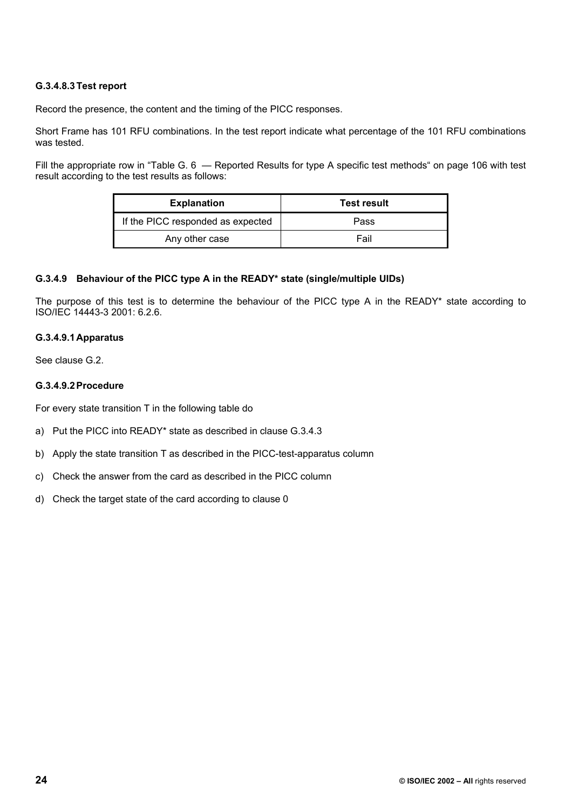### **G.3.4.8.3 Test report**

Record the presence, the content and the timing of the PICC responses.

Short Frame has 101 RFU combinations. In the test report indicate what percentage of the 101 RFU combinations was tested.

Fill the appropriate row in "Table G. 6 – Reported Results for type A specific test methods" on page 106 with test result according to the test results as follows:

| <b>Explanation</b>                | <b>Test result</b> |
|-----------------------------------|--------------------|
| If the PICC responded as expected | Pass               |
| Any other case                    | Fail               |

#### **G.3.4.9 Behaviour of the PICC type A in the READY\* state (single/multiple UIDs)**

The purpose of this test is to determine the behaviour of the PICC type A in the READY\* state according to ISO/IEC 14443-3 2001: 6.2.6.

#### **G.3.4.9.1 Apparatus**

See clause G.2.

#### **G.3.4.9.2 Procedure**

For every state transition T in the following table do

- a) Put the PICC into READY\* state as described in clause G.3.4.3
- b) Apply the state transition T as described in the PICC-test-apparatus column
- c) Check the answer from the card as described in the PICC column
- d) Check the target state of the card according to clause 0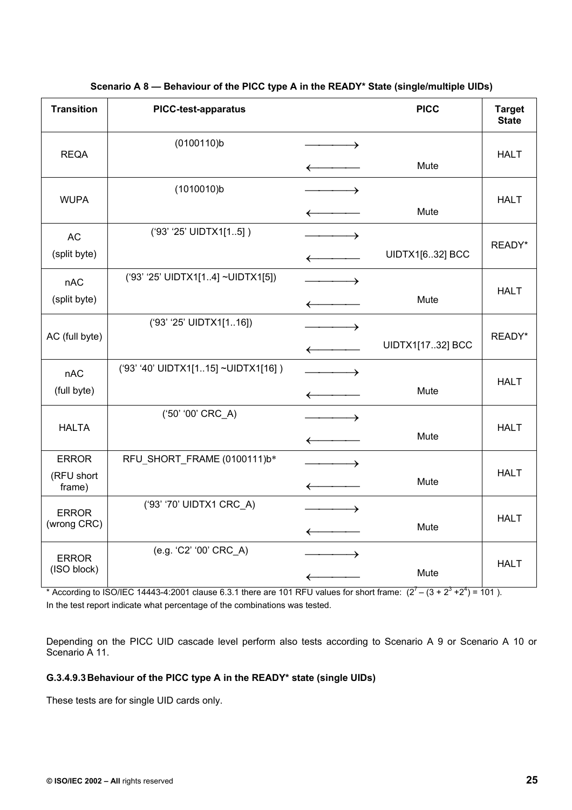| <b>Transition</b>                    | <b>PICC-test-apparatus</b>          |                                   | <b>PICC</b>      | <b>Target</b><br><b>State</b> |
|--------------------------------------|-------------------------------------|-----------------------------------|------------------|-------------------------------|
| <b>REQA</b>                          | (0100110)b                          | $\leftarrow$                      | Mute             | <b>HALT</b>                   |
| <b>WUPA</b>                          | (1010010)b                          | $\leftarrow$                      | Mute             | <b>HALT</b>                   |
| <b>AC</b><br>(split byte)            | ('93' '25' UIDTX1[15])              | $\leftarrow$                      | UIDTX1[632] BCC  | READY*                        |
| nAC<br>(split byte)                  | ('93' '25' UIDTX1[14] ~UIDTX1[5])   | $\rightarrow$<br>$\longleftarrow$ | Mute             | <b>HALT</b>                   |
| AC (full byte)                       | ('93' '25' UIDTX1[116])             |                                   | UIDTX1[1732] BCC | READY*                        |
| nAC<br>(full byte)                   | ('93' '40' UIDTX1[115] ~UIDTX1[16]) | $\rightarrow$<br>$\longleftarrow$ | Mute             | <b>HALT</b>                   |
| <b>HALTA</b>                         | ('50' '00' CRC_A)                   |                                   | Mute             | <b>HALT</b>                   |
| <b>ERROR</b><br>(RFU short<br>frame) | RFU_SHORT_FRAME (0100111)b*         | $\longrightarrow$                 | Mute             | <b>HALT</b>                   |
| <b>ERROR</b><br>(wrong CRC)          | ('93' '70' UIDTX1 CRC_A)            | $\overline{\phantom{a}}$          | Mute             | <b>HALT</b>                   |
| <b>ERROR</b><br>(ISO block)          | (e.g. 'C2' '00' CRC_A)              | $\rightarrow$<br>$\leftarrow$     | Mute             | <b>HALT</b>                   |

**Scenario A 8 — Behaviour of the PICC type A in the READY\* State (single/multiple UIDs)** 

\* According to ISO/IEC 14443-4:2001 clause 6.3.1 there are 101 RFU values for short frame:  $(2^7 - (3 + 2^3 + 2^4) = 101)$ . In the test report indicate what percentage of the combinations was tested.

Depending on the PICC UID cascade level perform also tests according to Scenario A 9 or Scenario A 10 or Scenario A 11.

## **G.3.4.9.3 Behaviour of the PICC type A in the READY\* state (single UIDs)**

These tests are for single UID cards only.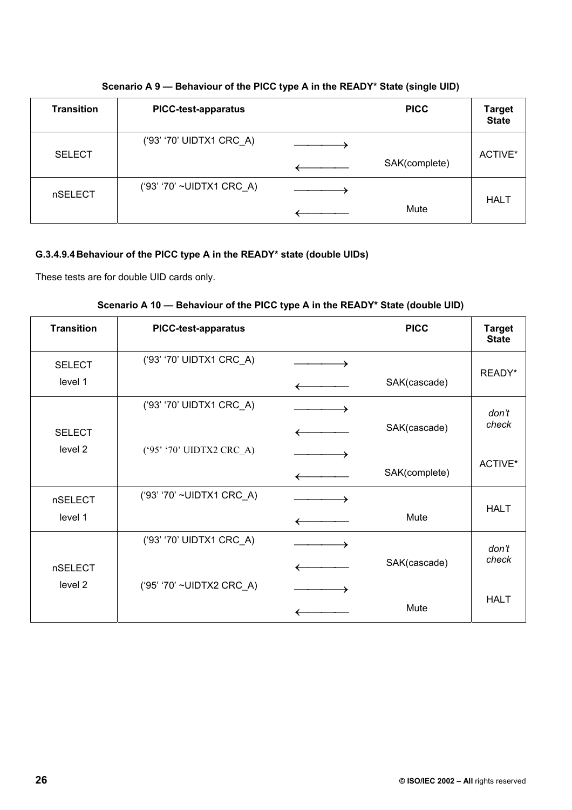| Scenario A 9 – Behaviour of the PICC type A in the READY* State (single UID) |  |  |
|------------------------------------------------------------------------------|--|--|
|------------------------------------------------------------------------------|--|--|

| <b>Transition</b> | <b>PICC-test-apparatus</b> | <b>PICC</b>   | <b>Target</b><br><b>State</b> |  |
|-------------------|----------------------------|---------------|-------------------------------|--|
|                   | ('93' '70' UIDTX1 CRC_A)   |               |                               |  |
| <b>SELECT</b>     |                            | SAK(complete) | ACTIVE*                       |  |
| nSELECT           | ('93' '70' ~UIDTX1 CRC_A)  |               |                               |  |
|                   |                            | Mute          | <b>HALT</b>                   |  |

# **G.3.4.9.4 Behaviour of the PICC type A in the READY\* state (double UIDs)**

These tests are for double UID cards only.

| Scenario A 10 — Behaviour of the PICC type A in the READY* State (double UID) |  |  |  |  |  |
|-------------------------------------------------------------------------------|--|--|--|--|--|
|                                                                               |  |  |  |  |  |
|                                                                               |  |  |  |  |  |

| <b>Transition</b>  | <b>PICC-test-apparatus</b> | <b>PICC</b>   | <b>Target</b><br><b>State</b> |
|--------------------|----------------------------|---------------|-------------------------------|
| <b>SELECT</b>      | ('93' '70' UIDTX1 CRC_A)   |               |                               |
| level 1            |                            | SAK(cascade)  | READY*                        |
|                    | ('93' '70' UIDTX1 CRC_A)   |               | don't                         |
| <b>SELECT</b>      |                            | SAK(cascade)  | check                         |
| level <sub>2</sub> | ('95' '70' UIDTX2 CRC_A)   |               |                               |
|                    |                            | SAK(complete) | ACTIVE*                       |
| nSELECT            | ('93' '70' ~UIDTX1 CRC_A)  |               |                               |
| level 1            |                            | Mute          | <b>HALT</b>                   |
|                    | ('93' '70' UIDTX1 CRC_A)   |               | don't                         |
| nSELECT            |                            | SAK(cascade)  | check                         |
| level 2            | ('95' '70' ~UIDTX2 CRC_A)  |               |                               |
|                    |                            | Mute          | <b>HALT</b>                   |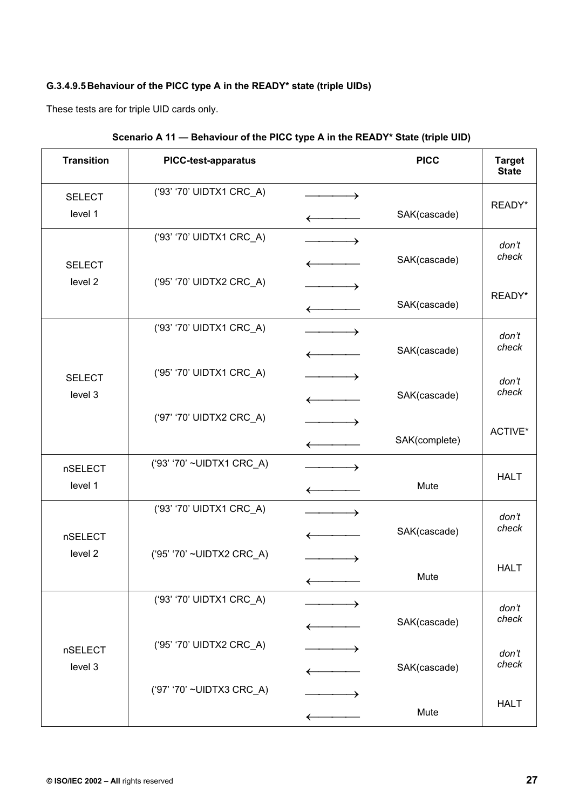# **G.3.4.9.5 Behaviour of the PICC type A in the READY\* state (triple UIDs)**

These tests are for triple UID cards only.

| <b>Transition</b> | <b>PICC-test-apparatus</b> |                          | <b>PICC</b>   | <b>Target</b><br><b>State</b> |
|-------------------|----------------------------|--------------------------|---------------|-------------------------------|
| <b>SELECT</b>     | ('93' '70' UIDTX1 CRC_A)   | $\rightarrow$            |               |                               |
| level 1           |                            |                          | SAK(cascade)  | READY*                        |
|                   | ('93' '70' UIDTX1 CRC_A)   | →                        |               | don't                         |
| <b>SELECT</b>     |                            | $\leftarrow$             | SAK(cascade)  | check                         |
| level 2           | ('95' '70' UIDTX2 CRC_A)   |                          |               |                               |
|                   |                            | $\longleftarrow$         | SAK(cascade)  | READY*                        |
|                   | ('93' '70' UIDTX1 CRC_A)   | $\overline{\phantom{a}}$ |               | don't                         |
|                   |                            |                          | SAK(cascade)  | check                         |
| <b>SELECT</b>     | ('95' '70' UIDTX1 CRC_A)   |                          |               | don't                         |
| level 3           |                            |                          | SAK(cascade)  | check                         |
|                   | ('97' '70' UIDTX2 CRC_A)   |                          |               |                               |
|                   |                            |                          | SAK(complete) | ACTIVE*                       |
| nSELECT           | ('93' '70' ~UIDTX1 CRC_A)  |                          |               |                               |
| level 1           |                            |                          | Mute          | <b>HALT</b>                   |
|                   | ('93' '70' UIDTX1 CRC_A)   |                          |               | don't                         |
| nSELECT           |                            |                          | SAK(cascade)  | check                         |
| level 2           | ('95' '70' ~UIDTX2 CRC_A)  | $\longrightarrow$        |               |                               |
|                   |                            |                          | Mute          | <b>HALT</b>                   |
|                   | ('93' '70' UIDTX1 CRC_A)   |                          |               | don't                         |
|                   |                            |                          | SAK(cascade)  | check                         |
| nSELECT           | ('95' '70' UIDTX2 CRC_A)   |                          |               | don't                         |
| level 3           |                            |                          | SAK(cascade)  | check                         |
|                   | ('97' '70' ~UIDTX3 CRC_A)  |                          |               |                               |
|                   |                            |                          | Mute          | <b>HALT</b>                   |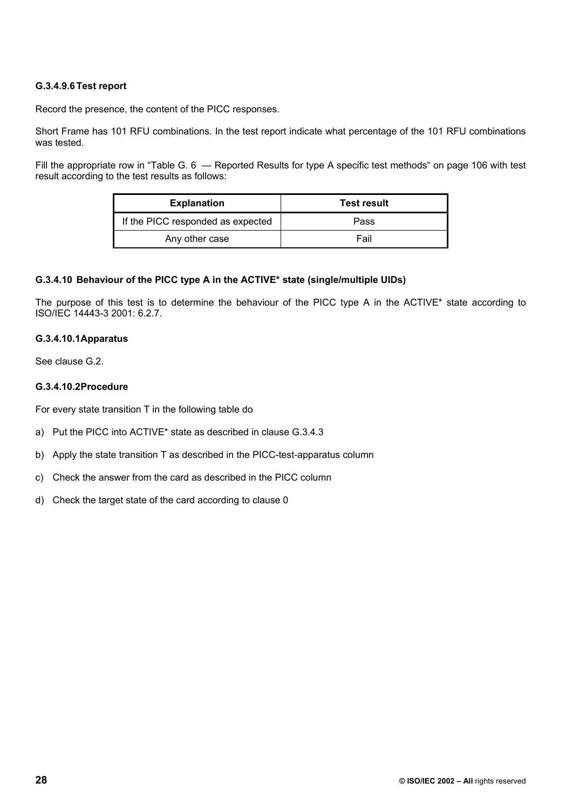### **G.3.4.9.6 Test report**

Record the presence, the content of the PICC responses.

Short Frame has 101 RFU combinations. In the test report indicate what percentage of the 101 RFU combinations was tested.

Fill the appropriate row in "Table G. 6 – Reported Results for type A specific test methods" on page 106 with test result according to the test results as follows:

| <b>Explanation</b>                | <b>Test result</b> |  |
|-----------------------------------|--------------------|--|
| If the PICC responded as expected | Pass               |  |
| Any other case                    | Fail               |  |

#### **G.3.4.10 Behaviour of the PICC type A in the ACTIVE\* state (single/multiple UIDs)**

The purpose of this test is to determine the behaviour of the PICC type A in the ACTIVE\* state according to ISO/IEC 14443-3 2001: 6.2.7.

### **G.3.4.10.1 Apparatus**

See clause G.2.

#### **G.3.4.10.2 Procedure**

For every state transition T in the following table do

- a) Put the PICC into ACTIVE\* state as described in clause G.3.4.3
- b) Apply the state transition T as described in the PICC-test-apparatus column
- c) Check the answer from the card as described in the PICC column
- d) Check the target state of the card according to clause 0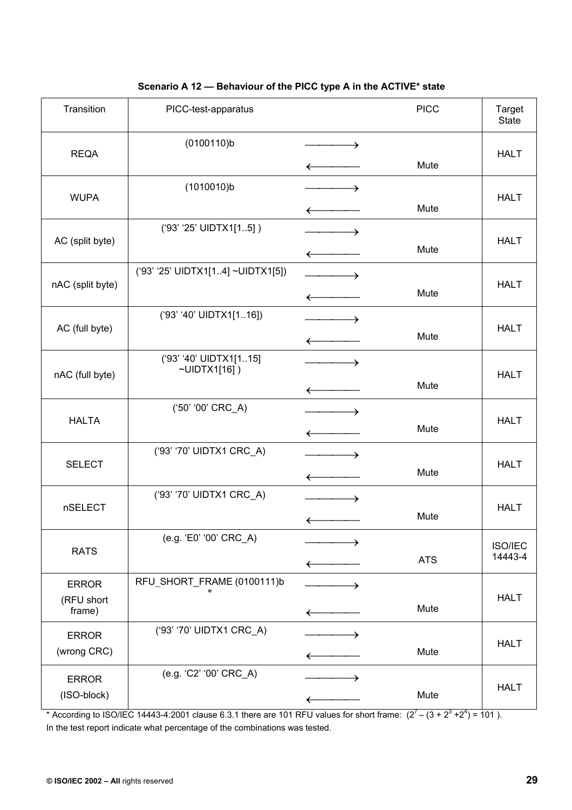| Transition                           | PICC-test-apparatus                    |                          | <b>PICC</b> | Target<br><b>State</b>    |
|--------------------------------------|----------------------------------------|--------------------------|-------------|---------------------------|
| <b>REQA</b>                          | (0100110)b                             | →                        | Mute        | <b>HALT</b>               |
| <b>WUPA</b>                          | (1010010)b                             | →                        | Mute        | <b>HALT</b>               |
| AC (split byte)                      | ('93' '25' UIDTX1[15])                 |                          | Mute        | <b>HALT</b>               |
| nAC (split byte)                     | ('93' '25' UIDTX1[14] ~UIDTX1[5])      |                          | Mute        | <b>HALT</b>               |
| AC (full byte)                       | ('93' '40' UIDTX1[116])                | $\overline{\phantom{a}}$ | Mute        | <b>HALT</b>               |
| nAC (full byte)                      | ('93' '40' UIDTX1[115]<br>~UIDTX1[16]) | →                        | Mute        | <b>HALT</b>               |
| <b>HALTA</b>                         | ('50' '00' CRC_A)                      | →                        | Mute        | <b>HALT</b>               |
| <b>SELECT</b>                        | ('93' '70' UIDTX1 CRC_A)               | →<br>$\leftarrow$        | Mute        | <b>HALT</b>               |
| nSELECT                              | ('93' '70' UIDTX1 CRC_A)               | →                        | Mute        | <b>HALT</b>               |
| <b>RATS</b>                          | (e.g. 'E0' '00' CRC_A)                 | ←                        | <b>ATS</b>  | <b>ISO/IEC</b><br>14443-4 |
| <b>ERROR</b><br>(RFU short<br>frame) | RFU_SHORT_FRAME (0100111)b             | →                        | Mute        | <b>HALT</b>               |
| <b>ERROR</b><br>(wrong CRC)          | ('93' '70' UIDTX1 CRC_A)               | →<br>←                   | Mute        | <b>HALT</b>               |
| <b>ERROR</b><br>(ISO-block)          | (e.g. 'C2' '00' CRC_A)                 |                          | Mute        | <b>HALT</b>               |

## **Scenario A 12 — Behaviour of the PICC type A in the ACTIVE\* state**

\* According to ISO/IEC 14443-4:2001 clause 6.3.1 there are 101 RFU values for short frame:  $(2^7 - (3 + 2^3 + 2^4) = 101)$ . In the test report indicate what percentage of the combinations was tested.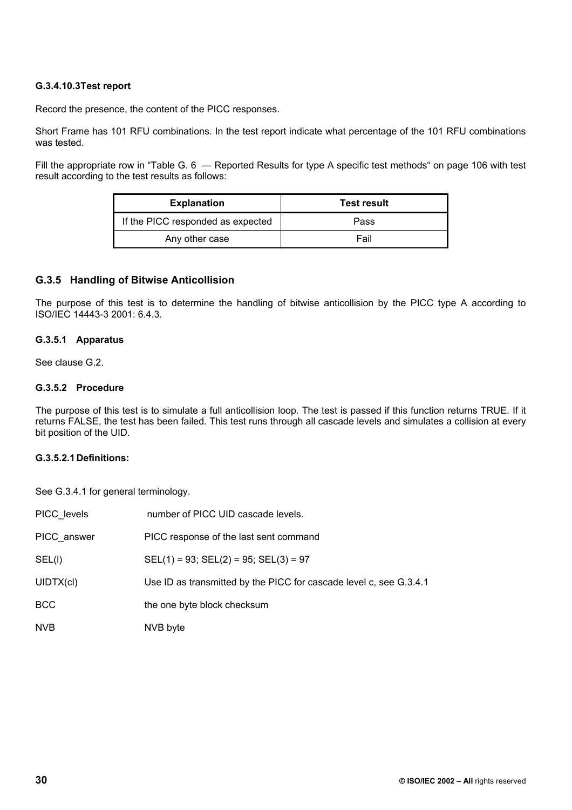### **G.3.4.10.3 Test report**

Record the presence, the content of the PICC responses.

Short Frame has 101 RFU combinations. In the test report indicate what percentage of the 101 RFU combinations was tested.

Fill the appropriate row in "Table G. 6 – Reported Results for type A specific test methods" on page 106 with test result according to the test results as follows:

| <b>Explanation</b>                | <b>Test result</b> |  |
|-----------------------------------|--------------------|--|
| If the PICC responded as expected | Pass               |  |
| Any other case                    | Fail               |  |

### **G.3.5 Handling of Bitwise Anticollision**

The purpose of this test is to determine the handling of bitwise anticollision by the PICC type A according to ISO/IEC 14443-3 2001: 6.4.3.

#### **G.3.5.1 Apparatus**

See clause G.2.

#### **G.3.5.2 Procedure**

The purpose of this test is to simulate a full anticollision loop. The test is passed if this function returns TRUE. If it returns FALSE, the test has been failed. This test runs through all cascade levels and simulates a collision at every bit position of the UID.

#### **G.3.5.2.1 Definitions:**

See G.3.4.1 for general terminology.

| PICC levels | number of PICC UID cascade levels.                                 |
|-------------|--------------------------------------------------------------------|
| PICC answer | PICC response of the last sent command                             |
| SEL(I)      | $SEL(1) = 93$ ; $SEL(2) = 95$ ; $SEL(3) = 97$                      |
| UIDTX(cl)   | Use ID as transmitted by the PICC for cascade level c, see G.3.4.1 |
| <b>BCC</b>  | the one byte block checksum                                        |
| <b>NVB</b>  | NVB byte                                                           |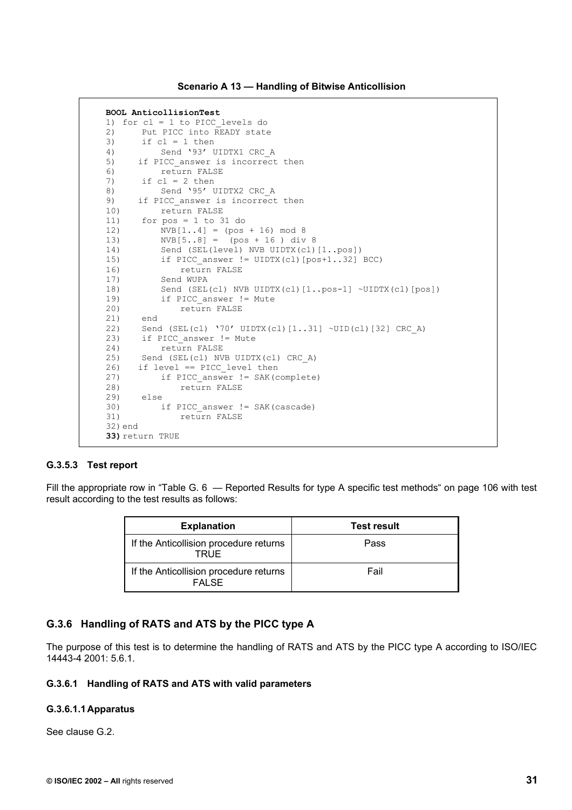**Scenario A 13 — Handling of Bitwise Anticollision** 

```
BOOL AnticollisionTest 
1) for cl = 1 to PICC_levels do 
2) Put PICC into READY state 
3) if cl = 1 then<br>4) Send '93' U
4) Send '93' UIDTX1 CRC_A<br>5) if PICC answer is incorrect
5) if PICC_answer is incorrect then<br>6) return FALSE
           6) return FALSE 
7) if cl = 2 then
8) Send '95' UIDTX2 CRC A
9) if PICC_answer is incorrect then
10) return FALSE 
11) for pos = 1 to 31 do 
12) NVB[1..4] = (pos + 16) mod 8 
13) NVB[5..8] = (pos + 16 ) div 8 
14) Send (SEL(level) NVB UIDTX(cl)[1..pos])<br>15) if PICC answer != UIDTX(cl)[pos+1..32]
           if PICC answer != UIDTX(cl)[pos+1..32] BCC)
16) return FALSE 
17) Send WUPA<br>18) Send (SEL
           Send (SEL(cl) NVB UIDTX(cl)[1..pos-1] ~UIDTX(cl)[pos])
19) if PICC_answer != Mute<br>20) enturn FALSE
               return FALSE
21) end 
22) Send (SEL(cl) '70' UIDTX(cl)[1..31] ~UID(cl)[32] CRC_A) 
23) if PICC_answer != Mute 
24) return FALSE 
25) Send (SEL(cl) NVB UIDTX(cl) CRC_A)<br>26) if level == PICC level then
     if level == PICC level then
27) if PICC_answer != SAK(complete) 
28) return FALSE<br>29) else
      else
30) if PICC_answer != SAK(cascade) 
               return FALSE
32) end 
33) return TRUE
```
#### **G.3.5.3 Test report**

Fill the appropriate row in "Table G. 6 — Reported Results for type A specific test methods" on page 106 with test result according to the test results as follows:

| <b>Explanation</b>                               | <b>Test result</b> |
|--------------------------------------------------|--------------------|
| If the Anticollision procedure returns<br>TRUE   | Pass               |
| If the Anticollision procedure returns<br>FAI SF | Fail               |

### **G.3.6 Handling of RATS and ATS by the PICC type A**

The purpose of this test is to determine the handling of RATS and ATS by the PICC type A according to ISO/IEC 14443-4 2001: 5.6.1.

#### **G.3.6.1 Handling of RATS and ATS with valid parameters**

#### **G.3.6.1.1 Apparatus**

See clause G.2.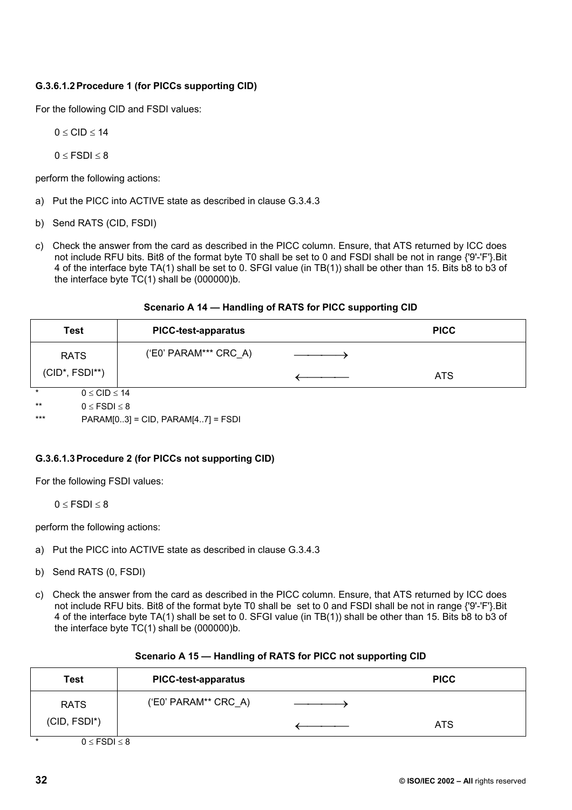## **G.3.6.1.2 Procedure 1 (for PICCs supporting CID)**

For the following CID and FSDI values:

$$
0 \leq CID \leq 14
$$

 $0 \leq$  FSDI $\leq$ 8

perform the following actions:

- a) Put the PICC into ACTIVE state as described in clause G.3.4.3
- b) Send RATS (CID, FSDI)
- c) Check the answer from the card as described in the PICC column. Ensure, that ATS returned by ICC does not include RFU bits. Bit8 of the format byte T0 shall be set to 0 and FSDI shall be not in range {'9'-'F'}.Bit 4 of the interface byte TA(1) shall be set to 0. SFGI value (in TB(1)) shall be other than 15. Bits b8 to b3 of the interface byte TC(1) shall be (000000)b.

| Scenario A 14 — Handling of RATS for PICC supporting CID |  |  |  |  |
|----------------------------------------------------------|--|--|--|--|
|----------------------------------------------------------|--|--|--|--|

| Test                            | <b>PICC-test-apparatus</b> | <b>PICC</b> |
|---------------------------------|----------------------------|-------------|
| <b>RATS</b>                     | ('E0' PARAM*** CRC_A)      |             |
| $(CID^*, FSDI^{**})$            |                            | <b>ATS</b>  |
| $\star$<br>$0 \leq CID \leq 14$ |                            |             |
| $***$<br>$0 \leq$ FSDI $\leq$ 8 |                            |             |

\*\*\* PARAM[0..3] = CID, PARAM[4..7] = FSDI

### **G.3.6.1.3 Procedure 2 (for PICCs not supporting CID)**

For the following FSDI values:

 $0 \leq$  FSDI  $\leq$  8

perform the following actions:

- a) Put the PICC into ACTIVE state as described in clause G.3.4.3
- b) Send RATS (0, FSDI)
- c) Check the answer from the card as described in the PICC column. Ensure, that ATS returned by ICC does not include RFU bits. Bit8 of the format byte T0 shall be set to 0 and FSDI shall be not in range {'9'-'F'}.Bit 4 of the interface byte TA(1) shall be set to 0. SFGI value (in TB(1)) shall be other than 15. Bits b8 to b3 of the interface byte  $TC(1)$  shall be  $(000000)$ b.

| Test         | <b>PICC-test-apparatus</b> | <b>PICC</b> |  |
|--------------|----------------------------|-------------|--|
| <b>RATS</b>  | $(EC' PARAM** CRC A)$      |             |  |
| (CID, FSDI*) |                            | <b>ATS</b>  |  |

#### **Scenario A 15 — Handling of RATS for PICC not supporting CID**

\*  $0 \leq FSDI \leq 8$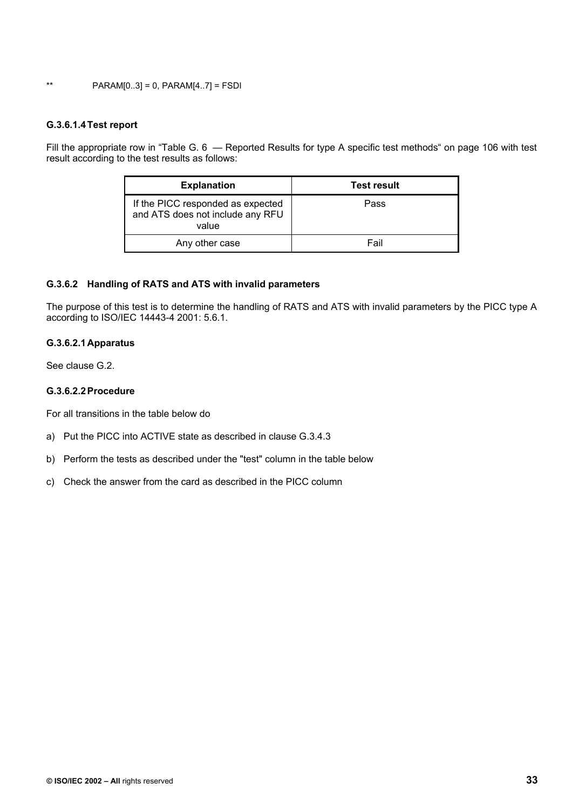\*\* PARAM[0..3] = 0, PARAM[4..7] = FSDI

#### **G.3.6.1.4 Test report**

Fill the appropriate row in "Table G. 6 — Reported Results for type A specific test methods" on page 106 with test result according to the test results as follows:

| <b>Explanation</b>                                                             | <b>Test result</b> |
|--------------------------------------------------------------------------------|--------------------|
| If the PICC responded as expected<br>and ATS does not include any RFU<br>value | Pass               |
| Any other case                                                                 | Fail               |

#### **G.3.6.2 Handling of RATS and ATS with invalid parameters**

The purpose of this test is to determine the handling of RATS and ATS with invalid parameters by the PICC type A according to ISO/IEC 14443-4 2001: 5.6.1.

#### **G.3.6.2.1 Apparatus**

See clause G.2.

### **G.3.6.2.2 Procedure**

For all transitions in the table below do

- a) Put the PICC into ACTIVE state as described in clause G.3.4.3
- b) Perform the tests as described under the "test" column in the table below
- c) Check the answer from the card as described in the PICC column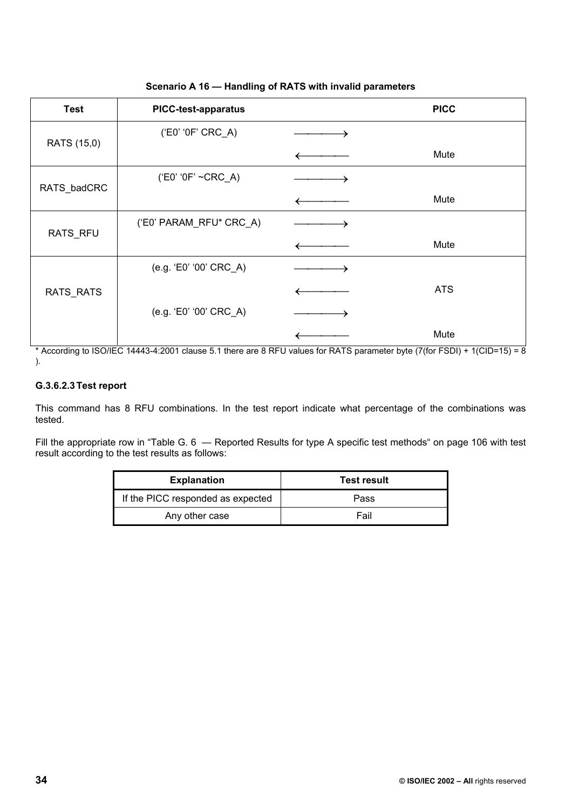| <b>Test</b> | <b>PICC-test-apparatus</b> | <b>PICC</b> |
|-------------|----------------------------|-------------|
| RATS (15,0) | ('E0' '0F' CRC_A)          |             |
|             |                            | Mute        |
| RATS_badCRC | $(EC' '0F' \sim CRC_A)$    |             |
|             |                            | Mute        |
| RATS_RFU    | ('E0' PARAM_RFU* CRC_A)    |             |
|             |                            | Mute        |
|             | (e.g. 'E0' '00' CRC_A)     |             |
| RATS_RATS   |                            | <b>ATS</b>  |
|             | (e.g. 'E0' '00' CRC_A)     |             |
|             |                            | Mute        |

**Scenario A 16 — Handling of RATS with invalid parameters** 

\* According to ISO/IEC 14443-4:2001 clause 5.1 there are 8 RFU values for RATS parameter byte (7(for FSDI) + 1(CID=15) = 8 ).

## **G.3.6.2.3 Test report**

This command has 8 RFU combinations. In the test report indicate what percentage of the combinations was tested.

Fill the appropriate row in "Table G. 6 — Reported Results for type A specific test methods" on page 106 with test result according to the test results as follows:

| <b>Explanation</b>                | <b>Test result</b> |
|-----------------------------------|--------------------|
| If the PICC responded as expected | Pass               |
| Any other case                    | Fail               |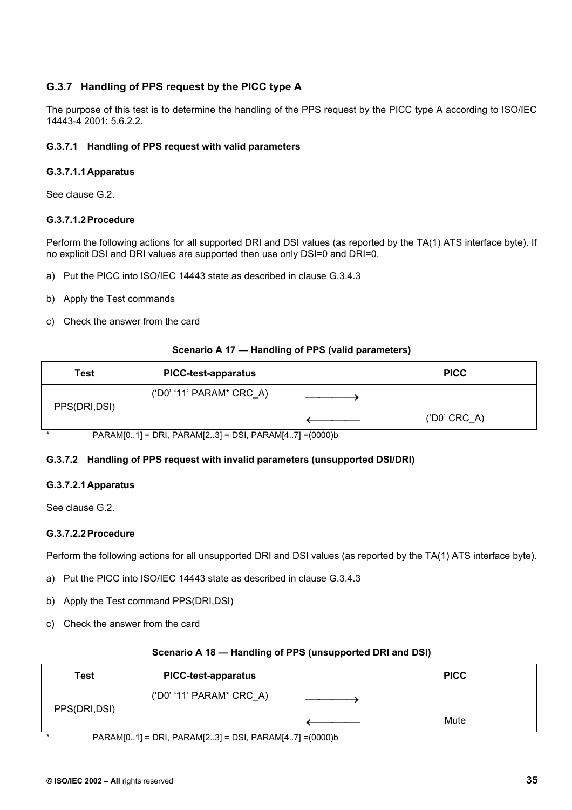# **G.3.7 Handling of PPS request by the PICC type A**

The purpose of this test is to determine the handling of the PPS request by the PICC type A according to ISO/IEC 14443-4 2001: 5.6.2.2.

### **G.3.7.1 Handling of PPS request with valid parameters**

#### **G.3.7.1.1 Apparatus**

See clause G.2.

#### **G.3.7.1.2 Procedure**

Perform the following actions for all supported DRI and DSI values (as reported by the TA(1) ATS interface byte). If no explicit DSI and DRI values are supported then use only DSI=0 and DRI=0.

- a) Put the PICC into ISO/IEC 14443 state as described in clause G.3.4.3
- b) Apply the Test commands
- c) Check the answer from the card

#### **Scenario A 17 — Handling of PPS (valid parameters)**

| Test          | <b>PICC-test-apparatus</b>                              | <b>PICC</b>           |
|---------------|---------------------------------------------------------|-----------------------|
| PPS(DRI, DSI) | $(100' 11'$ PARAM* CRC A)                               |                       |
|               |                                                         | $(100^{\circ}$ CRC_A) |
|               | PARAMIO 11 = DRI PARAMIO 31 = DSI PARAMIA 71 = (0000) b |                       |

\* PARAM[0..1] = DRI, PARAM[2..3] = DSI, PARAM[4..7] =(0000)b

### **G.3.7.2 Handling of PPS request with invalid parameters (unsupported DSI/DRI)**

### **G.3.7.2.1 Apparatus**

See clause G.2.

### **G.3.7.2.2 Procedure**

Perform the following actions for all unsupported DRI and DSI values (as reported by the TA(1) ATS interface byte).

- a) Put the PICC into ISO/IEC 14443 state as described in clause G.3.4.3
- b) Apply the Test command PPS(DRI,DSI)
- c) Check the answer from the card

| Test          | <b>PICC-test-apparatus</b>                            | <b>PICC</b> |
|---------------|-------------------------------------------------------|-------------|
| PPS(DRI, DSI) | $(100' 11'$ PARAM* CRC A)                             |             |
|               |                                                       | Mute        |
|               | PARAM[01] = DRI, PARAM[23] = DSI, PARAM[47] = (0000)b |             |

#### **Scenario A 18 — Handling of PPS (unsupported DRI and DSI)**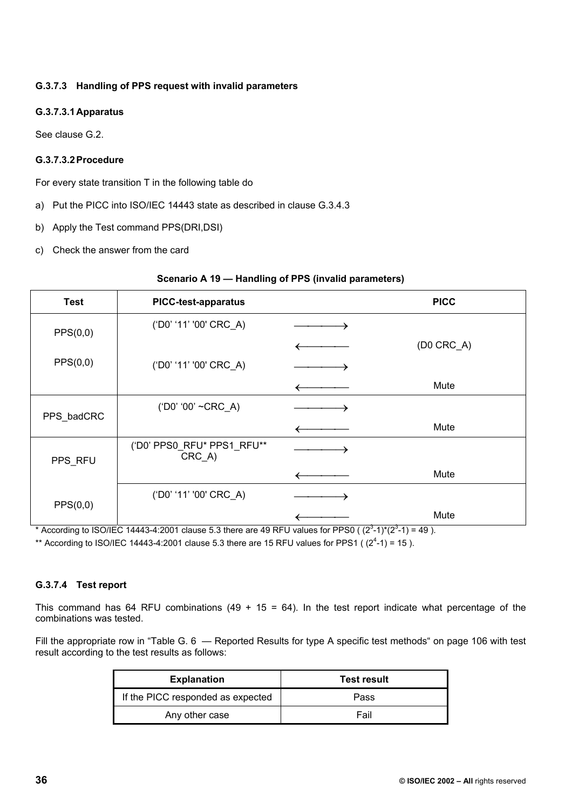# **G.3.7.3 Handling of PPS request with invalid parameters**

# **G.3.7.3.1 Apparatus**

See clause G.2.

### **G.3.7.3.2 Procedure**

For every state transition T in the following table do

- a) Put the PICC into ISO/IEC 14443 state as described in clause G.3.4.3
- b) Apply the Test command PPS(DRI,DSI)
- c) Check the answer from the card

### **Scenario A 19 — Handling of PPS (invalid parameters)**

| <b>Test</b> | <b>PICC-test-apparatus</b>              | <b>PICC</b>  |
|-------------|-----------------------------------------|--------------|
| PPS(0,0)    | ('D0' '11' '00' CRC_A)                  |              |
|             |                                         | $(DO CRC_A)$ |
| PPS(0,0)    | ('D0' '11' '00' CRC_A)                  |              |
|             |                                         | Mute         |
|             | ('D0' '00' ~CRC_A)                      |              |
| PPS_badCRC  |                                         | Mute         |
| PPS_RFU     | ('D0' PPS0_RFU* PPS1_RFU**<br>$CRC_A$ ) |              |
|             |                                         | Mute         |
| PPS(0,0)    | ('D0' '11' '00' CRC_A)                  |              |
|             |                                         | Mute         |

\* According to ISO/IEC 14443-4:2001 clause 5.3 there are 49 RFU values for PPS0 ( $(2^3-1)^*(2^3-1) = 49$ ).

\*\* According to ISO/IEC 14443-4:2001 clause 5.3 there are 15 RFU values for PPS1 ( $(2^4$ -1) = 15).

# **G.3.7.4 Test report**

This command has 64 RFU combinations (49 + 15 = 64). In the test report indicate what percentage of the combinations was tested.

Fill the appropriate row in "Table G. 6 — Reported Results for type A specific test methods" on page 106 with test result according to the test results as follows:

| <b>Explanation</b>                | <b>Test result</b> |  |
|-----------------------------------|--------------------|--|
| If the PICC responded as expected | Pass               |  |
| Any other case                    | Fail               |  |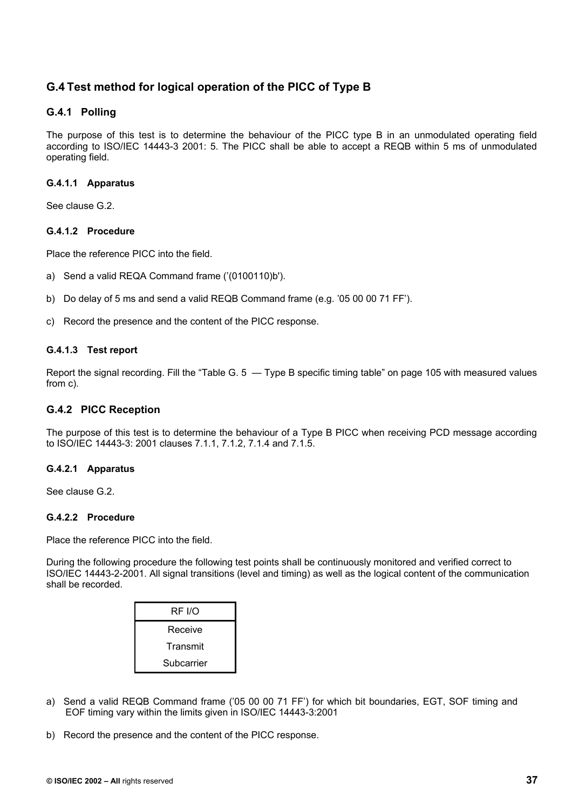# **G.4 Test method for logical operation of the PICC of Type B**

# **G.4.1 Polling**

The purpose of this test is to determine the behaviour of the PICC type B in an unmodulated operating field according to ISO/IEC 14443-3 2001: 5. The PICC shall be able to accept a REQB within 5 ms of unmodulated operating field.

### **G.4.1.1 Apparatus**

See clause G.2.

### **G.4.1.2 Procedure**

Place the reference PICC into the field.

- a) Send a valid REQA Command frame ('(0100110)b').
- b) Do delay of 5 ms and send a valid REQB Command frame (e.g. '05 00 00 71 FF').
- c) Record the presence and the content of the PICC response.

### **G.4.1.3 Test report**

Report the signal recording. Fill the "Table G. 5 — Type B specific timing table" on page 105 with measured values from c).

# **G.4.2 PICC Reception**

The purpose of this test is to determine the behaviour of a Type B PICC when receiving PCD message according to ISO/IEC 14443-3: 2001 clauses 7.1.1, 7.1.2, 7.1.4 and 7.1.5.

### **G.4.2.1 Apparatus**

See clause G.2.

### **G.4.2.2 Procedure**

Place the reference PICC into the field.

During the following procedure the following test points shall be continuously monitored and verified correct to ISO/IEC 14443-2-2001. All signal transitions (level and timing) as well as the logical content of the communication shall be recorded.

| RF I/O     |
|------------|
| Receive    |
| Transmit   |
| Subcarrier |

- a) Send a valid REQB Command frame ('05 00 00 71 FF') for which bit boundaries, EGT, SOF timing and EOF timing vary within the limits given in ISO/IEC 14443-3:2001
- b) Record the presence and the content of the PICC response.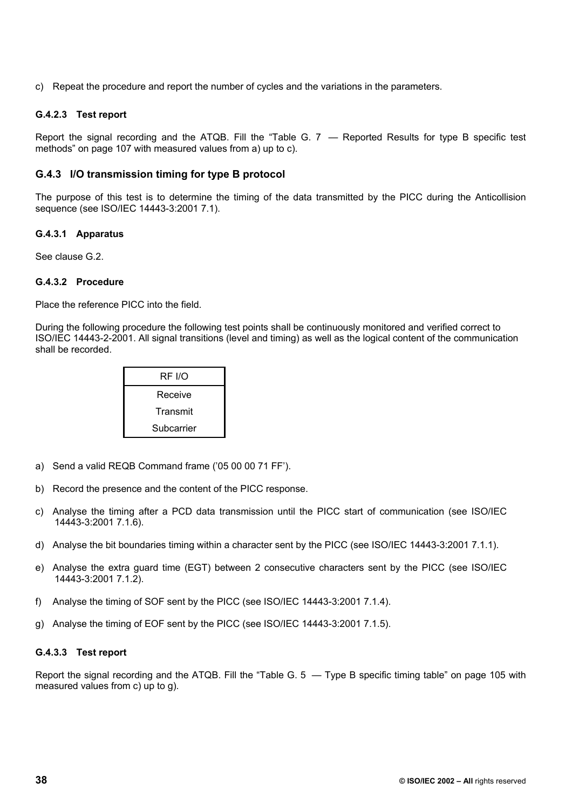c) Repeat the procedure and report the number of cycles and the variations in the parameters.

#### **G.4.2.3 Test report**

Report the signal recording and the ATQB. Fill the "Table G. 7 — Reported Results for type B specific test methods" on page 107 with measured values from a) up to c).

### **G.4.3 I/O transmission timing for type B protocol**

The purpose of this test is to determine the timing of the data transmitted by the PICC during the Anticollision sequence (see ISO/IEC 14443-3:2001 7.1).

#### **G.4.3.1 Apparatus**

See clause G.2.

#### **G.4.3.2 Procedure**

Place the reference PICC into the field.

During the following procedure the following test points shall be continuously monitored and verified correct to ISO/IEC 14443-2-2001. All signal transitions (level and timing) as well as the logical content of the communication shall be recorded.

| RF I/O     |  |
|------------|--|
| Receive    |  |
| Transmit   |  |
| Subcarrier |  |

- a) Send a valid REQB Command frame ('05 00 00 71 FF').
- b) Record the presence and the content of the PICC response.
- c) Analyse the timing after a PCD data transmission until the PICC start of communication (see ISO/IEC 14443-3:2001 7.1.6).
- d) Analyse the bit boundaries timing within a character sent by the PICC (see ISO/IEC 14443-3:2001 7.1.1).
- e) Analyse the extra guard time (EGT) between 2 consecutive characters sent by the PICC (see ISO/IEC 14443-3:2001 7.1.2).
- f) Analyse the timing of SOF sent by the PICC (see ISO/IEC 14443-3:2001 7.1.4).
- g) Analyse the timing of EOF sent by the PICC (see ISO/IEC 14443-3:2001 7.1.5).

### **G.4.3.3 Test report**

Report the signal recording and the ATQB. Fill the "Table G. 5 — Type B specific timing table" on page 105 with measured values from c) up to g).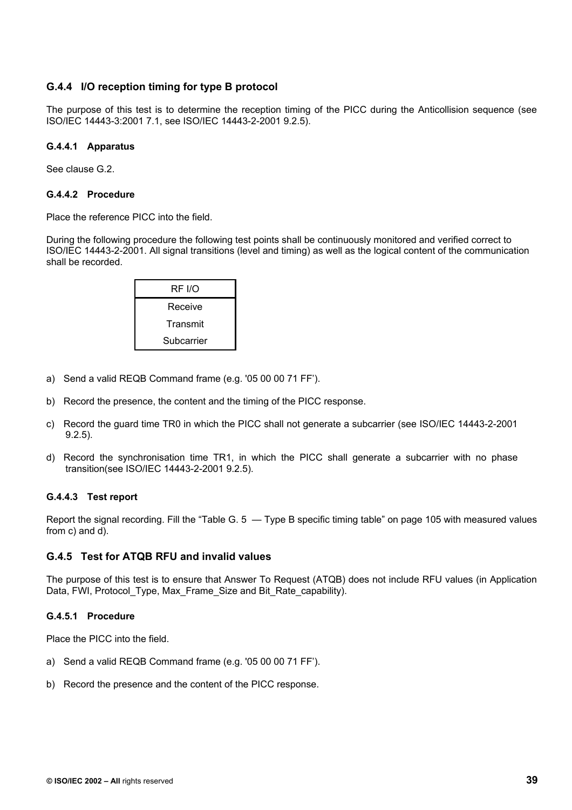# **G.4.4 I/O reception timing for type B protocol**

The purpose of this test is to determine the reception timing of the PICC during the Anticollision sequence (see ISO/IEC 14443-3:2001 7.1, see ISO/IEC 14443-2-2001 9.2.5).

### **G.4.4.1 Apparatus**

See clause G.2.

#### **G.4.4.2 Procedure**

Place the reference PICC into the field.

During the following procedure the following test points shall be continuously monitored and verified correct to ISO/IEC 14443-2-2001. All signal transitions (level and timing) as well as the logical content of the communication shall be recorded.

| RF I/O     |  |
|------------|--|
| Receive    |  |
| Transmit   |  |
| Subcarrier |  |

- a) Send a valid REQB Command frame (e.g. '05 00 00 71 FF').
- b) Record the presence, the content and the timing of the PICC response.
- c) Record the guard time TR0 in which the PICC shall not generate a subcarrier (see ISO/IEC 14443-2-2001 9.2.5).
- d) Record the synchronisation time TR1, in which the PICC shall generate a subcarrier with no phase transition(see ISO/IEC 14443-2-2001 9.2.5).

### **G.4.4.3 Test report**

Report the signal recording. Fill the "Table G. 5 — Type B specific timing table" on page 105 with measured values from c) and d).

### **G.4.5 Test for ATQB RFU and invalid values**

The purpose of this test is to ensure that Answer To Request (ATQB) does not include RFU values (in Application Data, FWI, Protocol\_Type, Max\_Frame\_Size and Bit\_Rate\_capability).

### **G.4.5.1 Procedure**

Place the PICC into the field.

- a) Send a valid REQB Command frame (e.g. '05 00 00 71 FF').
- b) Record the presence and the content of the PICC response.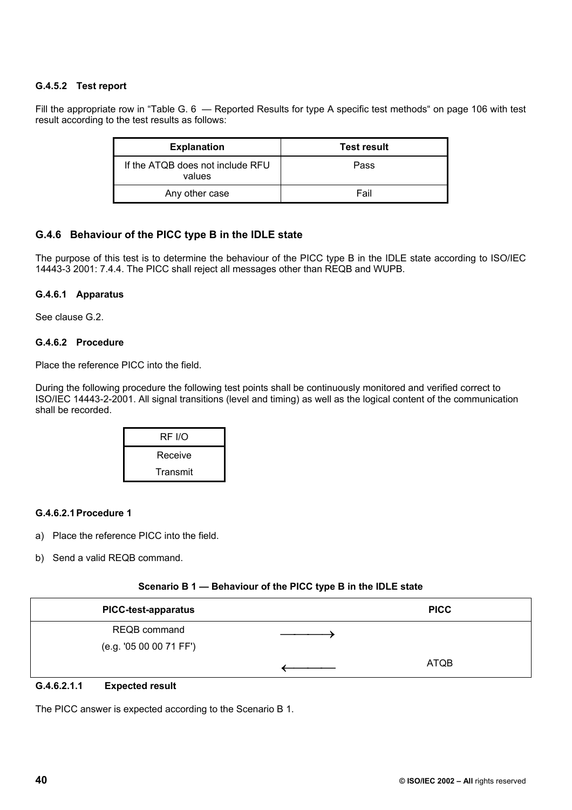# **G.4.5.2 Test report**

Fill the appropriate row in "Table G. 6 — Reported Results for type A specific test methods" on page 106 with test result according to the test results as follows:

| <b>Explanation</b>                         | <b>Test result</b> |
|--------------------------------------------|--------------------|
| If the ATQB does not include RFU<br>values | Pass               |
| Any other case                             | Fail               |

# **G.4.6 Behaviour of the PICC type B in the IDLE state**

The purpose of this test is to determine the behaviour of the PICC type B in the IDLE state according to ISO/IEC 14443-3 2001: 7.4.4. The PICC shall reject all messages other than REQB and WUPB.

### **G.4.6.1 Apparatus**

See clause G.2.

### **G.4.6.2 Procedure**

Place the reference PICC into the field.

During the following procedure the following test points shall be continuously monitored and verified correct to ISO/IEC 14443-2-2001. All signal transitions (level and timing) as well as the logical content of the communication shall be recorded.

| RF I/O   |  |
|----------|--|
| Receive  |  |
| Transmit |  |

### **G.4.6.2.1 Procedure 1**

- a) Place the reference PICC into the field.
- b) Send a valid REQB command.

#### **Scenario B 1 — Behaviour of the PICC type B in the IDLE state**

| <b>PICC-test-apparatus</b> | <b>PICC</b> |
|----------------------------|-------------|
| REQB command               |             |
| (e.g. '05 00 00 71 FF')    |             |
|                            | <b>ATQB</b> |
| _ _ _ _ _ _                |             |

#### **G.4.6.2.1.1 Expected result**

The PICC answer is expected according to the Scenario B 1.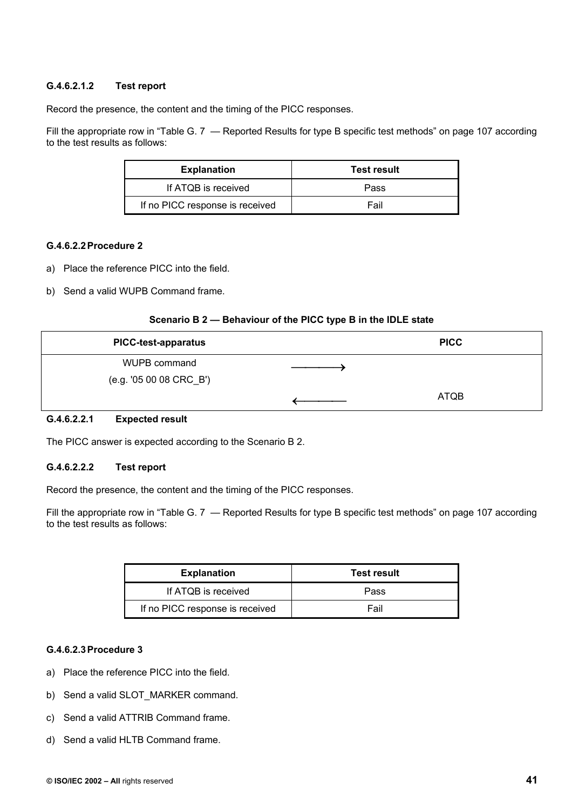# **G.4.6.2.1.2 Test report**

Record the presence, the content and the timing of the PICC responses.

Fill the appropriate row in "Table G. 7 – Reported Results for type B specific test methods" on page 107 according to the test results as follows:

| <b>Explanation</b>              | <b>Test result</b> |
|---------------------------------|--------------------|
| If ATQB is received             | Pass               |
| If no PICC response is received | Fail               |

### **G.4.6.2.2 Procedure 2**

- a) Place the reference PICC into the field.
- b) Send a valid WUPB Command frame.

#### **Scenario B 2 — Behaviour of the PICC type B in the IDLE state**

| <b>PICC-test-apparatus</b> | <b>PICC</b> |
|----------------------------|-------------|
| WUPB command               |             |
| (e.g. '05 00 08 CRC_B')    |             |
|                            | ATQB        |

### **G.4.6.2.2.1 Expected result**

The PICC answer is expected according to the Scenario B 2.

### **G.4.6.2.2.2 Test report**

Record the presence, the content and the timing of the PICC responses.

Fill the appropriate row in "Table G. 7 – Reported Results for type B specific test methods" on page 107 according to the test results as follows:

| <b>Explanation</b>              | <b>Test result</b> |
|---------------------------------|--------------------|
| If ATQB is received             | Pass               |
| If no PICC response is received | Fail               |

### **G.4.6.2.3 Procedure 3**

- a) Place the reference PICC into the field.
- b) Send a valid SLOT\_MARKER command.
- c) Send a valid ATTRIB Command frame.
- d) Send a valid HLTB Command frame.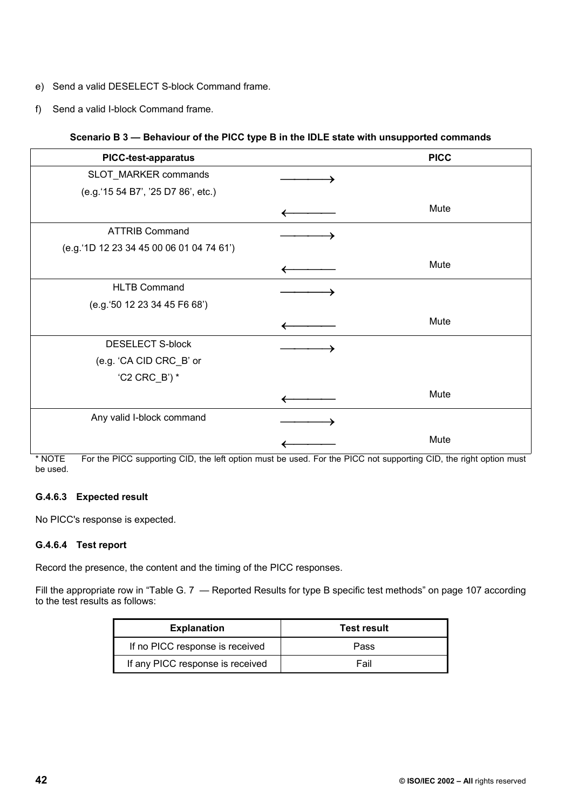- e) Send a valid DESELECT S-block Command frame.
- f) Send a valid I-block Command frame.

### **Scenario B 3 — Behaviour of the PICC type B in the IDLE state with unsupported commands**

| <b>PICC-test-apparatus</b>               | <b>PICC</b> |
|------------------------------------------|-------------|
| SLOT_MARKER commands                     |             |
| (e.g.'15 54 B7', '25 D7 86', etc.)       |             |
|                                          | Mute        |
| <b>ATTRIB Command</b>                    |             |
| (e.g.'1D 12 23 34 45 00 06 01 04 74 61') |             |
|                                          | Mute        |
| <b>HLTB Command</b>                      |             |
| (e.g.'50 12 23 34 45 F6 68')             |             |
|                                          | Mute        |
| <b>DESELECT S-block</b>                  |             |
| (e.g. 'CA CID CRC_B' or                  |             |
| 'C2 $CRC_B$ ') *                         |             |
|                                          | Mute        |
| Any valid I-block command                |             |
|                                          | Mute        |

\* NOTE For the PICC supporting CID, the left option must be used. For the PICC not supporting CID, the right option must be used.

### **G.4.6.3 Expected result**

No PICC's response is expected.

### **G.4.6.4 Test report**

Record the presence, the content and the timing of the PICC responses.

Fill the appropriate row in "Table G. 7 - Reported Results for type B specific test methods" on page 107 according to the test results as follows:

| <b>Explanation</b>               | <b>Test result</b> |
|----------------------------------|--------------------|
| If no PICC response is received  | Pass               |
| If any PICC response is received | Fail               |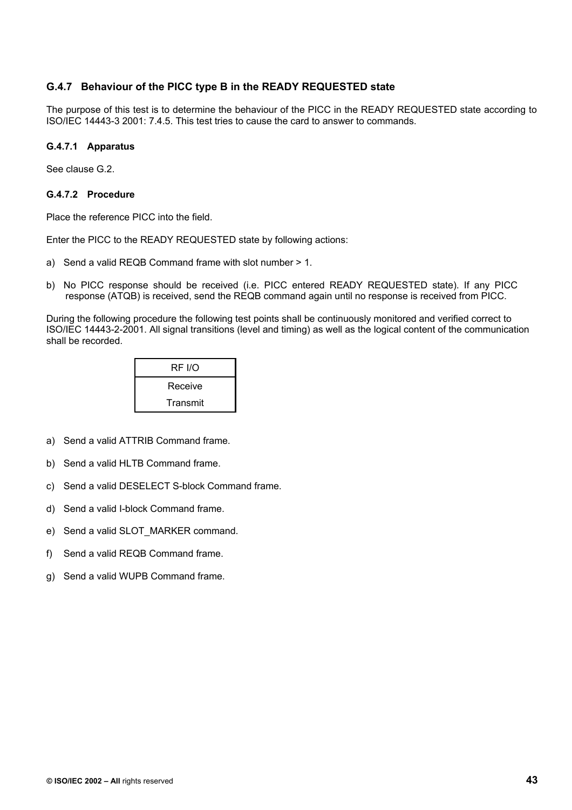# **G.4.7 Behaviour of the PICC type B in the READY REQUESTED state**

The purpose of this test is to determine the behaviour of the PICC in the READY REQUESTED state according to ISO/IEC 14443-3 2001: 7.4.5. This test tries to cause the card to answer to commands.

### **G.4.7.1 Apparatus**

See clause G.2.

#### **G.4.7.2 Procedure**

Place the reference PICC into the field.

Enter the PICC to the READY REQUESTED state by following actions:

- a) Send a valid REQB Command frame with slot number > 1.
- b) No PICC response should be received (i.e. PICC entered READY REQUESTED state). If any PICC response (ATQB) is received, send the REQB command again until no response is received from PICC.

During the following procedure the following test points shall be continuously monitored and verified correct to ISO/IEC 14443-2-2001. All signal transitions (level and timing) as well as the logical content of the communication shall be recorded.

| RF I/O   |  |
|----------|--|
| Receive  |  |
| Transmit |  |

- a) Send a valid ATTRIB Command frame.
- b) Send a valid HLTB Command frame.
- c) Send a valid DESELECT S-block Command frame.
- d) Send a valid I-block Command frame.
- e) Send a valid SLOT\_MARKER command.
- f) Send a valid REQB Command frame.
- g) Send a valid WUPB Command frame.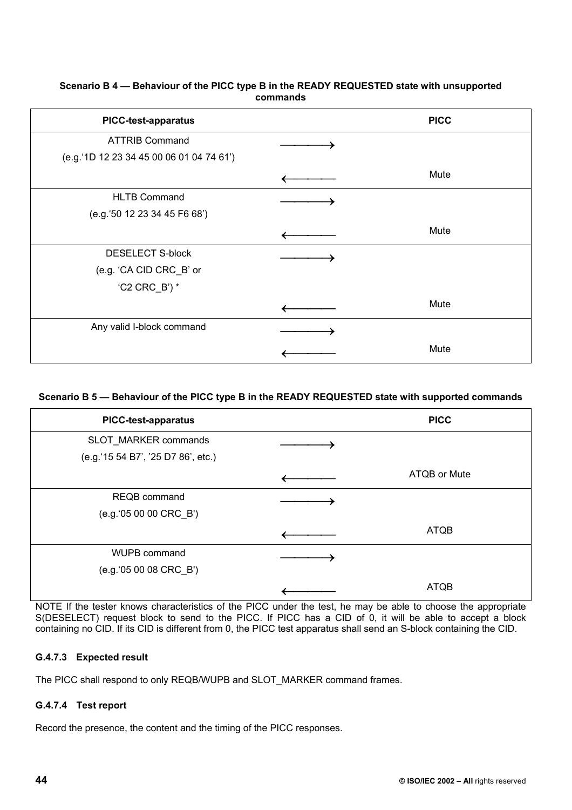### **Scenario B 4 — Behaviour of the PICC type B in the READY REQUESTED state with unsupported commands**

| <b>PICC-test-apparatus</b>               | <b>PICC</b> |
|------------------------------------------|-------------|
| <b>ATTRIB Command</b>                    |             |
| (e.g.'1D 12 23 34 45 00 06 01 04 74 61') |             |
|                                          | Mute        |
| <b>HLTB Command</b>                      |             |
| (e.g.'50 12 23 34 45 F6 68')             |             |
|                                          | Mute        |
| <b>DESELECT S-block</b>                  |             |
| (e.g. 'CA CID CRC_B' or                  |             |
| 'C2 $CRC_B$ ') *                         |             |
|                                          | Mute        |
| Any valid I-block command                |             |
|                                          | Mute        |

# **Scenario B 5 — Behaviour of the PICC type B in the READY REQUESTED state with supported commands**

| <b>PICC-test-apparatus</b>         | <b>PICC</b>  |
|------------------------------------|--------------|
| SLOT_MARKER commands               |              |
| (e.g.'15 54 B7', '25 D7 86', etc.) |              |
|                                    | ATQB or Mute |
| <b>REQB</b> command                |              |
| (e.g.'05 00 00 CRC_B')             |              |
|                                    | <b>ATQB</b>  |
| WUPB command                       |              |
| (e.g.'05 00 08 CRC_B')             |              |
|                                    | <b>ATQB</b>  |

NOTE If the tester knows characteristics of the PICC under the test, he may be able to choose the appropriate S(DESELECT) request block to send to the PICC. If PICC has a CID of 0, it will be able to accept a block containing no CID. If its CID is different from 0, the PICC test apparatus shall send an S-block containing the CID.

# **G.4.7.3 Expected result**

The PICC shall respond to only REQB/WUPB and SLOT\_MARKER command frames.

# **G.4.7.4 Test report**

Record the presence, the content and the timing of the PICC responses.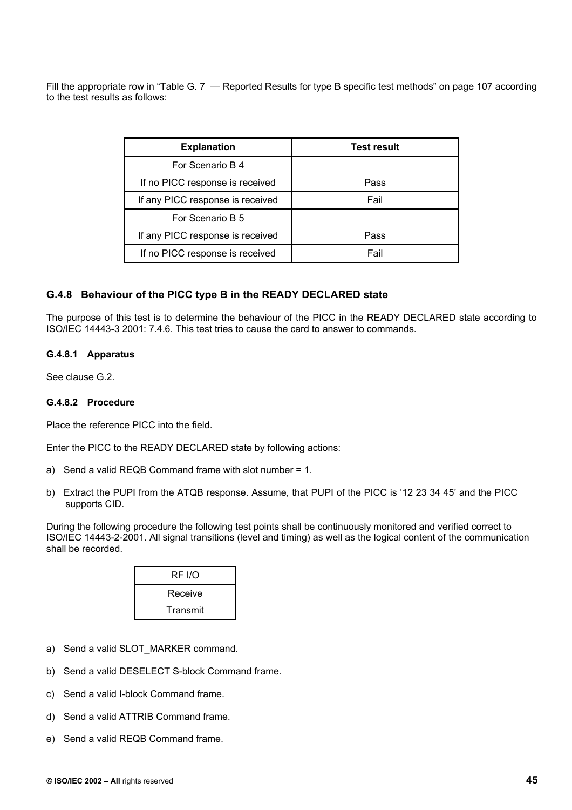Fill the appropriate row in "Table G. 7 — Reported Results for type B specific test methods" on page 107 according to the test results as follows:

| <b>Explanation</b>               | <b>Test result</b> |
|----------------------------------|--------------------|
| For Scenario B 4                 |                    |
| If no PICC response is received  | Pass               |
| If any PICC response is received | Fail               |
| For Scenario B 5                 |                    |
| If any PICC response is received | Pass               |
| If no PICC response is received  | Fail               |

### **G.4.8 Behaviour of the PICC type B in the READY DECLARED state**

The purpose of this test is to determine the behaviour of the PICC in the READY DECLARED state according to ISO/IEC 14443-3 2001: 7.4.6. This test tries to cause the card to answer to commands.

#### **G.4.8.1 Apparatus**

See clause G.2.

#### **G.4.8.2 Procedure**

Place the reference PICC into the field.

Enter the PICC to the READY DECLARED state by following actions:

- a) Send a valid REQB Command frame with slot number = 1.
- b) Extract the PUPI from the ATQB response. Assume, that PUPI of the PICC is '12 23 34 45' and the PICC supports CID.

During the following procedure the following test points shall be continuously monitored and verified correct to ISO/IEC 14443-2-2001. All signal transitions (level and timing) as well as the logical content of the communication shall be recorded.

| <b>RF I/O</b> |
|---------------|
| Receive       |
| Transmit      |

- a) Send a valid SLOT\_MARKER command.
- b) Send a valid DESELECT S-block Command frame.
- c) Send a valid I-block Command frame.
- d) Send a valid ATTRIB Command frame.
- e) Send a valid REQB Command frame.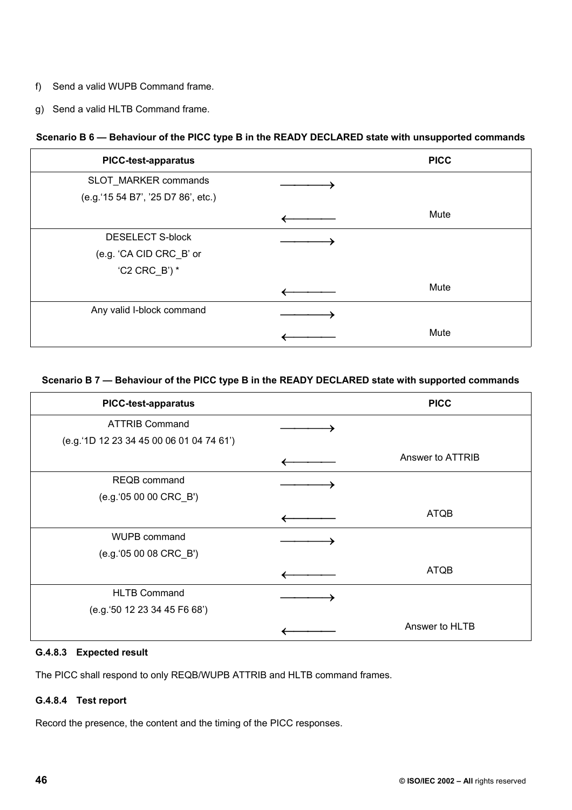- f) Send a valid WUPB Command frame.
- g) Send a valid HLTB Command frame.

# **Scenario B 6 — Behaviour of the PICC type B in the READY DECLARED state with unsupported commands**

| <b>PICC-test-apparatus</b>         | <b>PICC</b> |
|------------------------------------|-------------|
| SLOT_MARKER commands               |             |
| (e.g.'15 54 B7', '25 D7 86', etc.) |             |
|                                    | Mute        |
| <b>DESELECT S-block</b>            |             |
| (e.g. 'CA CID CRC_B' or            |             |
| $(C2 CRC_B)^*$                     |             |
|                                    | Mute        |
| Any valid I-block command          |             |
|                                    | Mute        |

### **Scenario B 7 — Behaviour of the PICC type B in the READY DECLARED state with supported commands**

| <b>PICC-test-apparatus</b>               | <b>PICC</b>      |
|------------------------------------------|------------------|
| <b>ATTRIB Command</b>                    |                  |
| (e.g.'1D 12 23 34 45 00 06 01 04 74 61') |                  |
|                                          | Answer to ATTRIB |
| <b>REQB</b> command                      |                  |
| (e.g.'05 00 00 CRC_B')                   |                  |
|                                          | <b>ATQB</b>      |
| WUPB command                             |                  |
| (e.g.'05 00 08 CRC_B')                   |                  |
|                                          | <b>ATQB</b>      |
| <b>HLTB Command</b>                      |                  |
| (e.g. '50 12 23 34 45 F6 68')            |                  |
|                                          | Answer to HLTB   |

# **G.4.8.3 Expected result**

The PICC shall respond to only REQB/WUPB ATTRIB and HLTB command frames.

# **G.4.8.4 Test report**

Record the presence, the content and the timing of the PICC responses.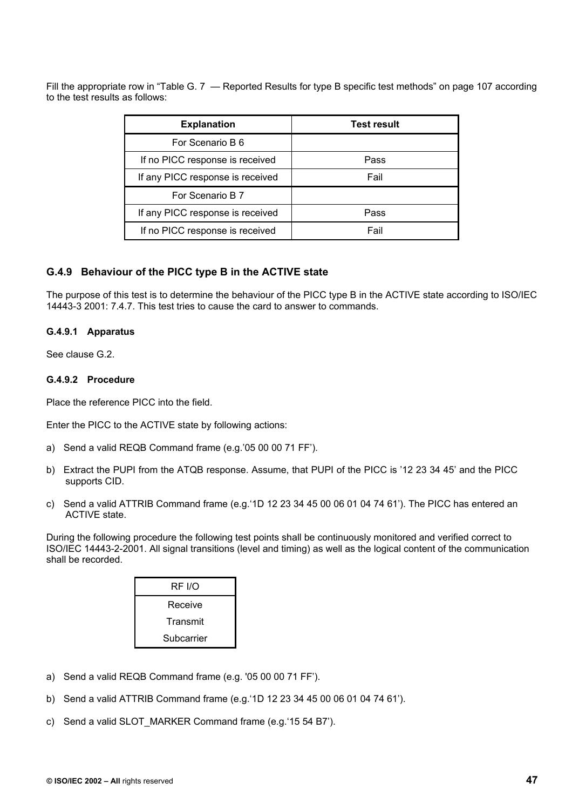Fill the appropriate row in "Table G. 7 — Reported Results for type B specific test methods" on page 107 according to the test results as follows:

| <b>Explanation</b>               | <b>Test result</b> |
|----------------------------------|--------------------|
| For Scenario B 6                 |                    |
| If no PICC response is received  | Pass               |
| If any PICC response is received | Fail               |
| For Scenario B 7                 |                    |
| If any PICC response is received | Pass               |
| If no PICC response is received  | Fail               |

# **G.4.9 Behaviour of the PICC type B in the ACTIVE state**

The purpose of this test is to determine the behaviour of the PICC type B in the ACTIVE state according to ISO/IEC 14443-3 2001: 7.4.7. This test tries to cause the card to answer to commands.

### **G.4.9.1 Apparatus**

See clause G.2.

#### **G.4.9.2 Procedure**

Place the reference PICC into the field.

Enter the PICC to the ACTIVE state by following actions:

- a) Send a valid REQB Command frame (e.g.'05 00 00 71 FF').
- b) Extract the PUPI from the ATQB response. Assume, that PUPI of the PICC is '12 23 34 45' and the PICC supports CID.
- c) Send a valid ATTRIB Command frame (e.g.'1D 12 23 34 45 00 06 01 04 74 61'). The PICC has entered an ACTIVE state.

During the following procedure the following test points shall be continuously monitored and verified correct to ISO/IEC 14443-2-2001. All signal transitions (level and timing) as well as the logical content of the communication shall be recorded.

| RF I/O     |
|------------|
| Receive    |
| Transmit   |
| Subcarrier |

- a) Send a valid REQB Command frame (e.g. '05 00 00 71 FF').
- b) Send a valid ATTRIB Command frame (e.g.'1D 12 23 34 45 00 06 01 04 74 61').
- c) Send a valid SLOT MARKER Command frame (e.g.'15 54 B7').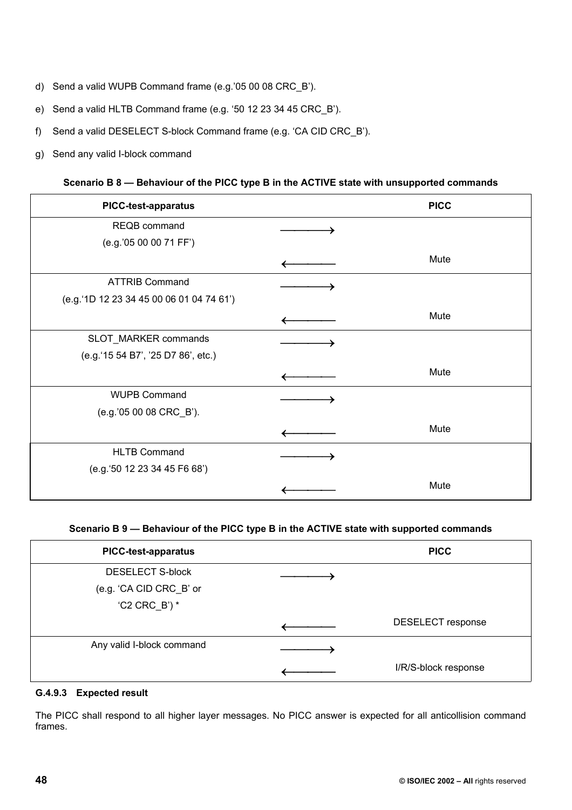- d) Send a valid WUPB Command frame (e.g.'05 00 08 CRC\_B').
- e) Send a valid HLTB Command frame (e.g. '50 12 23 34 45 CRC\_B').
- f) Send a valid DESELECT S-block Command frame (e.g. 'CA CID CRC\_B').
- g) Send any valid I-block command

### **Scenario B 8 — Behaviour of the PICC type B in the ACTIVE state with unsupported commands**

| <b>PICC-test-apparatus</b>               | <b>PICC</b> |
|------------------------------------------|-------------|
| REQB command                             |             |
| (e.g.'05 00 00 71 FF')                   |             |
|                                          | Mute        |
| <b>ATTRIB Command</b>                    |             |
| (e.g.'1D 12 23 34 45 00 06 01 04 74 61') |             |
|                                          | Mute        |
| SLOT_MARKER commands                     |             |
| (e.g.'15 54 B7', '25 D7 86', etc.)       |             |
|                                          | Mute        |
| <b>WUPB Command</b>                      |             |
| (e.g.'05 00 08 CRC_B').                  |             |
|                                          | Mute        |
| <b>HLTB Command</b>                      |             |
| (e.g.'50 12 23 34 45 F6 68')             |             |
|                                          | Mute        |

### **Scenario B 9 — Behaviour of the PICC type B in the ACTIVE state with supported commands**

| <b>PICC-test-apparatus</b> | <b>PICC</b>              |
|----------------------------|--------------------------|
| <b>DESELECT S-block</b>    |                          |
| (e.g. 'CA CID CRC_B' or    |                          |
| $(C2 CRC_B)^*$             |                          |
|                            | <b>DESELECT</b> response |
| Any valid I-block command  |                          |
|                            | I/R/S-block response     |

#### **G.4.9.3 Expected result**

The PICC shall respond to all higher layer messages. No PICC answer is expected for all anticollision command frames.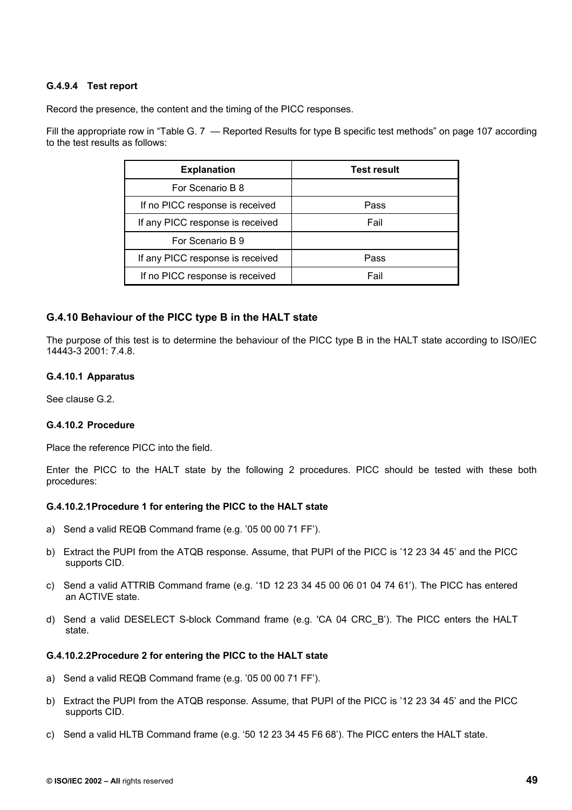### **G.4.9.4 Test report**

Record the presence, the content and the timing of the PICC responses.

Fill the appropriate row in "Table G. 7 — Reported Results for type B specific test methods" on page 107 according to the test results as follows:

| <b>Explanation</b>               | <b>Test result</b> |
|----------------------------------|--------------------|
| For Scenario B 8                 |                    |
| If no PICC response is received  | Pass               |
| If any PICC response is received | Fail               |
| For Scenario B 9                 |                    |
| If any PICC response is received | Pass               |
| If no PICC response is received  | Fail               |

### **G.4.10 Behaviour of the PICC type B in the HALT state**

The purpose of this test is to determine the behaviour of the PICC type B in the HALT state according to ISO/IEC 14443-3 2001: 7.4.8.

#### **G.4.10.1 Apparatus**

See clause G.2.

### **G.4.10.2 Procedure**

Place the reference PICC into the field.

Enter the PICC to the HALT state by the following 2 procedures. PICC should be tested with these both procedures:

### **G.4.10.2.1 Procedure 1 for entering the PICC to the HALT state**

- a) Send a valid REQB Command frame (e.g. '05 00 00 71 FF').
- b) Extract the PUPI from the ATQB response. Assume, that PUPI of the PICC is '12 23 34 45' and the PICC supports CID.
- c) Send a valid ATTRIB Command frame (e.g. '1D 12 23 34 45 00 06 01 04 74 61'). The PICC has entered an ACTIVE state.
- d) Send a valid DESELECT S-block Command frame (e.g. 'CA 04 CRC\_B'). The PICC enters the HALT state.

#### **G.4.10.2.2 Procedure 2 for entering the PICC to the HALT state**

- a) Send a valid REQB Command frame (e.g. '05 00 00 71 FF').
- b) Extract the PUPI from the ATQB response. Assume, that PUPI of the PICC is '12 23 34 45' and the PICC supports CID.
- c) Send a valid HLTB Command frame (e.g. '50 12 23 34 45 F6 68'). The PICC enters the HALT state.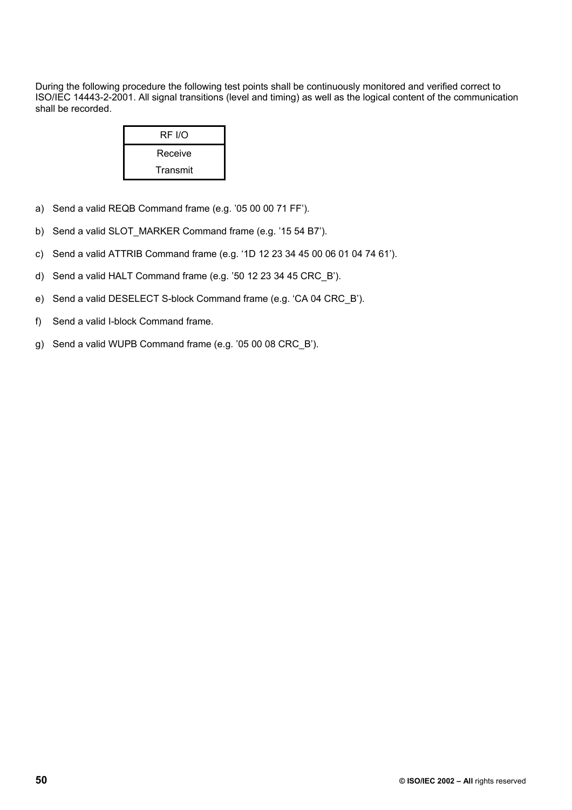During the following procedure the following test points shall be continuously monitored and verified correct to ISO/IEC 14443-2-2001. All signal transitions (level and timing) as well as the logical content of the communication shall be recorded.

| RF I/O   |
|----------|
| Receive  |
| Transmit |

- a) Send a valid REQB Command frame (e.g. '05 00 00 71 FF').
- b) Send a valid SLOT MARKER Command frame (e.g. '15 54 B7').
- c) Send a valid ATTRIB Command frame (e.g. '1D 12 23 34 45 00 06 01 04 74 61').
- d) Send a valid HALT Command frame (e.g. '50 12 23 34 45 CRC\_B').
- e) Send a valid DESELECT S-block Command frame (e.g. 'CA 04 CRC\_B').
- f) Send a valid I-block Command frame.
- g) Send a valid WUPB Command frame (e.g. '05 00 08 CRC\_B').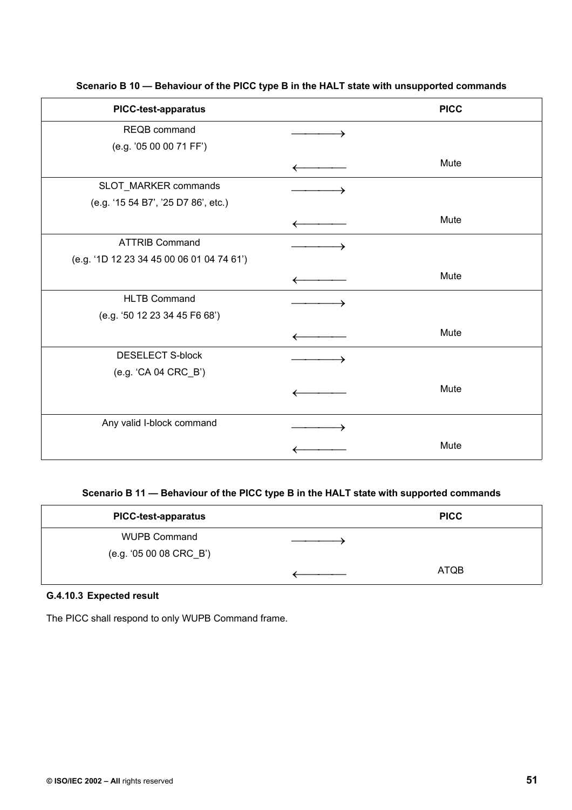| <b>PICC-test-apparatus</b>                | <b>PICC</b> |
|-------------------------------------------|-------------|
| REQB command                              |             |
| (e.g. '05 00 00 71 FF')                   |             |
|                                           | Mute        |
| SLOT_MARKER commands                      |             |
| (e.g. '15 54 B7', '25 D7 86', etc.)       |             |
|                                           | Mute        |
| <b>ATTRIB Command</b>                     |             |
| (e.g. '1D 12 23 34 45 00 06 01 04 74 61') |             |
|                                           | Mute        |
| <b>HLTB Command</b>                       |             |
| (e.g. '50 12 23 34 45 F6 68')             |             |
|                                           | Mute        |
| <b>DESELECT S-block</b>                   |             |
| (e.g. 'CA 04 CRC_B')                      |             |
|                                           | Mute        |
|                                           |             |
| Any valid I-block command                 |             |
|                                           | Mute        |
|                                           |             |

**Scenario B 10 — Behaviour of the PICC type B in the HALT state with unsupported commands** 

# **Scenario B 11 — Behaviour of the PICC type B in the HALT state with supported commands**

| <b>PICC-test-apparatus</b> | <b>PICC</b> |
|----------------------------|-------------|
| <b>WUPB Command</b>        |             |
| (e.g. '05 00 08 CRC_B')    |             |
|                            | <b>ATQB</b> |

# **G.4.10.3 Expected result**

The PICC shall respond to only WUPB Command frame.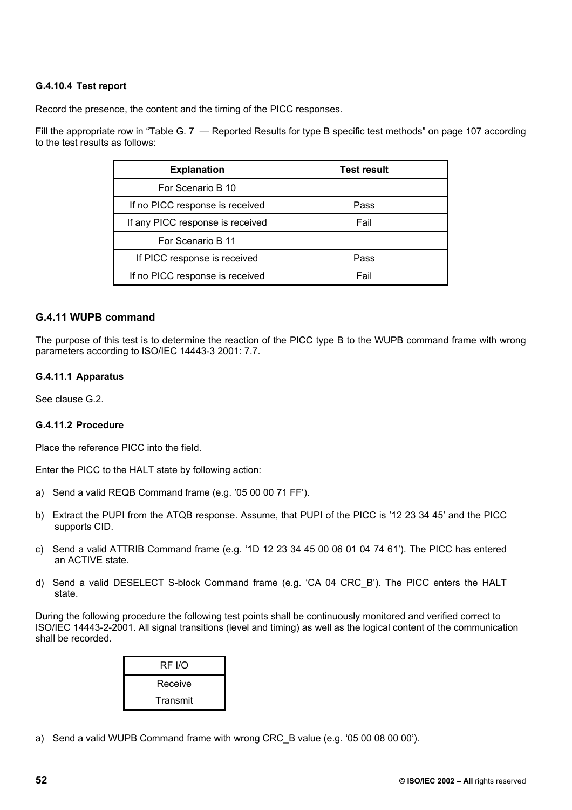# **G.4.10.4 Test report**

Record the presence, the content and the timing of the PICC responses.

Fill the appropriate row in "Table G. 7 — Reported Results for type B specific test methods" on page 107 according to the test results as follows:

| <b>Explanation</b>               | <b>Test result</b> |
|----------------------------------|--------------------|
| For Scenario B 10                |                    |
| If no PICC response is received  | Pass               |
| If any PICC response is received | Fail               |
| For Scenario B 11                |                    |
| If PICC response is received     | Pass               |
| If no PICC response is received  | Fail               |

### **G.4.11 WUPB command**

The purpose of this test is to determine the reaction of the PICC type B to the WUPB command frame with wrong parameters according to ISO/IEC 14443-3 2001: 7.7.

#### **G.4.11.1 Apparatus**

See clause G.2.

### **G.4.11.2 Procedure**

Place the reference PICC into the field.

Enter the PICC to the HALT state by following action:

- a) Send a valid REQB Command frame (e.g. '05 00 00 71 FF').
- b) Extract the PUPI from the ATQB response. Assume, that PUPI of the PICC is '12 23 34 45' and the PICC supports CID.
- c) Send a valid ATTRIB Command frame (e.g. '1D 12 23 34 45 00 06 01 04 74 61'). The PICC has entered an ACTIVE state.
- d) Send a valid DESELECT S-block Command frame (e.g. 'CA 04 CRC\_B'). The PICC enters the HALT state.

During the following procedure the following test points shall be continuously monitored and verified correct to ISO/IEC 14443-2-2001. All signal transitions (level and timing) as well as the logical content of the communication shall be recorded.

| RF I/O   |
|----------|
| Receive  |
| Transmit |

a) Send a valid WUPB Command frame with wrong CRC\_B value (e.g. '05 00 08 00 00').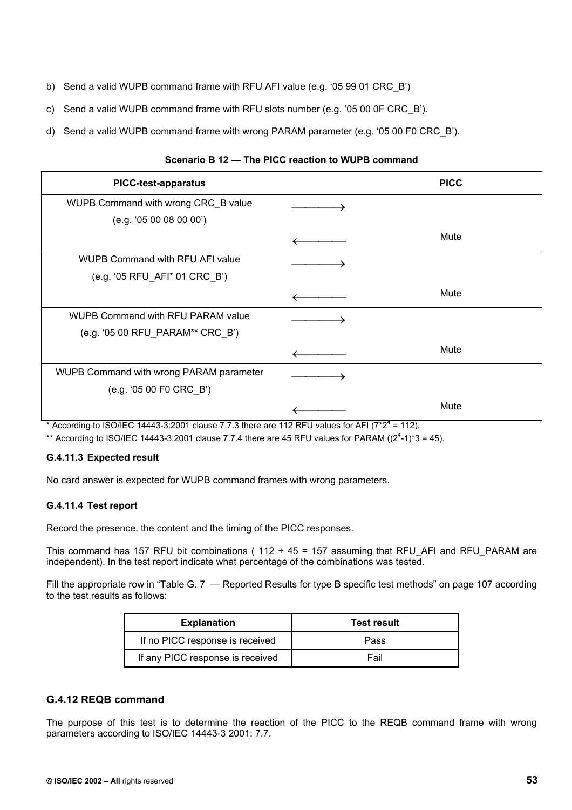- b) Send a valid WUPB command frame with RFU AFI value (e.g. '05 99 01 CRC\_B')
- c) Send a valid WUPB command frame with RFU slots number (e.g. '05 00 0F CRC\_B').
- d) Send a valid WUPB command frame with wrong PARAM parameter (e.g. '05 00 F0 CRC\_B').

| <b>PICC-test-apparatus</b>               | <b>PICC</b> |
|------------------------------------------|-------------|
| WUPB Command with wrong CRC_B value      |             |
| (e.g. '05 00 08 00 00')                  |             |
|                                          | Mute        |
| <b>WUPB Command with RFU AFI value</b>   |             |
| (e.g. '05 RFU_AFI* 01 CRC_B')            |             |
|                                          | Mute        |
| <b>WUPB Command with RFU PARAM value</b> |             |
| (e.g. '05 00 RFU_PARAM** CRC_B')         |             |
|                                          | Mute        |
| WUPB Command with wrong PARAM parameter  |             |
| (e.g. '05 00 F0 CRC_B')                  |             |
|                                          | Mute        |

### **Scenario B 12 — The PICC reaction to WUPB command**

\* According to ISO/IEC 14443-3:2001 clause 7.7.3 there are 112 RFU values for AFI ( $7*2^4$  = 112).

\*\* According to ISO/IEC 14443-3:2001 clause 7.7.4 there are 45 RFU values for PARAM  $((2^4-1)^*3 = 45)$ .

### **G.4.11.3 Expected result**

No card answer is expected for WUPB command frames with wrong parameters.

### **G.4.11.4 Test report**

Record the presence, the content and the timing of the PICC responses.

This command has 157 RFU bit combinations ( $112 + 45 = 157$  assuming that RFU\_AFI and RFU\_PARAM are independent). In the test report indicate what percentage of the combinations was tested.

Fill the appropriate row in "Table G. 7 — Reported Results for type B specific test methods" on page 107 according to the test results as follows:

| <b>Explanation</b>               | <b>Test result</b> |  |
|----------------------------------|--------------------|--|
| If no PICC response is received  | Pass               |  |
| If any PICC response is received | Fail               |  |

# **G.4.12 REQB command**

The purpose of this test is to determine the reaction of the PICC to the REQB command frame with wrong parameters according to ISO/IEC 14443-3 2001: 7.7.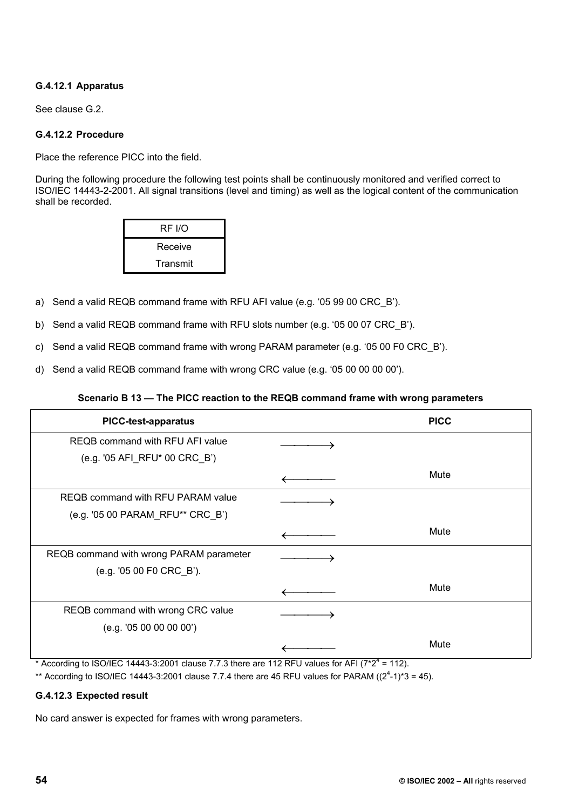# **G.4.12.1 Apparatus**

See clause G.2.

### **G.4.12.2 Procedure**

Place the reference PICC into the field.

During the following procedure the following test points shall be continuously monitored and verified correct to ISO/IEC 14443-2-2001. All signal transitions (level and timing) as well as the logical content of the communication shall be recorded.

| RF I/O   |
|----------|
| Receive  |
| Transmit |

- a) Send a valid REQB command frame with RFU AFI value (e.g. '05 99 00 CRC\_B').
- b) Send a valid REQB command frame with RFU slots number (e.g. '05 00 07 CRC\_B').
- c) Send a valid REQB command frame with wrong PARAM parameter (e.g. '05 00 F0 CRC\_B').
- d) Send a valid REQB command frame with wrong CRC value (e.g. '05 00 00 00 00').

### **Scenario B 13 — The PICC reaction to the REQB command frame with wrong parameters**

| <b>PICC-test-apparatus</b>              | <b>PICC</b> |
|-----------------------------------------|-------------|
| REQB command with RFU AFI value         |             |
| (e.g. '05 AFI_RFU* 00 CRC_B')           |             |
|                                         | Mute        |
| REQB command with RFU PARAM value       |             |
| (e.g. '05 00 PARAM_RFU** CRC_B')        |             |
|                                         | Mute        |
| REQB command with wrong PARAM parameter |             |
| (e.g. '05 00 F0 CRC_B').                |             |
|                                         | Mute        |
| REQB command with wrong CRC value       |             |
| (e.g. '05 00 00 00 00')                 |             |
|                                         | Mute        |

\* According to ISO/IEC 14443-3:2001 clause 7.7.3 there are 112 RFU values for AFI ( $7*2^4$  = 112).

\*\* According to ISO/IEC 14443-3:2001 clause 7.7.4 there are 45 RFU values for PARAM  $((2^4-1)^*3 = 45)$ .

### **G.4.12.3 Expected result**

No card answer is expected for frames with wrong parameters.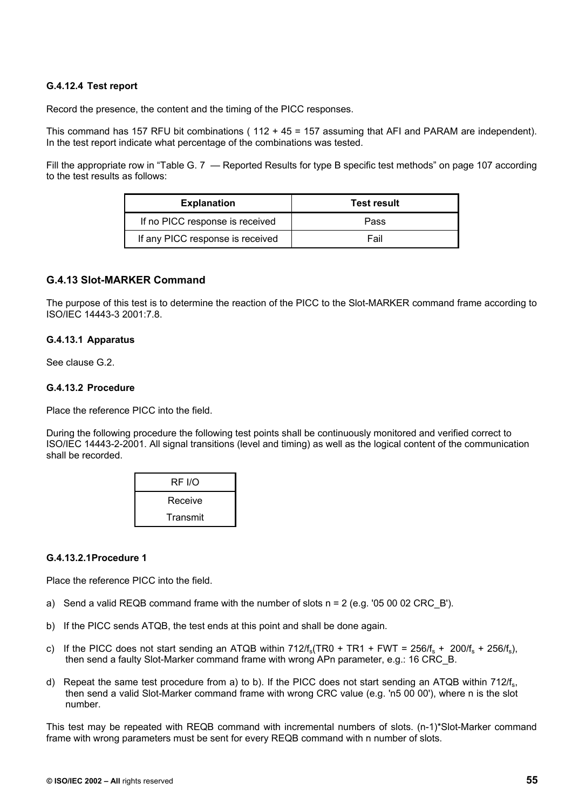### **G.4.12.4 Test report**

Record the presence, the content and the timing of the PICC responses.

This command has 157 RFU bit combinations ( $112 + 45 = 157$  assuming that AFI and PARAM are independent). In the test report indicate what percentage of the combinations was tested.

Fill the appropriate row in "Table G. 7 – Reported Results for type B specific test methods" on page 107 according to the test results as follows:

| <b>Explanation</b>               | <b>Test result</b> |
|----------------------------------|--------------------|
| If no PICC response is received  | Pass               |
| If any PICC response is received | Fail               |

## **G.4.13 Slot-MARKER Command**

The purpose of this test is to determine the reaction of the PICC to the Slot-MARKER command frame according to ISO/IEC 14443-3 2001:7.8.

#### **G.4.13.1 Apparatus**

See clause G.2.

#### **G.4.13.2 Procedure**

Place the reference PICC into the field.

During the following procedure the following test points shall be continuously monitored and verified correct to ISO/IEC 14443-2-2001. All signal transitions (level and timing) as well as the logical content of the communication shall be recorded.

| <b>RF I/O</b> |  |
|---------------|--|
| Receive       |  |
| Transmit      |  |

#### **G.4.13.2.1 Procedure 1**

Place the reference PICC into the field.

- a) Send a valid REQB command frame with the number of slots  $n = 2$  (e.g. '05 00 02 CRC B').
- b) If the PICC sends ATQB, the test ends at this point and shall be done again.
- c) If the PICC does not start sending an ATQB within  $712/f_s(TR0 + TR1 + FWT = 256/f_s + 200/f_s + 256/f_s)$ then send a faulty Slot-Marker command frame with wrong APn parameter, e.g.: 16 CRC\_B.
- d) Repeat the same test procedure from a) to b). If the PICC does not start sending an ATQB within  $712/f_s$ , then send a valid Slot-Marker command frame with wrong CRC value (e.g. 'n5 00 00'), where n is the slot number.

This test may be repeated with REQB command with incremental numbers of slots. (n-1)\*Slot-Marker command frame with wrong parameters must be sent for every REQB command with n number of slots.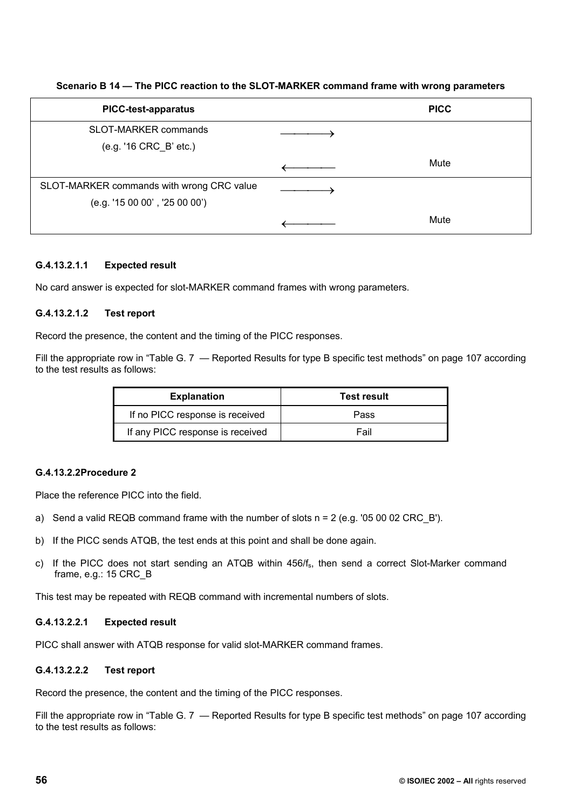### **Scenario B 14 — The PICC reaction to the SLOT-MARKER command frame with wrong parameters**

| <b>PICC-test-apparatus</b>                | <b>PICC</b> |
|-------------------------------------------|-------------|
| SLOT-MARKER commands                      |             |
| (e.g. '16 CRC_B' etc.)                    |             |
|                                           | Mute        |
| SLOT-MARKER commands with wrong CRC value |             |
| (e.g. '150000', '250000')                 |             |
|                                           | Mute        |

### **G.4.13.2.1.1 Expected result**

No card answer is expected for slot-MARKER command frames with wrong parameters.

### **G.4.13.2.1.2 Test report**

Record the presence, the content and the timing of the PICC responses.

Fill the appropriate row in "Table G. 7 — Reported Results for type B specific test methods" on page 107 according to the test results as follows:

| <b>Explanation</b>               | <b>Test result</b> |
|----------------------------------|--------------------|
| If no PICC response is received  | Pass               |
| If any PICC response is received | Fail               |

### **G.4.13.2.2 Procedure 2**

Place the reference PICC into the field.

- a) Send a valid REQB command frame with the number of slots  $n = 2$  (e.g. '05 00 02 CRC B').
- b) If the PICC sends ATQB, the test ends at this point and shall be done again.
- c) If the PICC does not start sending an ATQB within 456/fs, then send a correct Slot-Marker command frame, e.g.: 15 CRC\_B

This test may be repeated with REQB command with incremental numbers of slots.

### **G.4.13.2.2.1 Expected result**

PICC shall answer with ATQB response for valid slot-MARKER command frames.

# **G.4.13.2.2.2 Test report**

Record the presence, the content and the timing of the PICC responses.

Fill the appropriate row in "Table G. 7 – Reported Results for type B specific test methods" on page 107 according to the test results as follows: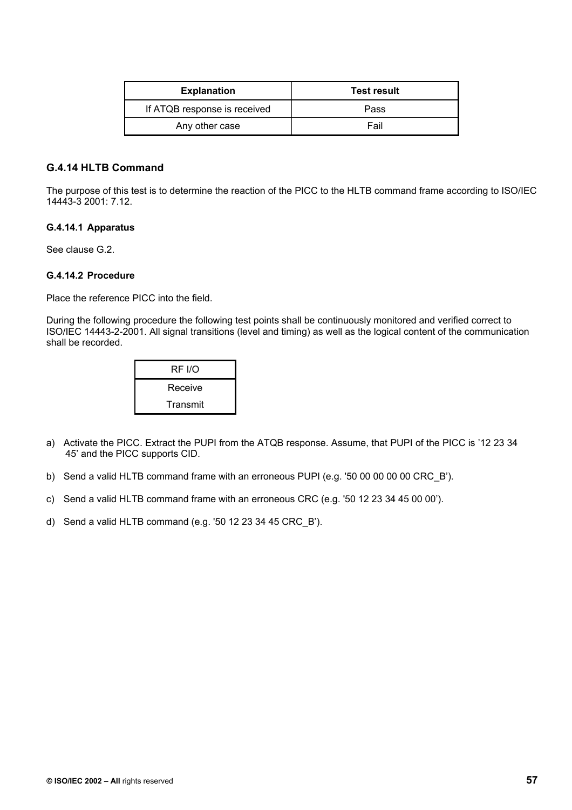| <b>Explanation</b>           | <b>Test result</b> |
|------------------------------|--------------------|
| If ATQB response is received | Pass               |
| Any other case               | Fail               |

# **G.4.14 HLTB Command**

The purpose of this test is to determine the reaction of the PICC to the HLTB command frame according to ISO/IEC 14443-3 2001: 7.12.

### **G.4.14.1 Apparatus**

See clause G.2.

#### **G.4.14.2 Procedure**

Place the reference PICC into the field.

During the following procedure the following test points shall be continuously monitored and verified correct to ISO/IEC 14443-2-2001. All signal transitions (level and timing) as well as the logical content of the communication shall be recorded.

| RF I/O   |
|----------|
| Receive  |
| Transmit |

- a) Activate the PICC. Extract the PUPI from the ATQB response. Assume, that PUPI of the PICC is '12 23 34 45' and the PICC supports CID.
- b) Send a valid HLTB command frame with an erroneous PUPI (e.g. '50 00 00 00 00 CRC\_B').
- c) Send a valid HLTB command frame with an erroneous CRC (e.g. '50 12 23 34 45 00 00').
- d) Send a valid HLTB command (e.g. '50 12 23 34 45 CRC\_B').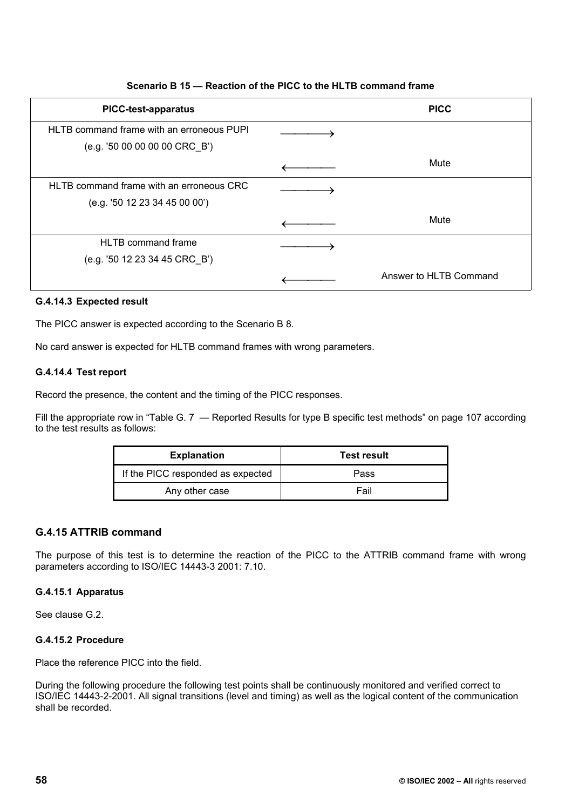# **PICC-test-apparatus PICC**  HLTB command frame with an erroneous PUPI (e.g. '50 00 00 00 00 CRC\_B')  $\longrightarrow$ ← Mute HLTB command frame with an erroneous CRC (e.g. '50 12 23 34 45 00 00')  $\longrightarrow$ ← Mute HLTB command frame (e.g. '50 12 23 34 45 CRC\_B')  $\longrightarrow$ ← Answer to HLTB Command

### **Scenario B 15 — Reaction of the PICC to the HLTB command frame**

### **G.4.14.3 Expected result**

The PICC answer is expected according to the Scenario B 8.

No card answer is expected for HLTB command frames with wrong parameters.

#### **G.4.14.4 Test report**

Record the presence, the content and the timing of the PICC responses.

Fill the appropriate row in "Table G. 7 — Reported Results for type B specific test methods" on page 107 according to the test results as follows:

| <b>Explanation</b>                | <b>Test result</b> |
|-----------------------------------|--------------------|
| If the PICC responded as expected | Pass               |
| Any other case                    | Fail               |

### **G.4.15 ATTRIB command**

The purpose of this test is to determine the reaction of the PICC to the ATTRIB command frame with wrong parameters according to ISO/IEC 14443-3 2001: 7.10.

#### **G.4.15.1 Apparatus**

See clause G.2.

#### **G.4.15.2 Procedure**

Place the reference PICC into the field.

During the following procedure the following test points shall be continuously monitored and verified correct to ISO/IEC 14443-2-2001. All signal transitions (level and timing) as well as the logical content of the communication shall be recorded.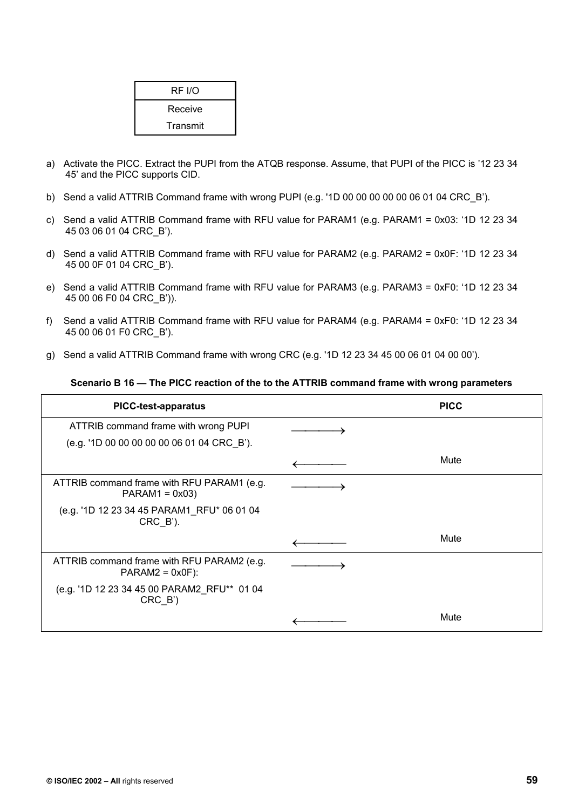| RF I/O   |  |
|----------|--|
| Receive  |  |
| Transmit |  |

- a) Activate the PICC. Extract the PUPI from the ATQB response. Assume, that PUPI of the PICC is '12 23 34 45' and the PICC supports CID.
- b) Send a valid ATTRIB Command frame with wrong PUPI (e.g. '1D 00 00 00 00 00 06 01 04 CRC\_B').
- c) Send a valid ATTRIB Command frame with RFU value for PARAM1 (e.g. PARAM1 = 0x03: '1D 12 23 34 45 03 06 01 04 CRC\_B').
- d) Send a valid ATTRIB Command frame with RFU value for PARAM2 (e.g. PARAM2 = 0x0F: '1D 12 23 34 45 00 0F 01 04 CRC\_B').
- e) Send a valid ATTRIB Command frame with RFU value for PARAM3 (e.g. PARAM3 = 0xF0: '1D 12 23 34 45 00 06 F0 04 CRC\_B')).
- f) Send a valid ATTRIB Command frame with RFU value for PARAM4 (e.g. PARAM4 = 0xF0: '1D 12 23 34 45 00 06 01 F0 CRC\_B').
- g) Send a valid ATTRIB Command frame with wrong CRC (e.g. '1D 12 23 34 45 00 06 01 04 00 00').

#### **Scenario B 16 — The PICC reaction of the to the ATTRIB command frame with wrong parameters**

| <b>PICC-test-apparatus</b>                                            | <b>PICC</b> |
|-----------------------------------------------------------------------|-------------|
| ATTRIB command frame with wrong PUPI                                  |             |
| (e.g. '1D 00 00 00 00 00 06 01 04 CRC_B').                            |             |
|                                                                       | Mute        |
| ATTRIB command frame with RFU PARAM1 (e.g.<br>$PARAM1 = 0x03$         |             |
| (e.g. '1D 12 23 34 45 PARAM1_RFU* 06 01 04<br>$CRC_B$ <sup>'</sup> ). |             |
|                                                                       | Mute        |
| ATTRIB command frame with RFU PARAM2 (e.g.<br>$PARAM2 = 0x0F$ :       |             |
| (e.g. '1D 12 23 34 45 00 PARAM2_RFU** 01 04<br>$CRC_B'$               |             |
|                                                                       | Mute        |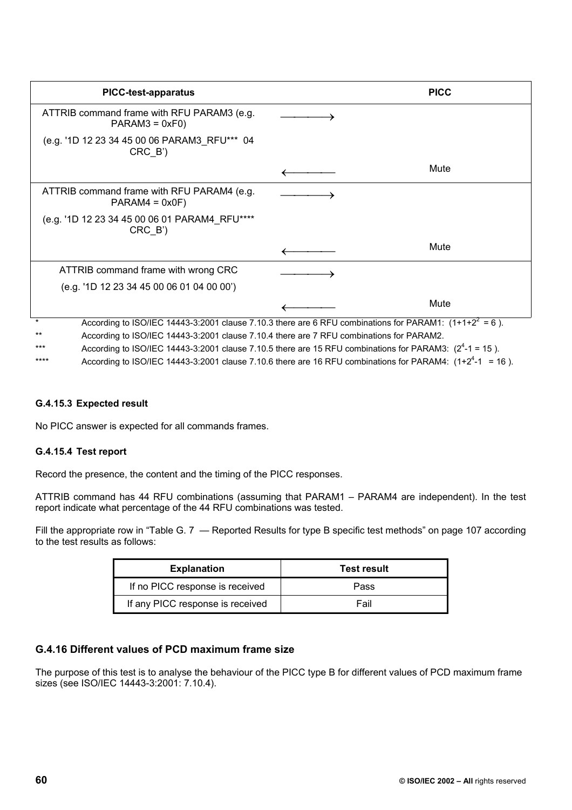| <b>PICC-test-apparatus</b>                                                               | <b>PICC</b>                                                                                                  |
|------------------------------------------------------------------------------------------|--------------------------------------------------------------------------------------------------------------|
| ATTRIB command frame with RFU PARAM3 (e.g.<br>$PARAM3 = 0xF0$                            |                                                                                                              |
| (e.g. '1D 12 23 34 45 00 06 PARAM3_RFU*** 04<br>CRC B')                                  |                                                                                                              |
|                                                                                          | Mute                                                                                                         |
| ATTRIB command frame with RFU PARAM4 (e.g.<br>$PARAM4 = 0x0F$                            |                                                                                                              |
| (e.g. '1D 12 23 34 45 00 06 01 PARAM4 RFU****<br>CRC B')                                 |                                                                                                              |
|                                                                                          | Mute                                                                                                         |
| ATTRIB command frame with wrong CRC                                                      |                                                                                                              |
| (e.g. '1D 12 23 34 45 00 06 01 04 00 00')                                                |                                                                                                              |
|                                                                                          | Mute                                                                                                         |
| $\star$                                                                                  | According to ISO/IEC 14443-3:2001 clause 7.10.3 there are 6 RFU combinations for PARAM1: $(1+1+2^2 = 6)$ .   |
| According to ISO/IEC 14443-3:2001 clause 7.10.4 there are 7 RFU combinations for PARAM2. |                                                                                                              |
|                                                                                          | According to ISO/IEC 14443-3:2001 clause 7.10.5 there are 15 RFU combinations for PARAM3: $(2^4 - 1 = 15)$ . |

\*\*\*\* According to ISO/IEC 14443-3:2001 clause 7.10.6 there are 16 RFU combinations for PARAM4:  $(1+2^4-1 = 16)$ .

#### **G.4.15.3 Expected result**

No PICC answer is expected for all commands frames.

### **G.4.15.4 Test report**

Record the presence, the content and the timing of the PICC responses.

ATTRIB command has 44 RFU combinations (assuming that PARAM1 – PARAM4 are independent). In the test report indicate what percentage of the 44 RFU combinations was tested.

Fill the appropriate row in "Table G. 7 — Reported Results for type B specific test methods" on page 107 according to the test results as follows:

| <b>Explanation</b>               | <b>Test result</b> |
|----------------------------------|--------------------|
| If no PICC response is received  | Pass               |
| If any PICC response is received | Fail               |

## **G.4.16 Different values of PCD maximum frame size**

The purpose of this test is to analyse the behaviour of the PICC type B for different values of PCD maximum frame sizes (see ISO/IEC 14443-3:2001: 7.10.4).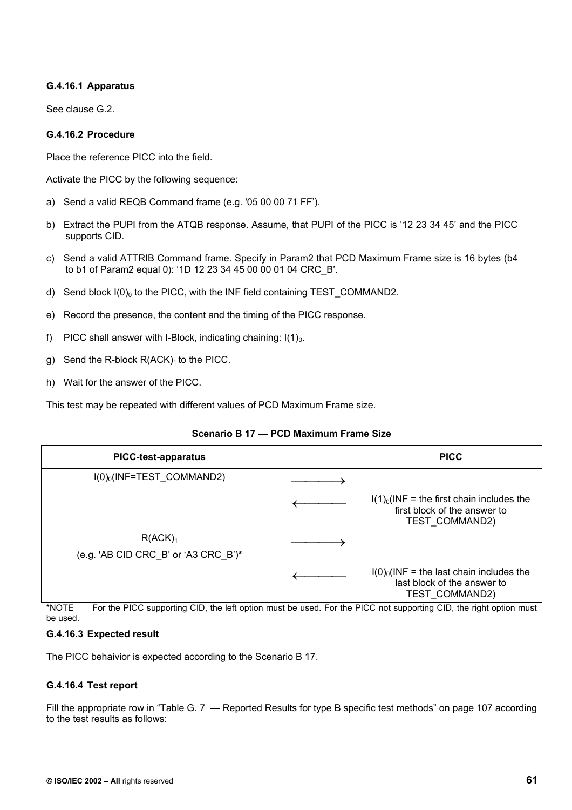### **G.4.16.1 Apparatus**

See clause G.2.

### **G.4.16.2 Procedure**

Place the reference PICC into the field.

Activate the PICC by the following sequence:

- a) Send a valid REQB Command frame (e.g. '05 00 00 71 FF').
- b) Extract the PUPI from the ATQB response. Assume, that PUPI of the PICC is '12 23 34 45' and the PICC supports CID.
- c) Send a valid ATTRIB Command frame. Specify in Param2 that PCD Maximum Frame size is 16 bytes (b4 to b1 of Param2 equal 0): '1D 12 23 34 45 00 00 01 04 CRC\_B'.
- d) Send block  $I(0)_0$  to the PICC, with the INF field containing TEST COMMAND2.
- e) Record the presence, the content and the timing of the PICC response.
- f) PICC shall answer with I-Block, indicating chaining:  $I(1)<sub>0</sub>$ .
- g) Send the R-block  $R(ACK)_1$  to the PICC.
- h) Wait for the answer of the PICC.

This test may be repeated with different values of PCD Maximum Frame size.

## **Scenario B 17 — PCD Maximum Frame Size**

| <b>PICC-test-apparatus</b>           | <b>PICC</b>                                                                                          |
|--------------------------------------|------------------------------------------------------------------------------------------------------|
| $I(0)_0$ (INF=TEST COMMAND2)         |                                                                                                      |
|                                      | $I(1)0(INF = the first chain includes the)$<br>first block of the answer to<br><b>TEST COMMAND2)</b> |
| R(ACK) <sub>1</sub>                  |                                                                                                      |
| (e.g. 'AB CID CRC_B' or 'A3 CRC_B')* |                                                                                                      |
|                                      | $I(0)_0$ (INF = the last chain includes the<br>last block of the answer to<br>TEST COMMAND2)         |

\*NOTE For the PICC supporting CID, the left option must be used. For the PICC not supporting CID, the right option must be used.

### **G.4.16.3 Expected result**

The PICC behaivior is expected according to the Scenario B 17.

### **G.4.16.4 Test report**

Fill the appropriate row in "Table G. 7 – Reported Results for type B specific test methods" on page 107 according to the test results as follows: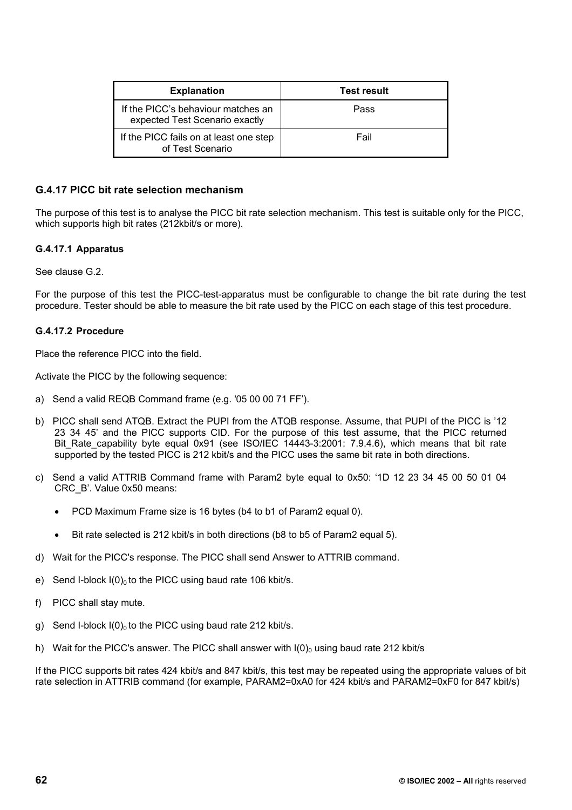| <b>Explanation</b>                                                   | <b>Test result</b> |
|----------------------------------------------------------------------|--------------------|
| If the PICC's behaviour matches an<br>expected Test Scenario exactly | Pass               |
| If the PICC fails on at least one step<br>of Test Scenario           | Fail               |

### **G.4.17 PICC bit rate selection mechanism**

The purpose of this test is to analyse the PICC bit rate selection mechanism. This test is suitable only for the PICC, which supports high bit rates (212kbit/s or more).

### **G.4.17.1 Apparatus**

See clause G.2.

For the purpose of this test the PICC-test-apparatus must be configurable to change the bit rate during the test procedure. Tester should be able to measure the bit rate used by the PICC on each stage of this test procedure.

### **G.4.17.2 Procedure**

Place the reference PICC into the field.

Activate the PICC by the following sequence:

- a) Send a valid REQB Command frame (e.g. '05 00 00 71 FF').
- b) PICC shall send ATQB. Extract the PUPI from the ATQB response. Assume, that PUPI of the PICC is '12 23 34 45' and the PICC supports CID. For the purpose of this test assume, that the PICC returned Bit\_Rate\_capability byte equal 0x91 (see ISO/IEC 14443-3:2001: 7.9.4.6), which means that bit rate supported by the tested PICC is 212 kbit/s and the PICC uses the same bit rate in both directions.
- c) Send a valid ATTRIB Command frame with Param2 byte equal to 0x50: '1D 12 23 34 45 00 50 01 04 CRC\_B'. Value 0x50 means:
	- PCD Maximum Frame size is 16 bytes (b4 to b1 of Param2 equal 0).
	- Bit rate selected is 212 kbit/s in both directions (b8 to b5 of Param2 equal 5).
- d) Wait for the PICC's response. The PICC shall send Answer to ATTRIB command.
- e) Send I-block  $I(0)_0$  to the PICC using baud rate 106 kbit/s.
- f) PICC shall stay mute.
- g) Send I-block  $I(0)_0$  to the PICC using baud rate 212 kbit/s.
- h) Wait for the PICC's answer. The PICC shall answer with  $I(0)_0$  using baud rate 212 kbit/s

If the PICC supports bit rates 424 kbit/s and 847 kbit/s, this test may be repeated using the appropriate values of bit rate selection in ATTRIB command (for example, PARAM2=0xA0 for 424 kbit/s and PARAM2=0xF0 for 847 kbit/s)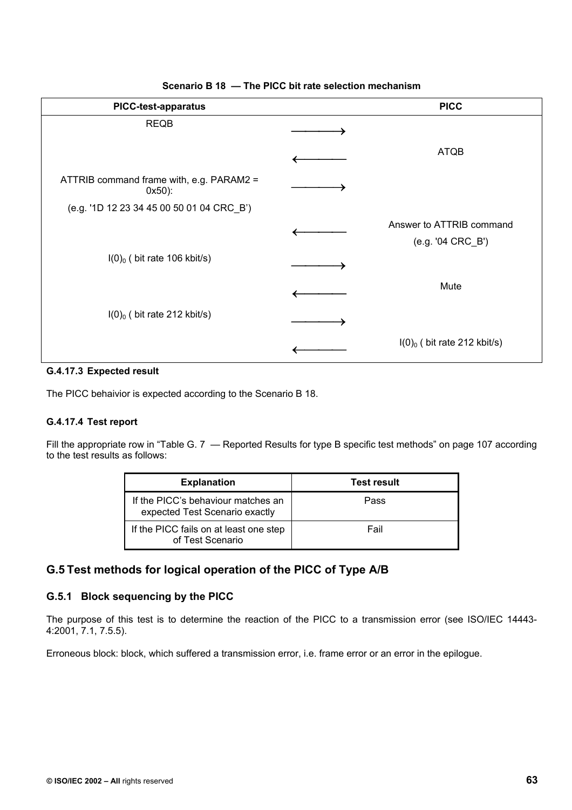| <b>PICC-test-apparatus</b>                           | <b>PICC</b>                                   |
|------------------------------------------------------|-----------------------------------------------|
| <b>REQB</b>                                          |                                               |
|                                                      | <b>ATQB</b>                                   |
| ATTRIB command frame with, e.g. PARAM2 =<br>$0x50$ : |                                               |
| (e.g. '1D 12 23 34 45 00 50 01 04 CRC_B')            |                                               |
|                                                      | Answer to ATTRIB command<br>(e.g. '04 CRC_B') |
| $I(0)_0$ (bit rate 106 kbit/s)                       |                                               |
|                                                      | Mute                                          |
| $I(0)_0$ (bit rate 212 kbit/s)                       |                                               |
|                                                      | $I(0)_0$ (bit rate 212 kbit/s)                |

### **Scenario B 18 — The PICC bit rate selection mechanism**

### **G.4.17.3 Expected result**

The PICC behaivior is expected according to the Scenario B 18.

### **G.4.17.4 Test report**

Fill the appropriate row in "Table G. 7 — Reported Results for type B specific test methods" on page 107 according to the test results as follows:

| <b>Explanation</b>                                                   | <b>Test result</b> |
|----------------------------------------------------------------------|--------------------|
| If the PICC's behaviour matches an<br>expected Test Scenario exactly | Pass               |
| If the PICC fails on at least one step<br>of Test Scenario           | Fail               |

# **G.5 Test methods for logical operation of the PICC of Type A/B**

## **G.5.1 Block sequencing by the PICC**

The purpose of this test is to determine the reaction of the PICC to a transmission error (see ISO/IEC 14443- 4:2001, 7.1, 7.5.5).

Erroneous block: block, which suffered a transmission error, i.e. frame error or an error in the epilogue.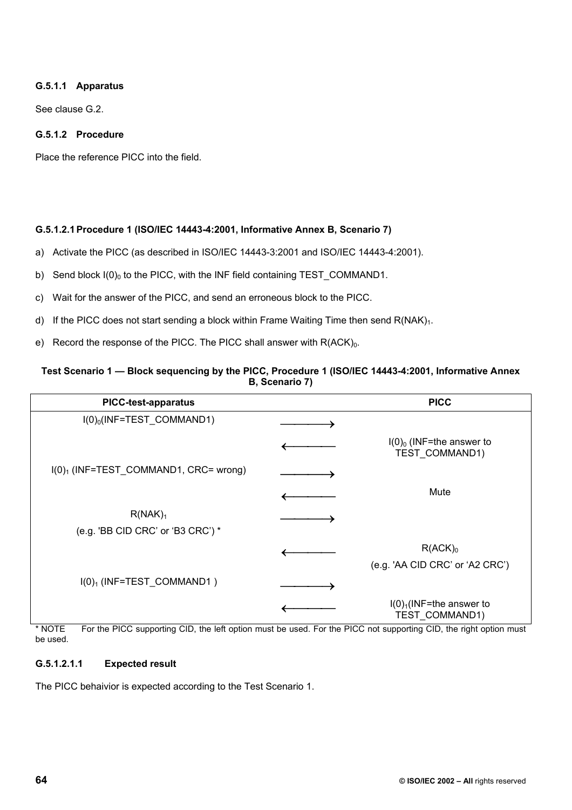# **G.5.1.1 Apparatus**

See clause G.2.

# **G.5.1.2 Procedure**

Place the reference PICC into the field.

### **G.5.1.2.1 Procedure 1 (ISO/IEC 14443-4:2001, Informative Annex B, Scenario 7)**

- a) Activate the PICC (as described in ISO/IEC 14443-3:2001 and ISO/IEC 14443-4:2001).
- b) Send block  $I(0)_0$  to the PICC, with the INF field containing TEST\_COMMAND1.
- c) Wait for the answer of the PICC, and send an erroneous block to the PICC.
- d) If the PICC does not start sending a block within Frame Waiting Time then send  $R(NAK)<sub>1</sub>$ .
- e) Record the response of the PICC. The PICC shall answer with  $R(ACK)<sub>0</sub>$ .

#### **Test Scenario 1 — Block sequencing by the PICC, Procedure 1 (ISO/IEC 14443-4:2001, Informative Annex B, Scenario 7)**

| <b>PICC-test-apparatus</b>                               | <b>PICC</b>                                   |
|----------------------------------------------------------|-----------------------------------------------|
| $I(0)_0$ (INF=TEST_COMMAND1)                             |                                               |
|                                                          | $I(0)_0$ (INF=the answer to<br>TEST_COMMAND1) |
| $I(0)1$ (INF=TEST_COMMAND1, CRC= wrong)                  |                                               |
|                                                          | Mute                                          |
| R(NAK) <sub>1</sub><br>(e.g. 'BB CID CRC' or 'B3 CRC') * |                                               |
|                                                          | $R(ACK)_0$                                    |
|                                                          | (e.g. 'AA CID CRC' or 'A2 CRC')               |
| $I(0)$ <sub>1</sub> (INF=TEST_COMMAND1)                  |                                               |
|                                                          | $I(0)1(INF=the answer to$<br>TEST_COMMAND1)   |

\* NOTE For the PICC supporting CID, the left option must be used. For the PICC not supporting CID, the right option must be used.

### **G.5.1.2.1.1 Expected result**

The PICC behaivior is expected according to the Test Scenario 1.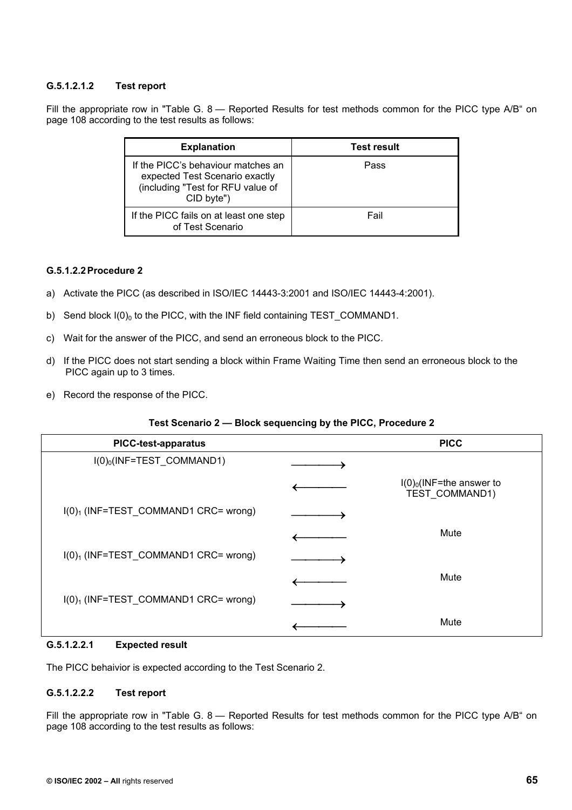## **G.5.1.2.1.2 Test report**

Fill the appropriate row in "Table G. 8 - Reported Results for test methods common for the PICC type A/B" on page 108 according to the test results as follows:

| <b>Explanation</b>                                                                                                      | <b>Test result</b> |
|-------------------------------------------------------------------------------------------------------------------------|--------------------|
| If the PICC's behaviour matches an<br>expected Test Scenario exactly<br>(including "Test for RFU value of<br>CID byte") | Pass               |
| If the PICC fails on at least one step<br>of Test Scenario                                                              | Fail               |

### **G.5.1.2.2 Procedure 2**

- a) Activate the PICC (as described in ISO/IEC 14443-3:2001 and ISO/IEC 14443-4:2001).
- b) Send block  $I(0)_0$  to the PICC, with the INF field containing TEST COMMAND1.
- c) Wait for the answer of the PICC, and send an erroneous block to the PICC.
- d) If the PICC does not start sending a block within Frame Waiting Time then send an erroneous block to the PICC again up to 3 times.
- e) Record the response of the PICC.

#### **Test Scenario 2 — Block sequencing by the PICC, Procedure 2**

| <b>PICC-test-apparatus</b>             | <b>PICC</b>                                   |
|----------------------------------------|-----------------------------------------------|
| $I(0)_0$ (INF=TEST_COMMAND1)           |                                               |
|                                        | $I(0)_0$ (INF=the answer to<br>TEST_COMMAND1) |
| $I(0)1$ (INF=TEST_COMMAND1 CRC= wrong) |                                               |
|                                        | Mute                                          |
| $I(0)1$ (INF=TEST_COMMAND1 CRC= wrong) |                                               |
|                                        | Mute                                          |
| $I(0)1$ (INF=TEST_COMMAND1 CRC= wrong) |                                               |
|                                        | Mute                                          |

### **G.5.1.2.2.1 Expected result**

The PICC behaivior is expected according to the Test Scenario 2.

### **G.5.1.2.2.2 Test report**

Fill the appropriate row in "Table G. 8 — Reported Results for test methods common for the PICC type A/B" on page 108 according to the test results as follows: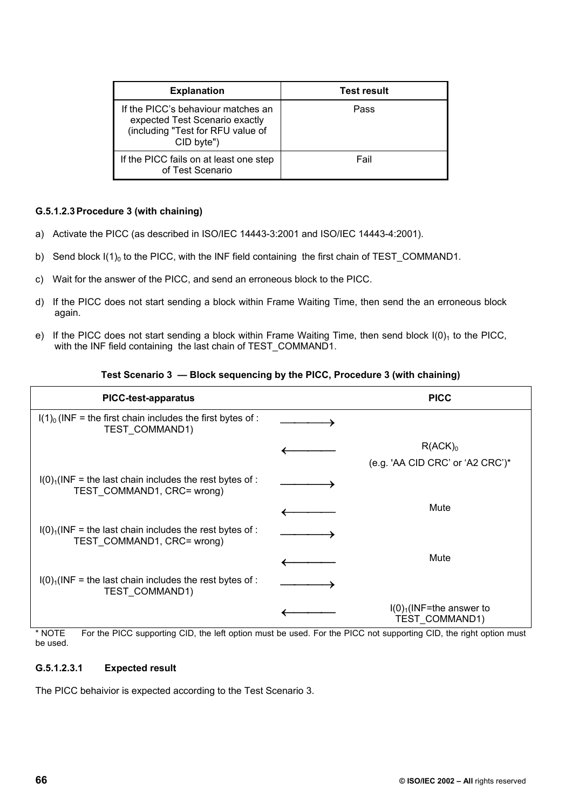| <b>Explanation</b>                                                                                                      | <b>Test result</b> |
|-------------------------------------------------------------------------------------------------------------------------|--------------------|
| If the PICC's behaviour matches an<br>expected Test Scenario exactly<br>(including "Test for RFU value of<br>CID byte") | Pass               |
| If the PICC fails on at least one step<br>of Test Scenario                                                              | Fail               |

### **G.5.1.2.3 Procedure 3 (with chaining)**

- a) Activate the PICC (as described in ISO/IEC 14443-3:2001 and ISO/IEC 14443-4:2001).
- b) Send block  $I(1)_0$  to the PICC, with the INF field containing the first chain of TEST\_COMMAND1.
- c) Wait for the answer of the PICC, and send an erroneous block to the PICC.
- d) If the PICC does not start sending a block within Frame Waiting Time, then send the an erroneous block again.
- e) If the PICC does not start sending a block within Frame Waiting Time, then send block  $I(0)<sub>1</sub>$  to the PICC, with the INF field containing the last chain of TEST\_COMMAND1.

#### **Test Scenario 3 — Block sequencing by the PICC, Procedure 3 (with chaining)**

| <b>PICC-test-apparatus</b>                                                              | <b>PICC</b>                                 |
|-----------------------------------------------------------------------------------------|---------------------------------------------|
| $I(1)0$ (INF = the first chain includes the first bytes of :<br>TEST_COMMAND1)          |                                             |
|                                                                                         | R(ACK) <sub>0</sub>                         |
|                                                                                         | (e.g. 'AA CID CRC' or 'A2 CRC')*            |
| $I(0)1(INF = the last chain includes the rest bytes of :$<br>TEST COMMAND1, CRC= wrong) |                                             |
|                                                                                         | Mute                                        |
| $I(0)1(INF = the last chain includes the rest bytes of :$<br>TEST COMMAND1, CRC= wrong) |                                             |
|                                                                                         | Mute                                        |
| $I(0)1(INF = the last chain includes the rest bytes of :$<br>TEST COMMAND1)             |                                             |
|                                                                                         | $I(0)1(INF=the answer to$<br>TEST COMMAND1) |

\* NOTE For the PICC supporting CID, the left option must be used. For the PICC not supporting CID, the right option must be used.

#### **G.5.1.2.3.1 Expected result**

The PICC behaivior is expected according to the Test Scenario 3.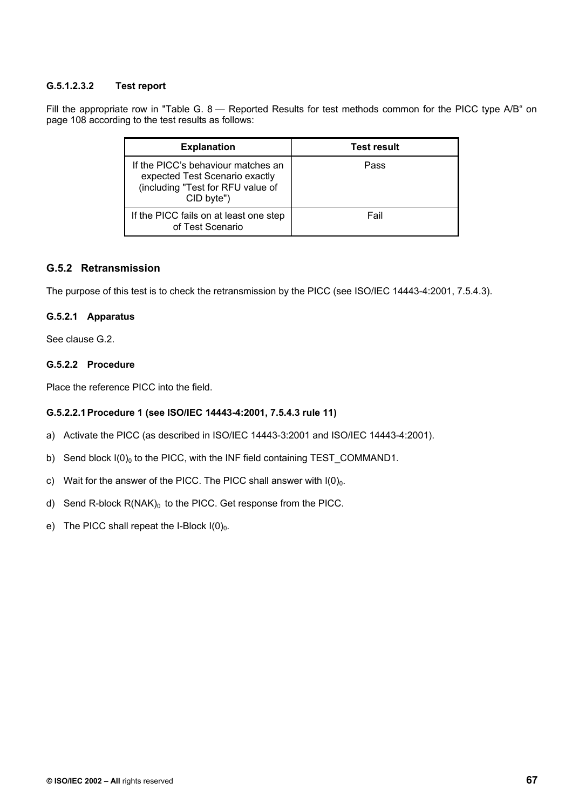## **G.5.1.2.3.2 Test report**

Fill the appropriate row in "Table G. 8 - Reported Results for test methods common for the PICC type A/B" on page 108 according to the test results as follows:

| <b>Explanation</b>                                                                                                      | <b>Test result</b> |
|-------------------------------------------------------------------------------------------------------------------------|--------------------|
| If the PICC's behaviour matches an<br>expected Test Scenario exactly<br>(including "Test for RFU value of<br>CID byte") | Pass               |
| If the PICC fails on at least one step<br>of Test Scenario                                                              | Fail               |

# **G.5.2 Retransmission**

The purpose of this test is to check the retransmission by the PICC (see ISO/IEC 14443-4:2001, 7.5.4.3).

### **G.5.2.1 Apparatus**

See clause G.2.

# **G.5.2.2 Procedure**

Place the reference PICC into the field.

### **G.5.2.2.1 Procedure 1 (see ISO/IEC 14443-4:2001, 7.5.4.3 rule 11)**

- a) Activate the PICC (as described in ISO/IEC 14443-3:2001 and ISO/IEC 14443-4:2001).
- b) Send block  $I(0)_0$  to the PICC, with the INF field containing TEST COMMAND1.
- c) Wait for the answer of the PICC. The PICC shall answer with  $I(0)<sub>0</sub>$ .
- d) Send R-block  $R(NAK)_0$  to the PICC. Get response from the PICC.
- e) The PICC shall repeat the I-Block  $I(0)_0$ .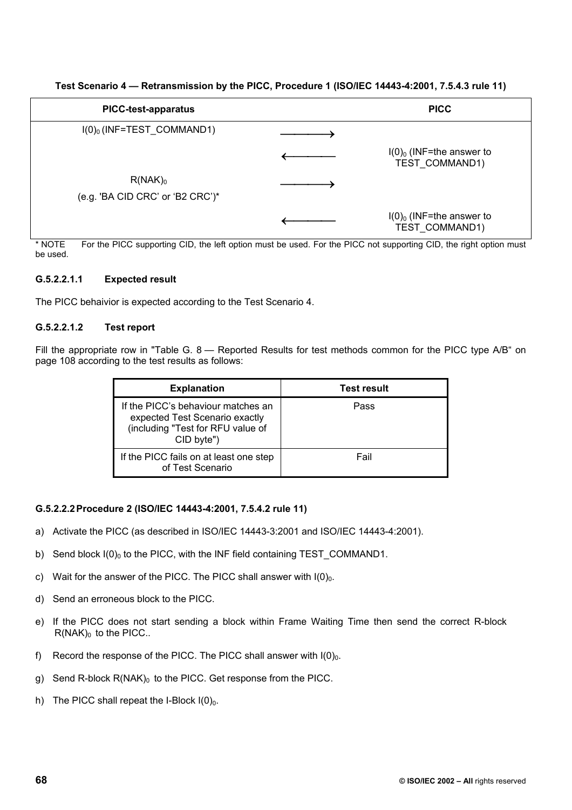| <b>PICC-test-apparatus</b>                     | <b>PICC</b>                                   |
|------------------------------------------------|-----------------------------------------------|
| $I(0)_0$ (INF=TEST_COMMAND1)                   |                                               |
|                                                | $I(0)_0$ (INF=the answer to<br>TEST COMMAND1) |
| $R(NAK)_0$<br>(e.g. 'BA CID CRC' or 'B2 CRC')* |                                               |
|                                                | $I(0)_0$ (INF=the answer to<br>TEST COMMAND1) |

**Test Scenario 4 — Retransmission by the PICC, Procedure 1 (ISO/IEC 14443-4:2001, 7.5.4.3 rule 11)** 

\* NOTE For the PICC supporting CID, the left option must be used. For the PICC not supporting CID, the right option must be used.

### **G.5.2.2.1.1 Expected result**

The PICC behaivior is expected according to the Test Scenario 4.

### **G.5.2.2.1.2 Test report**

Fill the appropriate row in "Table G. 8 — Reported Results for test methods common for the PICC type A/B" on page 108 according to the test results as follows:

| <b>Explanation</b>                                                                                                      | <b>Test result</b> |
|-------------------------------------------------------------------------------------------------------------------------|--------------------|
| If the PICC's behaviour matches an<br>expected Test Scenario exactly<br>(including "Test for RFU value of<br>CID byte") | Pass               |
| If the PICC fails on at least one step<br>of Test Scenario                                                              | Fail               |

### **G.5.2.2.2 Procedure 2 (ISO/IEC 14443-4:2001, 7.5.4.2 rule 11)**

- a) Activate the PICC (as described in ISO/IEC 14443-3:2001 and ISO/IEC 14443-4:2001).
- b) Send block  $I(0)_0$  to the PICC, with the INF field containing TEST COMMAND1.
- c) Wait for the answer of the PICC. The PICC shall answer with  $I(0)<sub>0</sub>$ .
- d) Send an erroneous block to the PICC.
- e) If the PICC does not start sending a block within Frame Waiting Time then send the correct R-block  $R(NAK)_0$  to the PICC..
- f) Record the response of the PICC. The PICC shall answer with  $I(0)<sub>0</sub>$ .
- g) Send R-block  $R(NAK)_0$  to the PICC. Get response from the PICC.
- h) The PICC shall repeat the I-Block  $I(0)_0$ .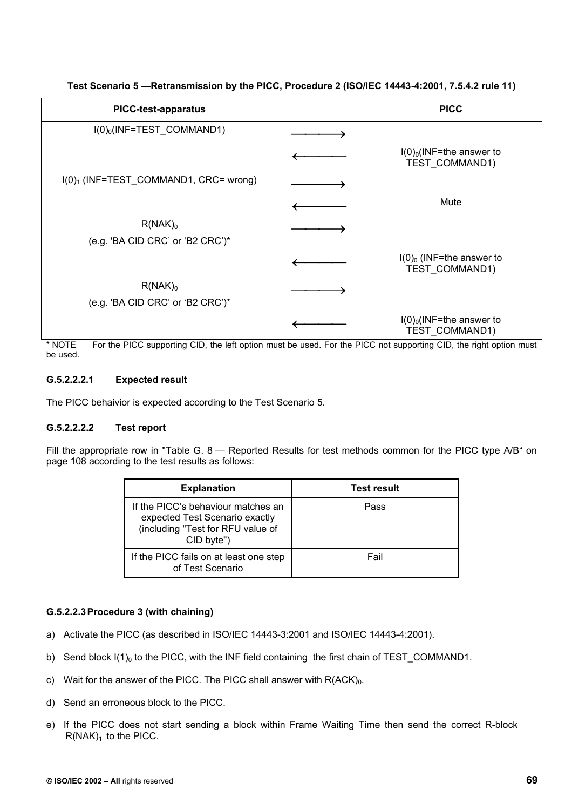| <b>PICC-test-apparatus</b>                                     | <b>PICC</b>                                   |
|----------------------------------------------------------------|-----------------------------------------------|
| $I(0)_0$ (INF=TEST_COMMAND1)                                   |                                               |
|                                                                | $I(0)_0$ (INF=the answer to<br>TEST COMMAND1) |
| I(0) <sub>1</sub> (INF=TEST_COMMAND1, CRC= wrong)              |                                               |
|                                                                | Mute                                          |
| $R(NAK)_0$<br>(e.g. 'BA CID CRC' or 'B2 CRC')*                 |                                               |
|                                                                | $I(0)_0$ (INF=the answer to<br>TEST COMMAND1) |
| $R(NAK)_0$<br>(e.g. 'BA CID CRC' or 'B2 CRC')*                 |                                               |
| $\sim$ $\sim$ $\sim$ $\sim$<br>$\cdots$ $\cdots$<br>$-\cdot -$ | $I(0)_0$ (INF=the answer to<br>TEST_COMMAND1) |

**Test Scenario 5 —Retransmission by the PICC, Procedure 2 (ISO/IEC 14443-4:2001, 7.5.4.2 rule 11)** 

\* NOTE For the PICC supporting CID, the left option must be used. For the PICC not supporting CID, the right option must be used.

### **G.5.2.2.2.1 Expected result**

The PICC behaivior is expected according to the Test Scenario 5.

### **G.5.2.2.2.2 Test report**

Fill the appropriate row in "Table G. 8 — Reported Results for test methods common for the PICC type A/B" on page 108 according to the test results as follows:

| <b>Explanation</b>                                                                                                      | <b>Test result</b> |
|-------------------------------------------------------------------------------------------------------------------------|--------------------|
| If the PICC's behaviour matches an<br>expected Test Scenario exactly<br>(including "Test for RFU value of<br>CID byte") | Pass               |
| If the PICC fails on at least one step<br>of Test Scenario                                                              | Fail               |

### **G.5.2.2.3 Procedure 3 (with chaining)**

- a) Activate the PICC (as described in ISO/IEC 14443-3:2001 and ISO/IEC 14443-4:2001).
- b) Send block  $I(1)<sub>0</sub>$  to the PICC, with the INF field containing the first chain of TEST COMMAND1.
- c) Wait for the answer of the PICC. The PICC shall answer with  $R(ACK)<sub>0</sub>$ .
- d) Send an erroneous block to the PICC.
- e) If the PICC does not start sending a block within Frame Waiting Time then send the correct R-block  $R(NAK)<sub>1</sub>$  to the PICC.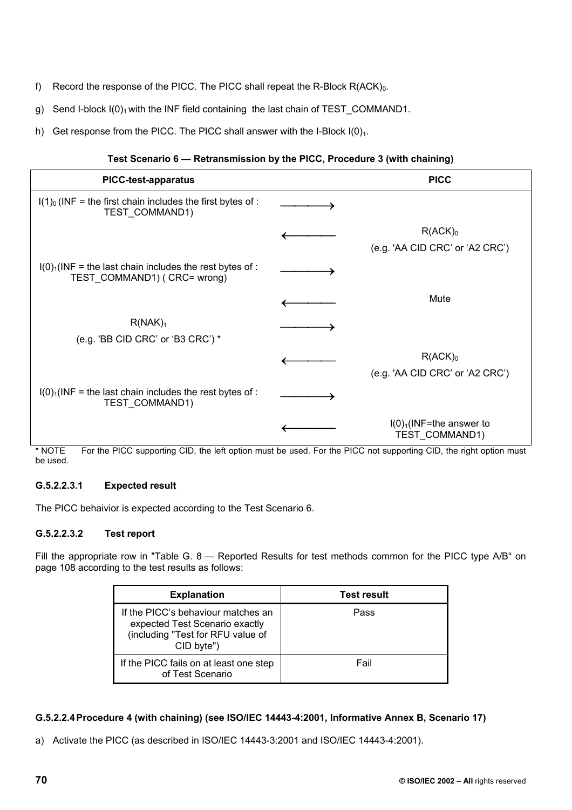- f) Record the response of the PICC. The PICC shall repeat the R-Block  $R(ACK)_0$ .
- g) Send I-block  $I(0)_1$  with the INF field containing the last chain of TEST\_COMMAND1.
- h) Get response from the PICC. The PICC shall answer with the I-Block  $I(0)<sub>1</sub>$ .

# **Test Scenario 6 — Retransmission by the PICC, Procedure 3 (with chaining)**

| <b>PICC-test-apparatus</b>                                                                | <b>PICC</b>                                              |
|-------------------------------------------------------------------------------------------|----------------------------------------------------------|
| $I(1)0$ (INF = the first chain includes the first bytes of :<br>TEST_COMMAND1)            |                                                          |
|                                                                                           | $R(ACK)_0$<br>(e.g. 'AA CID CRC' or 'A2 CRC')            |
| $I(0)1(INF = the last chain includes the rest bytes of :$<br>TEST_COMMAND1) ( CRC= wrong) |                                                          |
|                                                                                           | Mute                                                     |
| R(NAK) <sub>1</sub><br>(e.g. 'BB CID CRC' or 'B3 CRC') *                                  |                                                          |
|                                                                                           | $R(ACK)_0$<br>(e.g. 'AA CID CRC' or 'A2 CRC')            |
| $I(0)1(INF = the last chain includes the rest bytes of :$<br>TEST COMMAND1)               |                                                          |
|                                                                                           | $I(0)$ <sub>1</sub> (INF=the answer to<br>TEST_COMMAND1) |

\* NOTE For the PICC supporting CID, the left option must be used. For the PICC not supporting CID, the right option must be used.

# **G.5.2.2.3.1 Expected result**

The PICC behaivior is expected according to the Test Scenario 6.

# **G.5.2.2.3.2 Test report**

Fill the appropriate row in "Table G. 8 - Reported Results for test methods common for the PICC type A/B" on page 108 according to the test results as follows:

| <b>Explanation</b>                                                                                                      | Test result |
|-------------------------------------------------------------------------------------------------------------------------|-------------|
| If the PICC's behaviour matches an<br>expected Test Scenario exactly<br>(including "Test for RFU value of<br>CID byte") | Pass        |
| If the PICC fails on at least one step<br>of Test Scenario                                                              | Fail        |

# **G.5.2.2.4 Procedure 4 (with chaining) (see ISO/IEC 14443-4:2001, Informative Annex B, Scenario 17)**

a) Activate the PICC (as described in ISO/IEC 14443-3:2001 and ISO/IEC 14443-4:2001).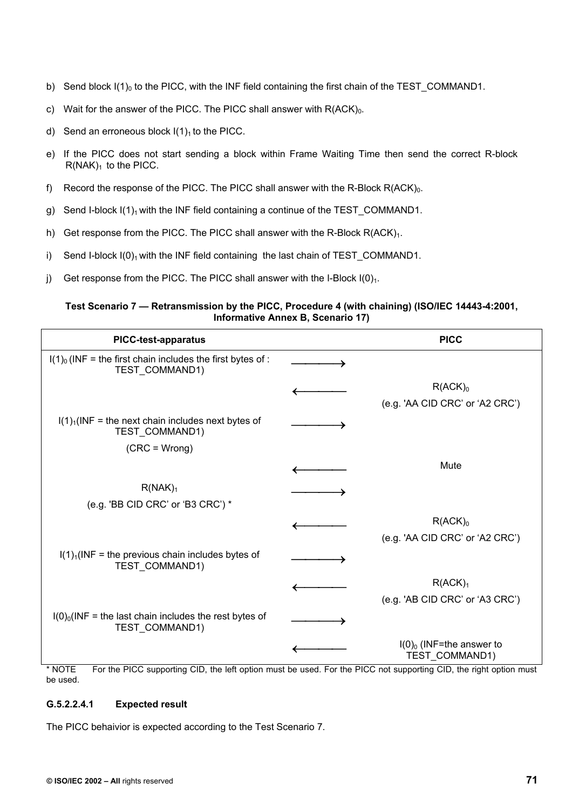- b) Send block  $I(1)_0$  to the PICC, with the INF field containing the first chain of the TEST COMMAND1.
- c) Wait for the answer of the PICC. The PICC shall answer with  $R(ACK)<sub>0</sub>$ .
- d) Send an erroneous block  $I(1)<sub>1</sub>$  to the PICC.
- e) If the PICC does not start sending a block within Frame Waiting Time then send the correct R-block  $R(NAK)<sub>1</sub>$  to the PICC.
- f) Record the response of the PICC. The PICC shall answer with the R-Block  $R(ACK)_0$ .
- g) Send I-block  $I(1)_1$  with the INF field containing a continue of the TEST COMMAND1.
- h) Get response from the PICC. The PICC shall answer with the R-Block  $R(ACK)_1$ .
- i) Send I-block  $I(0)<sub>1</sub>$  with the INF field containing the last chain of TEST\_COMMAND1.
- j) Get response from the PICC. The PICC shall answer with the I-Block  $I(0)_1$ .

### **Test Scenario 7 — Retransmission by the PICC, Procedure 4 (with chaining) (ISO/IEC 14443-4:2001, Informative Annex B, Scenario 17)**

| <b>PICC-test-apparatus</b>                                                     | <b>PICC</b>                                   |
|--------------------------------------------------------------------------------|-----------------------------------------------|
| $I(1)0$ (INF = the first chain includes the first bytes of :<br>TEST_COMMAND1) |                                               |
|                                                                                | $R(ACK)_0$                                    |
|                                                                                | (e.g. 'AA CID CRC' or 'A2 CRC')               |
| $I(1)1(INF = the next chain includes next bytes of$<br>TEST_COMMAND1)          |                                               |
| $(CRC = Wrong)$                                                                |                                               |
|                                                                                | Mute                                          |
| R(NAK) <sub>1</sub>                                                            |                                               |
| (e.g. 'BB CID CRC' or 'B3 CRC') *                                              |                                               |
|                                                                                | $R(ACK)_0$                                    |
|                                                                                | (e.g. 'AA CID CRC' or 'A2 CRC')               |
| $I(1)1(INF = the previous chain includes bytes of$<br>TEST COMMAND1)           |                                               |
|                                                                                | R(ACK) <sub>1</sub>                           |
|                                                                                | (e.g. 'AB CID CRC' or 'A3 CRC')               |
| $I(0)_0$ (INF = the last chain includes the rest bytes of<br>TEST_COMMAND1)    |                                               |
|                                                                                | $I(0)_0$ (INF=the answer to<br>TEST_COMMAND1) |

\* NOTE For the PICC supporting CID, the left option must be used. For the PICC not supporting CID, the right option must be used.

## **G.5.2.2.4.1 Expected result**

The PICC behaivior is expected according to the Test Scenario 7.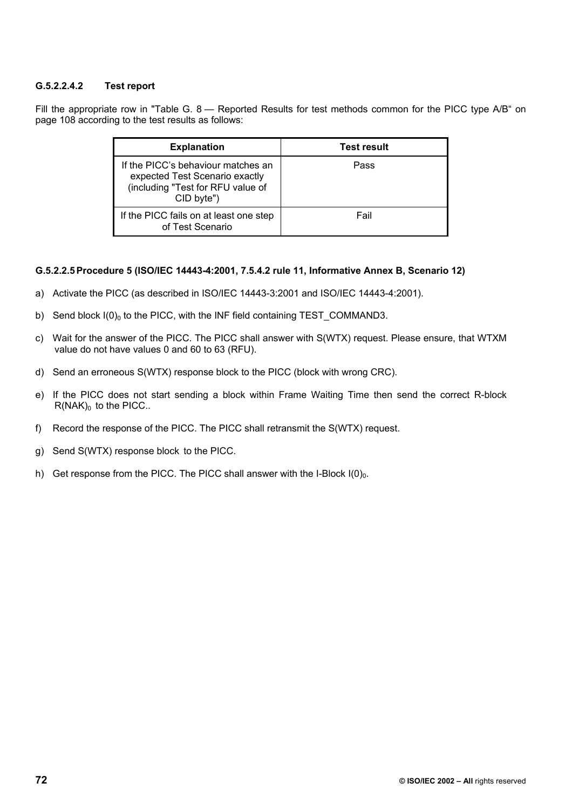## **G.5.2.2.4.2 Test report**

Fill the appropriate row in "Table G. 8 - Reported Results for test methods common for the PICC type A/B" on page 108 according to the test results as follows:

| <b>Explanation</b>                                                                                                      | <b>Test result</b> |
|-------------------------------------------------------------------------------------------------------------------------|--------------------|
| If the PICC's behaviour matches an<br>expected Test Scenario exactly<br>(including "Test for RFU value of<br>CID byte") | Pass               |
| If the PICC fails on at least one step<br>of Test Scenario                                                              | Fail               |

## **G.5.2.2.5 Procedure 5 (ISO/IEC 14443-4:2001, 7.5.4.2 rule 11, Informative Annex B, Scenario 12)**

- a) Activate the PICC (as described in ISO/IEC 14443-3:2001 and ISO/IEC 14443-4:2001).
- b) Send block  $I(0)_0$  to the PICC, with the INF field containing TEST COMMAND3.
- c) Wait for the answer of the PICC. The PICC shall answer with S(WTX) request. Please ensure, that WTXM value do not have values 0 and 60 to 63 (RFU).
- d) Send an erroneous S(WTX) response block to the PICC (block with wrong CRC).
- e) If the PICC does not start sending a block within Frame Waiting Time then send the correct R-block  $R(NAK)_0$  to the PICC..
- f) Record the response of the PICC. The PICC shall retransmit the S(WTX) request.
- g) Send S(WTX) response block to the PICC.
- h) Get response from the PICC. The PICC shall answer with the I-Block  $I(0)_0$ .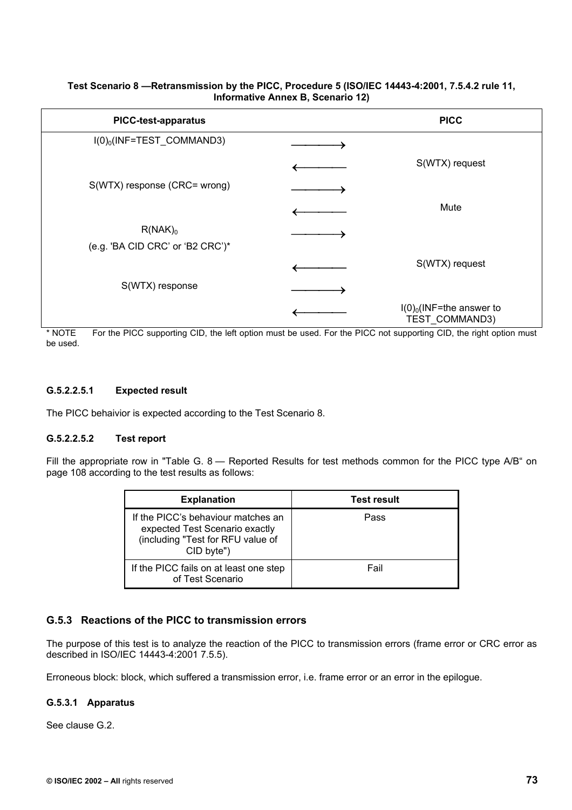#### **Test Scenario 8 —Retransmission by the PICC, Procedure 5 (ISO/IEC 14443-4:2001, 7.5.4.2 rule 11, Informative Annex B, Scenario 12)**

| <b>PICC-test-apparatus</b>                     | <b>PICC</b>                                   |
|------------------------------------------------|-----------------------------------------------|
| I(0) <sub>0</sub> (INF=TEST_COMMAND3)          |                                               |
|                                                | S(WTX) request                                |
| S(WTX) response (CRC= wrong)                   |                                               |
|                                                | Mute                                          |
| $R(NAK)_0$<br>(e.g. 'BA CID CRC' or 'B2 CRC')* |                                               |
|                                                | S(WTX) request                                |
| S(WTX) response                                |                                               |
|                                                | $I(0)_0$ (INF=the answer to<br>TEST_COMMAND3) |

\* NOTE For the PICC supporting CID, the left option must be used. For the PICC not supporting CID, the right option must be used.

## **G.5.2.2.5.1 Expected result**

The PICC behaivior is expected according to the Test Scenario 8.

## **G.5.2.2.5.2 Test report**

Fill the appropriate row in "Table G. 8 — Reported Results for test methods common for the PICC type A/B" on page 108 according to the test results as follows:

| <b>Explanation</b>                                                                                                      | <b>Test result</b> |
|-------------------------------------------------------------------------------------------------------------------------|--------------------|
| If the PICC's behaviour matches an<br>expected Test Scenario exactly<br>(including "Test for RFU value of<br>CID byte") | Pass               |
| If the PICC fails on at least one step<br>of Test Scenario                                                              | Fail               |

## **G.5.3 Reactions of the PICC to transmission errors**

The purpose of this test is to analyze the reaction of the PICC to transmission errors (frame error or CRC error as described in ISO/IEC 14443-4:2001 7.5.5).

Erroneous block: block, which suffered a transmission error, i.e. frame error or an error in the epilogue.

## **G.5.3.1 Apparatus**

See clause G.2.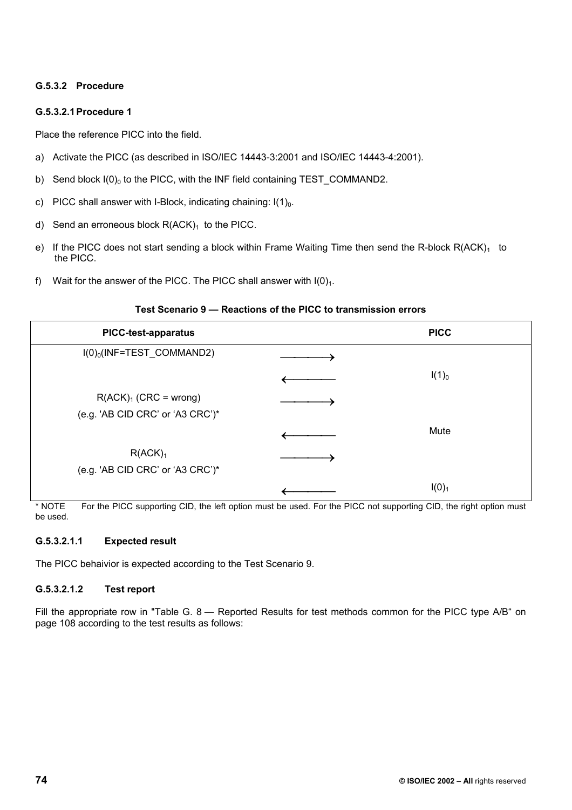## **G.5.3.2 Procedure**

## **G.5.3.2.1 Procedure 1**

Place the reference PICC into the field.

- a) Activate the PICC (as described in ISO/IEC 14443-3:2001 and ISO/IEC 14443-4:2001).
- b) Send block  $I(0)_0$  to the PICC, with the INF field containing TEST COMMAND2.
- c) PICC shall answer with I-Block, indicating chaining:  $I(1)<sub>0</sub>$ .
- d) Send an erroneous block  $R(ACK)_1$  to the PICC.
- e) If the PICC does not start sending a block within Frame Waiting Time then send the R-block  $R(ACK)<sub>1</sub>$  to the PICC.
- f) Wait for the answer of the PICC. The PICC shall answer with  $I(0)<sub>1</sub>$ .

#### **Test Scenario 9 — Reactions of the PICC to transmission errors**

| <b>PICC-test-apparatus</b>       | <b>PICC</b>       |
|----------------------------------|-------------------|
| $I(0)_0$ (INF=TEST_COMMAND2)     |                   |
|                                  | $I(1)_{0}$        |
| $R(ACK)1$ (CRC = wrong)          |                   |
| (e.g. 'AB CID CRC' or 'A3 CRC')* |                   |
|                                  | Mute              |
| R(ACK) <sub>1</sub>              |                   |
| (e.g. 'AB CID CRC' or 'A3 CRC')* |                   |
|                                  | I(0) <sub>1</sub> |

\* NOTE For the PICC supporting CID, the left option must be used. For the PICC not supporting CID, the right option must be used.

## **G.5.3.2.1.1 Expected result**

The PICC behaivior is expected according to the Test Scenario 9.

## **G.5.3.2.1.2 Test report**

Fill the appropriate row in "Table G. 8 — Reported Results for test methods common for the PICC type A/B" on page 108 according to the test results as follows: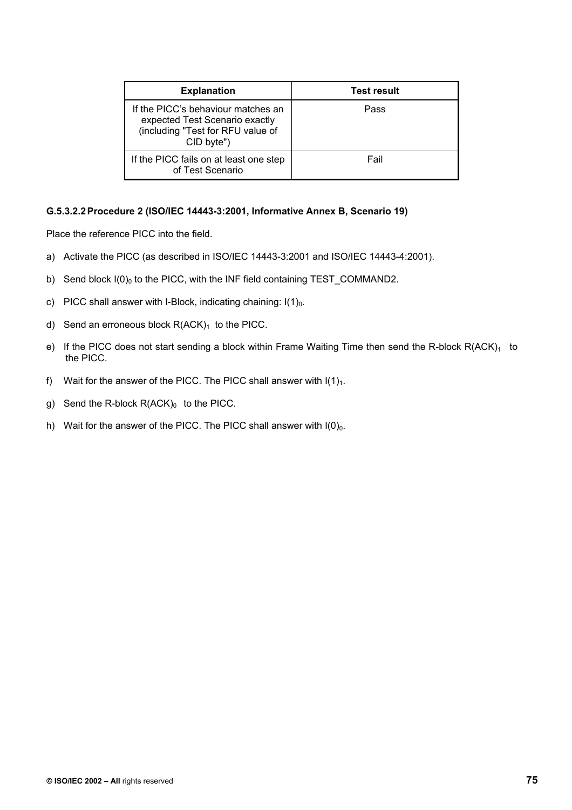| <b>Explanation</b>                                                                                                      | <b>Test result</b> |
|-------------------------------------------------------------------------------------------------------------------------|--------------------|
| If the PICC's behaviour matches an<br>expected Test Scenario exactly<br>(including "Test for RFU value of<br>CID byte") | Pass               |
| If the PICC fails on at least one step<br>of Test Scenario                                                              | Fail               |

#### **G.5.3.2.2 Procedure 2 (ISO/IEC 14443-3:2001, Informative Annex B, Scenario 19)**

- a) Activate the PICC (as described in ISO/IEC 14443-3:2001 and ISO/IEC 14443-4:2001).
- b) Send block  $I(0)_0$  to the PICC, with the INF field containing TEST\_COMMAND2.
- c) PICC shall answer with I-Block, indicating chaining:  $I(1)<sub>0</sub>$ .
- d) Send an erroneous block  $R(ACK)_1$  to the PICC.
- e) If the PICC does not start sending a block within Frame Waiting Time then send the R-block  $R(ACK)<sub>1</sub>$  to the PICC.
- f) Wait for the answer of the PICC. The PICC shall answer with  $I(1)<sub>1</sub>$ .
- g) Send the R-block  $R(ACK)_0$  to the PICC.
- h) Wait for the answer of the PICC. The PICC shall answer with  $I(0)_0$ .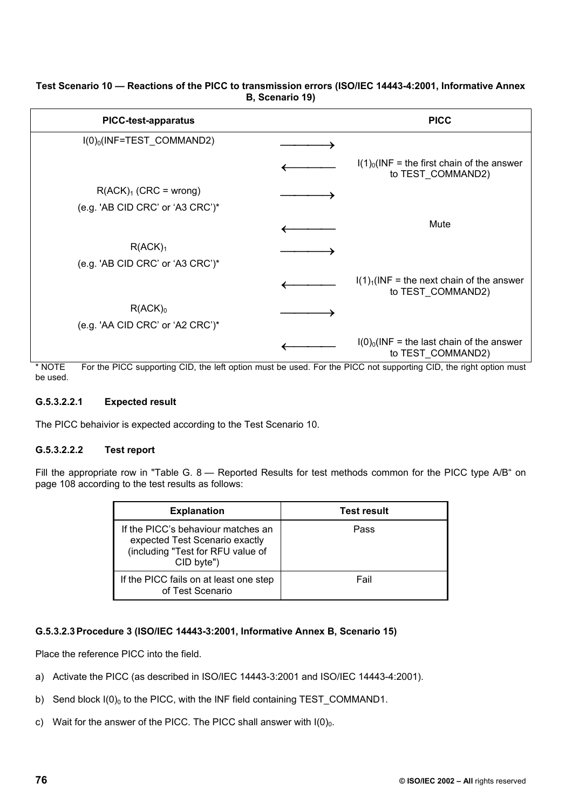| <b>PICC-test-apparatus</b>                                                       | <b>PICC</b>                                                                       |
|----------------------------------------------------------------------------------|-----------------------------------------------------------------------------------|
| I(0) <sub>0</sub> (INF=TEST_COMMAND2)                                            |                                                                                   |
|                                                                                  | $I(1)0(INF = the first chain of the answer)$<br>to TEST COMMAND2)                 |
| $R(ACK)1$ (CRC = wrong)                                                          |                                                                                   |
| (e.g. 'AB CID CRC' or 'A3 CRC')*                                                 |                                                                                   |
|                                                                                  | Mute                                                                              |
| R(ACK) <sub>1</sub>                                                              |                                                                                   |
| (e.g. 'AB CID CRC' or 'A3 CRC')*                                                 |                                                                                   |
|                                                                                  | $I(1)1(INF = the next chain of the answer)$<br>to TEST COMMAND2)                  |
| $R(ACK)_0$                                                                       |                                                                                   |
| (e.g. 'AA CID CRC' or 'A2 CRC')*                                                 |                                                                                   |
| $\sim$ $\sim$ $\sim$<br>$+ + - -$<br>$\mathbf{m}$<br>$\cdot$ $\cdot$<br>$\cdots$ | $I(0)_0$ (INF = the last chain of the answer<br>to TEST COMMAND2)<br>$\mathbf{m}$ |

## **Test Scenario 10 — Reactions of the PICC to transmission errors (ISO/IEC 14443-4:2001, Informative Annex B, Scenario 19)**

NOTE For the PICC supporting CID, the left option must be used. For the PICC not supporting CID, the right option must be used.

## **G.5.3.2.2.1 Expected result**

The PICC behaivior is expected according to the Test Scenario 10.

## **G.5.3.2.2.2 Test report**

Fill the appropriate row in "Table G. 8 — Reported Results for test methods common for the PICC type A/B" on page 108 according to the test results as follows:

| <b>Explanation</b>                                                                                                      | <b>Test result</b> |
|-------------------------------------------------------------------------------------------------------------------------|--------------------|
| If the PICC's behaviour matches an<br>expected Test Scenario exactly<br>(including "Test for RFU value of<br>CID byte") | Pass               |
| If the PICC fails on at least one step<br>of Test Scenario                                                              | Fail               |

## **G.5.3.2.3 Procedure 3 (ISO/IEC 14443-3:2001, Informative Annex B, Scenario 15)**

- a) Activate the PICC (as described in ISO/IEC 14443-3:2001 and ISO/IEC 14443-4:2001).
- b) Send block  $I(0)_0$  to the PICC, with the INF field containing TEST\_COMMAND1.
- c) Wait for the answer of the PICC. The PICC shall answer with  $I(0)_0$ .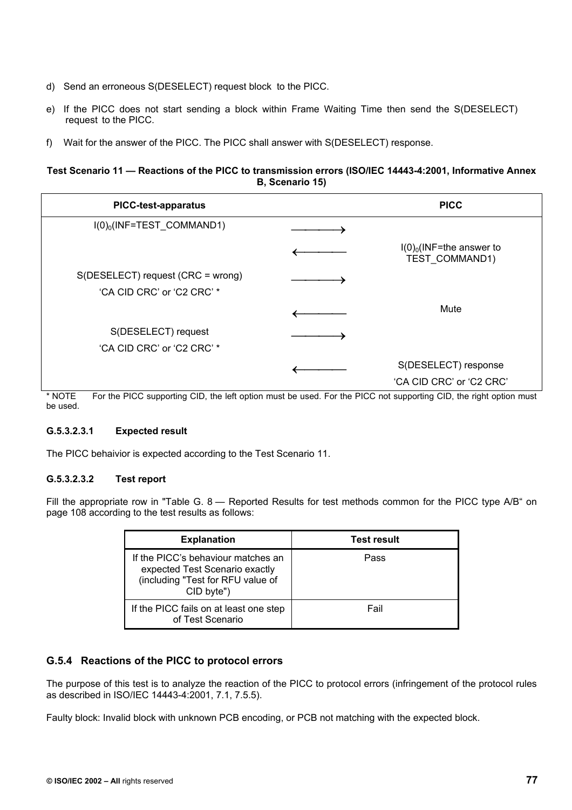- d) Send an erroneous S(DESELECT) request block to the PICC.
- e) If the PICC does not start sending a block within Frame Waiting Time then send the S(DESELECT) request to the PICC.
- f) Wait for the answer of the PICC. The PICC shall answer with S(DESELECT) response.

### **Test Scenario 11 — Reactions of the PICC to transmission errors (ISO/IEC 14443-4:2001, Informative Annex B, Scenario 15)**

| <b>PICC-test-apparatus</b>              | <b>PICC</b>                                   |
|-----------------------------------------|-----------------------------------------------|
| $I(0)$ <sub>0</sub> (INF=TEST_COMMAND1) |                                               |
|                                         | $I(0)_0$ (INF=the answer to<br>TEST COMMAND1) |
| S(DESELECT) request (CRC = wrong)       |                                               |
| 'CA CID CRC' or 'C2 CRC' *              |                                               |
|                                         | Mute                                          |
| S(DESELECT) request                     |                                               |
| 'CA CID CRC' or 'C2 CRC' *              |                                               |
|                                         | S(DESELECT) response                          |
|                                         | 'CA CID CRC' or 'C2 CRC'                      |

\* NOTE For the PICC supporting CID, the left option must be used. For the PICC not supporting CID, the right option must be used.

## **G.5.3.2.3.1 Expected result**

The PICC behaivior is expected according to the Test Scenario 11.

## **G.5.3.2.3.2 Test report**

Fill the appropriate row in "Table G. 8 – Reported Results for test methods common for the PICC type A/B" on page 108 according to the test results as follows:

| <b>Explanation</b>                                                                                                      | <b>Test result</b> |
|-------------------------------------------------------------------------------------------------------------------------|--------------------|
| If the PICC's behaviour matches an<br>expected Test Scenario exactly<br>(including "Test for RFU value of<br>CID byte") | Pass               |
| If the PICC fails on at least one step<br>of Test Scenario                                                              | Fail               |

## **G.5.4 Reactions of the PICC to protocol errors**

The purpose of this test is to analyze the reaction of the PICC to protocol errors (infringement of the protocol rules as described in ISO/IEC 14443-4:2001, 7.1, 7.5.5).

Faulty block: Invalid block with unknown PCB encoding, or PCB not matching with the expected block.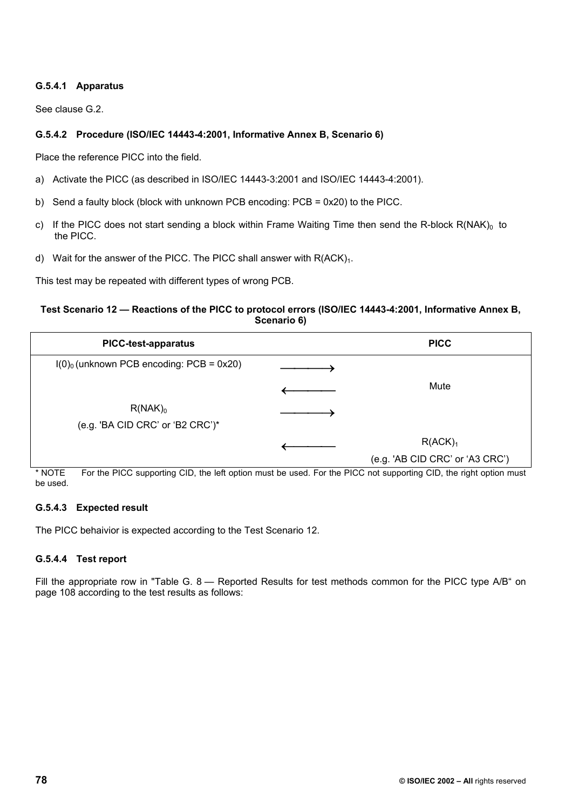## **G.5.4.1 Apparatus**

See clause G.2.

## **G.5.4.2 Procedure (ISO/IEC 14443-4:2001, Informative Annex B, Scenario 6)**

Place the reference PICC into the field.

- a) Activate the PICC (as described in ISO/IEC 14443-3:2001 and ISO/IEC 14443-4:2001).
- b) Send a faulty block (block with unknown PCB encoding: PCB = 0x20) to the PICC.
- c) If the PICC does not start sending a block within Frame Waiting Time then send the R-block  $R(NAK)_0$  to the PICC.
- d) Wait for the answer of the PICC. The PICC shall answer with  $R(ACK)<sub>1</sub>$ .

This test may be repeated with different types of wrong PCB.

### **Test Scenario 12 — Reactions of the PICC to protocol errors (ISO/IEC 14443-4:2001, Informative Annex B, Scenario 6)**

| <b>PICC-test-apparatus</b>                             | <b>PICC</b>                     |
|--------------------------------------------------------|---------------------------------|
| $I(0)$ <sub>0</sub> (unknown PCB encoding: PCB = 0x20) |                                 |
|                                                        | Mute                            |
| $R(NAK)_0$                                             |                                 |
| (e.g. 'BA CID CRC' or 'B2 CRC') $*$                    |                                 |
|                                                        | R(ACK) <sub>1</sub>             |
|                                                        | (e.g. 'AB CID CRC' or 'A3 CRC') |

\* NOTE For the PICC supporting CID, the left option must be used. For the PICC not supporting CID, the right option must be used.

## **G.5.4.3 Expected result**

The PICC behaivior is expected according to the Test Scenario 12.

## **G.5.4.4 Test report**

Fill the appropriate row in "Table G. 8 — Reported Results for test methods common for the PICC type A/B" on page 108 according to the test results as follows: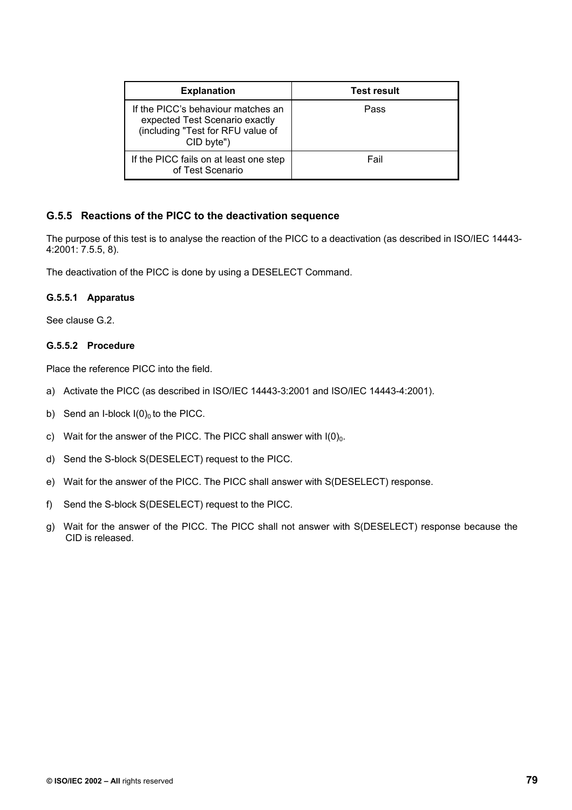| <b>Explanation</b>                                                                                                      | <b>Test result</b> |
|-------------------------------------------------------------------------------------------------------------------------|--------------------|
| If the PICC's behaviour matches an<br>expected Test Scenario exactly<br>(including "Test for RFU value of<br>CID byte") | Pass               |
| If the PICC fails on at least one step<br>of Test Scenario                                                              | Fail               |

## **G.5.5 Reactions of the PICC to the deactivation sequence**

The purpose of this test is to analyse the reaction of the PICC to a deactivation (as described in ISO/IEC 14443- 4:2001: 7.5.5, 8).

The deactivation of the PICC is done by using a DESELECT Command.

#### **G.5.5.1 Apparatus**

See clause G.2.

#### **G.5.5.2 Procedure**

- a) Activate the PICC (as described in ISO/IEC 14443-3:2001 and ISO/IEC 14443-4:2001).
- b) Send an I-block  $I(0)_0$  to the PICC.
- c) Wait for the answer of the PICC. The PICC shall answer with  $I(0)<sub>0</sub>$ .
- d) Send the S-block S(DESELECT) request to the PICC.
- e) Wait for the answer of the PICC. The PICC shall answer with S(DESELECT) response.
- f) Send the S-block S(DESELECT) request to the PICC.
- g) Wait for the answer of the PICC. The PICC shall not answer with S(DESELECT) response because the CID is released.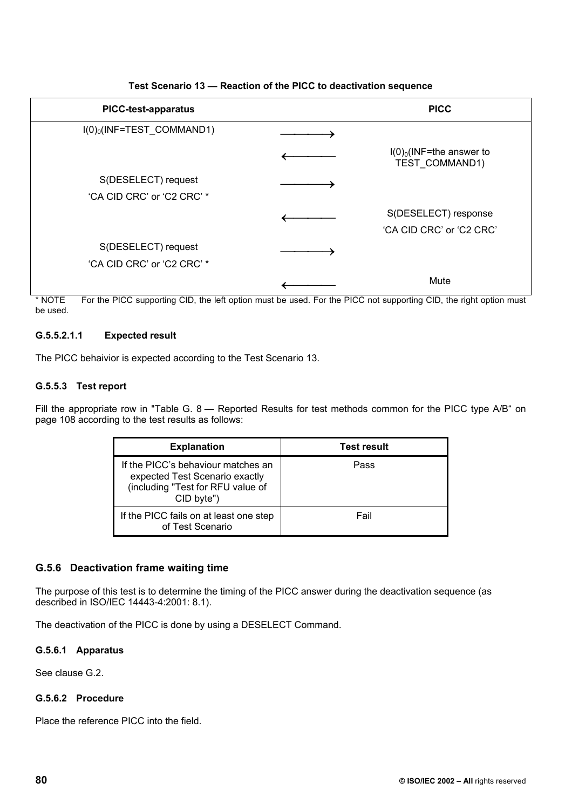| <b>PICC-test-apparatus</b>              | <b>PICC</b>                                          |
|-----------------------------------------|------------------------------------------------------|
| $I(0)$ <sub>0</sub> (INF=TEST_COMMAND1) |                                                      |
|                                         | $I(0)_0$ (INF=the answer to<br><b>TEST COMMAND1)</b> |
| S(DESELECT) request                     |                                                      |
| 'CA CID CRC' or 'C2 CRC' *              |                                                      |
|                                         | S(DESELECT) response                                 |
|                                         | 'CA CID CRC' or 'C2 CRC'                             |
| S(DESELECT) request                     |                                                      |
| 'CA CID CRC' or 'C2 CRC' *              |                                                      |
|                                         | Mute                                                 |

## **Test Scenario 13 — Reaction of the PICC to deactivation sequence**

\* NOTE For the PICC supporting CID, the left option must be used. For the PICC not supporting CID, the right option must be used.

## **G.5.5.2.1.1 Expected result**

The PICC behaivior is expected according to the Test Scenario 13.

## **G.5.5.3 Test report**

Fill the appropriate row in "Table G. 8 - Reported Results for test methods common for the PICC type A/B" on page 108 according to the test results as follows:

| <b>Explanation</b>                                                                                                      | <b>Test result</b> |
|-------------------------------------------------------------------------------------------------------------------------|--------------------|
| If the PICC's behaviour matches an<br>expected Test Scenario exactly<br>(including "Test for RFU value of<br>CID byte") | Pass               |
| If the PICC fails on at least one step<br>of Test Scenario                                                              | Fail               |

## **G.5.6 Deactivation frame waiting time**

The purpose of this test is to determine the timing of the PICC answer during the deactivation sequence (as described in ISO/IEC 14443-4:2001: 8.1).

The deactivation of the PICC is done by using a DESELECT Command.

## **G.5.6.1 Apparatus**

See clause G.2.

## **G.5.6.2 Procedure**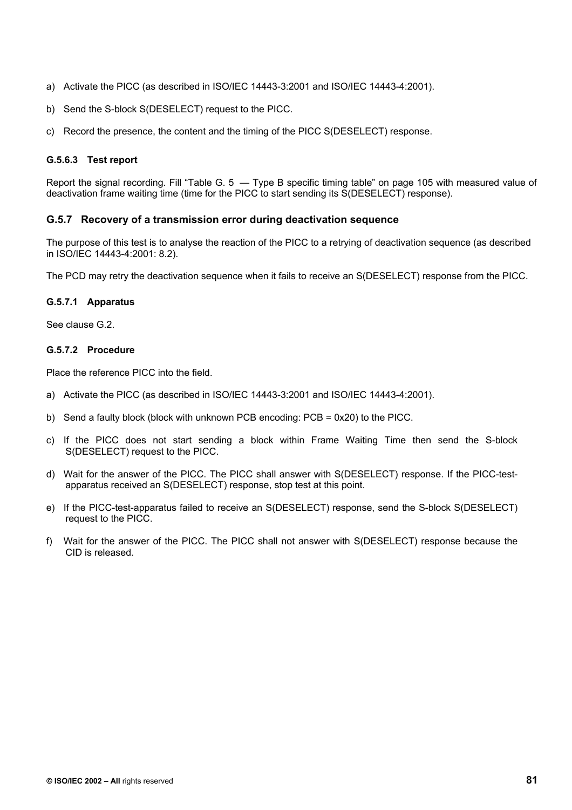- a) Activate the PICC (as described in ISO/IEC 14443-3:2001 and ISO/IEC 14443-4:2001).
- b) Send the S-block S(DESELECT) request to the PICC.
- c) Record the presence, the content and the timing of the PICC S(DESELECT) response.

## **G.5.6.3 Test report**

Report the signal recording. Fill "Table G. 5 — Type B specific timing table" on page 105 with measured value of deactivation frame waiting time (time for the PICC to start sending its S(DESELECT) response).

## **G.5.7 Recovery of a transmission error during deactivation sequence**

The purpose of this test is to analyse the reaction of the PICC to a retrying of deactivation sequence (as described in ISO/IEC 14443-4:2001: 8.2).

The PCD may retry the deactivation sequence when it fails to receive an S(DESELECT) response from the PICC.

## **G.5.7.1 Apparatus**

See clause G.2.

#### **G.5.7.2 Procedure**

- a) Activate the PICC (as described in ISO/IEC 14443-3:2001 and ISO/IEC 14443-4:2001).
- b) Send a faulty block (block with unknown PCB encoding: PCB = 0x20) to the PICC.
- c) If the PICC does not start sending a block within Frame Waiting Time then send the S-block S(DESELECT) request to the PICC.
- d) Wait for the answer of the PICC. The PICC shall answer with S(DESELECT) response. If the PICC-testapparatus received an S(DESELECT) response, stop test at this point.
- e) If the PICC-test-apparatus failed to receive an S(DESELECT) response, send the S-block S(DESELECT) request to the PICC.
- f) Wait for the answer of the PICC. The PICC shall not answer with S(DESELECT) response because the CID is released.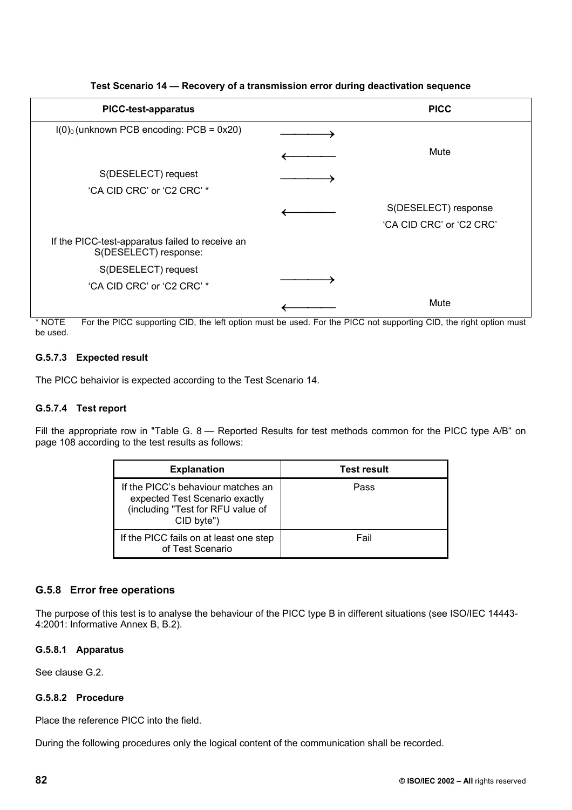| <b>PICC-test-apparatus</b>                                               | <b>PICC</b>              |
|--------------------------------------------------------------------------|--------------------------|
| $I(0)$ <sub>0</sub> (unknown PCB encoding: PCB = 0x20)                   |                          |
|                                                                          | Mute                     |
| S(DESELECT) request                                                      |                          |
| 'CA CID CRC' or 'C2 CRC' *                                               |                          |
|                                                                          | S(DESELECT) response     |
|                                                                          | 'CA CID CRC' or 'C2 CRC' |
| If the PICC-test-apparatus failed to receive an<br>S(DESELECT) response: |                          |
| S(DESELECT) request                                                      |                          |
| 'CA CID CRC' or 'C2 CRC' *                                               |                          |
|                                                                          | Mute                     |

## **Test Scenario 14 — Recovery of a transmission error during deactivation sequence**

\* NOTE For the PICC supporting CID, the left option must be used. For the PICC not supporting CID, the right option must be used.

## **G.5.7.3 Expected result**

The PICC behaivior is expected according to the Test Scenario 14.

## **G.5.7.4 Test report**

Fill the appropriate row in "Table G. 8 — Reported Results for test methods common for the PICC type A/B" on page 108 according to the test results as follows:

| <b>Explanation</b>                                                                                                      | <b>Test result</b> |
|-------------------------------------------------------------------------------------------------------------------------|--------------------|
| If the PICC's behaviour matches an<br>expected Test Scenario exactly<br>(including "Test for RFU value of<br>CID byte") | Pass               |
| If the PICC fails on at least one step<br>of Test Scenario                                                              | Fail               |

## **G.5.8 Error free operations**

The purpose of this test is to analyse the behaviour of the PICC type B in different situations (see ISO/IEC 14443- 4:2001: Informative Annex B, B.2).

## **G.5.8.1 Apparatus**

See clause G.2.

## **G.5.8.2 Procedure**

Place the reference PICC into the field.

During the following procedures only the logical content of the communication shall be recorded.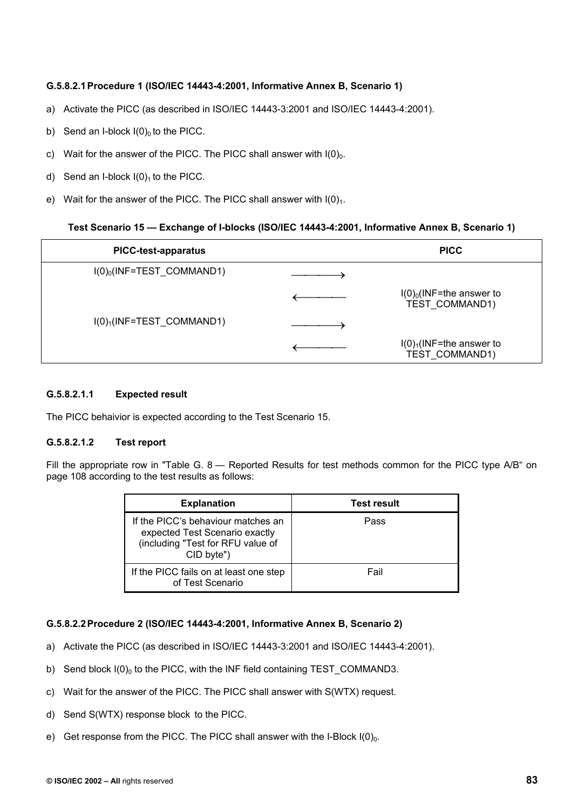## **G.5.8.2.1 Procedure 1 (ISO/IEC 14443-4:2001, Informative Annex B, Scenario 1)**

- a) Activate the PICC (as described in ISO/IEC 14443-3:2001 and ISO/IEC 14443-4:2001).
- b) Send an I-block  $I(0)_0$  to the PICC.
- c) Wait for the answer of the PICC. The PICC shall answer with  $I(0)<sub>0</sub>$ .
- d) Send an I-block  $I(0)<sub>1</sub>$  to the PICC.
- e) Wait for the answer of the PICC. The PICC shall answer with  $I(0)<sub>1</sub>$ .

#### **Test Scenario 15 — Exchange of I-blocks (ISO/IEC 14443-4:2001, Informative Annex B, Scenario 1)**

| <b>PICC-test-apparatus</b>              | <b>PICC</b>                                   |
|-----------------------------------------|-----------------------------------------------|
| $I(0)_0$ (INF=TEST_COMMAND1)            |                                               |
|                                         | $I(0)_0$ (INF=the answer to<br>TEST COMMAND1) |
| $I(0)$ <sub>1</sub> (INF=TEST COMMAND1) |                                               |
|                                         | $I(0)1(INF=the answer to$<br>TEST COMMAND1)   |

## **G.5.8.2.1.1 Expected result**

The PICC behaivior is expected according to the Test Scenario 15.

#### **G.5.8.2.1.2 Test report**

Fill the appropriate row in "Table G. 8 — Reported Results for test methods common for the PICC type A/B" on page 108 according to the test results as follows:

| <b>Explanation</b>                                                                                                      | <b>Test result</b> |
|-------------------------------------------------------------------------------------------------------------------------|--------------------|
| If the PICC's behaviour matches an<br>expected Test Scenario exactly<br>(including "Test for RFU value of<br>CID byte") | Pass               |
| If the PICC fails on at least one step<br>of Test Scenario                                                              | Fail               |

## **G.5.8.2.2 Procedure 2 (ISO/IEC 14443-4:2001, Informative Annex B, Scenario 2)**

- a) Activate the PICC (as described in ISO/IEC 14443-3:2001 and ISO/IEC 14443-4:2001).
- b) Send block  $I(0)_0$  to the PICC, with the INF field containing TEST COMMAND3.
- c) Wait for the answer of the PICC. The PICC shall answer with S(WTX) request.
- d) Send S(WTX) response block to the PICC.
- e) Get response from the PICC. The PICC shall answer with the I-Block  $I(0)<sub>0</sub>$ .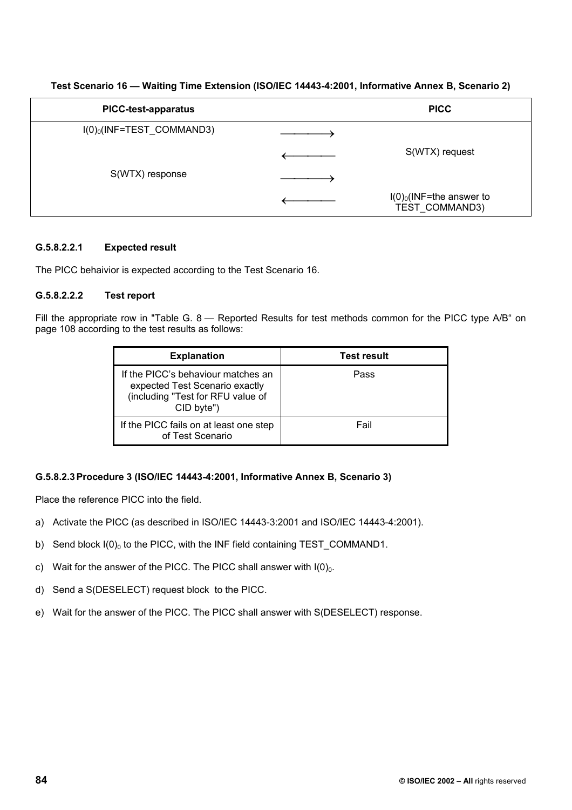| <b>PICC-test-apparatus</b>              | <b>PICC</b>                                   |
|-----------------------------------------|-----------------------------------------------|
| $I(0)$ <sub>0</sub> (INF=TEST_COMMAND3) |                                               |
|                                         | S(WTX) request                                |
| S(WTX) response                         |                                               |
|                                         | $I(0)_0$ (INF=the answer to<br>TEST COMMAND3) |

## **Test Scenario 16 — Waiting Time Extension (ISO/IEC 14443-4:2001, Informative Annex B, Scenario 2)**

## **G.5.8.2.2.1 Expected result**

The PICC behaivior is expected according to the Test Scenario 16.

## **G.5.8.2.2.2 Test report**

Fill the appropriate row in "Table G. 8 — Reported Results for test methods common for the PICC type A/B" on page 108 according to the test results as follows:

| <b>Explanation</b>                                                                                                      | <b>Test result</b> |
|-------------------------------------------------------------------------------------------------------------------------|--------------------|
| If the PICC's behaviour matches an<br>expected Test Scenario exactly<br>(including "Test for RFU value of<br>CID byte") | Pass               |
| If the PICC fails on at least one step<br>of Test Scenario                                                              | Fail               |

## **G.5.8.2.3 Procedure 3 (ISO/IEC 14443-4:2001, Informative Annex B, Scenario 3)**

- a) Activate the PICC (as described in ISO/IEC 14443-3:2001 and ISO/IEC 14443-4:2001).
- b) Send block  $I(0)_0$  to the PICC, with the INF field containing TEST COMMAND1.
- c) Wait for the answer of the PICC. The PICC shall answer with  $I(0)<sub>0</sub>$ .
- d) Send a S(DESELECT) request block to the PICC.
- e) Wait for the answer of the PICC. The PICC shall answer with S(DESELECT) response.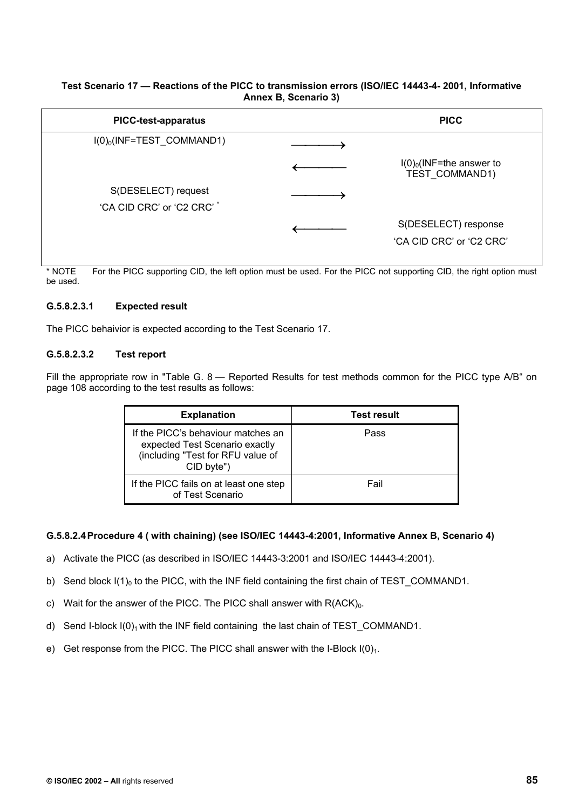### **Test Scenario 17 — Reactions of the PICC to transmission errors (ISO/IEC 14443-4- 2001, Informative Annex B, Scenario 3)**

| <b>PICC-test-apparatus</b>                        | <b>PICC</b>                                      |
|---------------------------------------------------|--------------------------------------------------|
| $I(0)_0$ (INF=TEST_COMMAND1)                      |                                                  |
|                                                   | $I(0)_0$ (INF=the answer to<br>TEST COMMAND1)    |
| S(DESELECT) request<br>'CA CID CRC' or 'C2 CRC' * |                                                  |
|                                                   | S(DESELECT) response<br>'CA CID CRC' or 'C2 CRC' |

\* NOTE For the PICC supporting CID, the left option must be used. For the PICC not supporting CID, the right option must be used.

## **G.5.8.2.3.1 Expected result**

The PICC behaivior is expected according to the Test Scenario 17.

## **G.5.8.2.3.2 Test report**

Fill the appropriate row in "Table G. 8 — Reported Results for test methods common for the PICC type A/B" on page 108 according to the test results as follows:

| <b>Explanation</b>                                                                                                      | <b>Test result</b> |
|-------------------------------------------------------------------------------------------------------------------------|--------------------|
| If the PICC's behaviour matches an<br>expected Test Scenario exactly<br>(including "Test for RFU value of<br>CID byte") | Pass               |
| If the PICC fails on at least one step<br>of Test Scenario                                                              | Fail               |

#### **G.5.8.2.4 Procedure 4 ( with chaining) (see ISO/IEC 14443-4:2001, Informative Annex B, Scenario 4)**

- a) Activate the PICC (as described in ISO/IEC 14443-3:2001 and ISO/IEC 14443-4:2001).
- b) Send block  $I(1)_0$  to the PICC, with the INF field containing the first chain of TEST\_COMMAND1.
- c) Wait for the answer of the PICC. The PICC shall answer with  $R(ACK)<sub>0</sub>$ .
- d) Send I-block  $I(0)_1$  with the INF field containing the last chain of TEST COMMAND1.
- e) Get response from the PICC. The PICC shall answer with the I-Block  $I(0)<sub>1</sub>$ .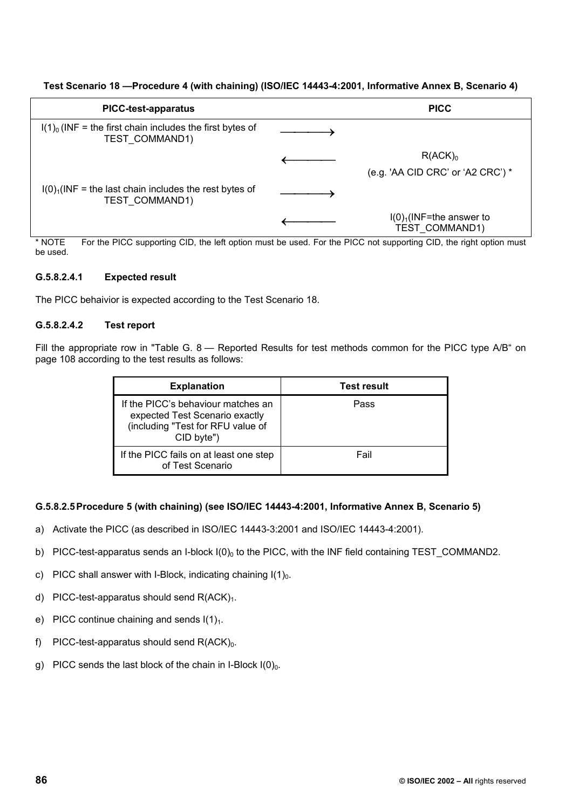## **Test Scenario 18 —Procedure 4 (with chaining) (ISO/IEC 14443-4:2001, Informative Annex B, Scenario 4)**

| <b>PICC-test-apparatus</b>                                                          | <b>PICC</b>                                        |
|-------------------------------------------------------------------------------------|----------------------------------------------------|
| $I(1)0$ (INF = the first chain includes the first bytes of<br><b>TEST COMMAND1)</b> |                                                    |
|                                                                                     | R(ACK) <sub>0</sub>                                |
|                                                                                     | (e.g. 'AA CID CRC' or 'A2 CRC') $*$                |
| $I(0)1(INF = the last chain includes the rest bytes of$<br><b>TEST COMMAND1)</b>    |                                                    |
|                                                                                     | $I(0)1(INF=the answer to$<br><b>TEST COMMAND1)</b> |

NOTE For the PICC supporting CID, the left option must be used. For the PICC not supporting CID, the right option must be used.

#### **G.5.8.2.4.1 Expected result**

The PICC behaivior is expected according to the Test Scenario 18.

#### **G.5.8.2.4.2 Test report**

Fill the appropriate row in "Table G. 8 — Reported Results for test methods common for the PICC type A/B" on page 108 according to the test results as follows:

| <b>Explanation</b>                                                                                                      | <b>Test result</b> |
|-------------------------------------------------------------------------------------------------------------------------|--------------------|
| If the PICC's behaviour matches an<br>expected Test Scenario exactly<br>(including "Test for RFU value of<br>CID byte") | Pass               |
| If the PICC fails on at least one step<br>of Test Scenario                                                              | Fail               |

## **G.5.8.2.5 Procedure 5 (with chaining) (see ISO/IEC 14443-4:2001, Informative Annex B, Scenario 5)**

- a) Activate the PICC (as described in ISO/IEC 14443-3:2001 and ISO/IEC 14443-4:2001).
- b) PICC-test-apparatus sends an I-block  $I(0)_0$  to the PICC, with the INF field containing TEST\_COMMAND2.
- c) PICC shall answer with I-Block, indicating chaining  $I(1)<sub>0</sub>$ .
- d) PICC-test-apparatus should send  $R(ACK)<sub>1</sub>$ .
- e) PICC continue chaining and sends  $I(1)<sub>1</sub>$ .
- f) PICC-test-apparatus should send  $R(ACK)_0$ .
- g) PICC sends the last block of the chain in I-Block  $I(0)_0$ .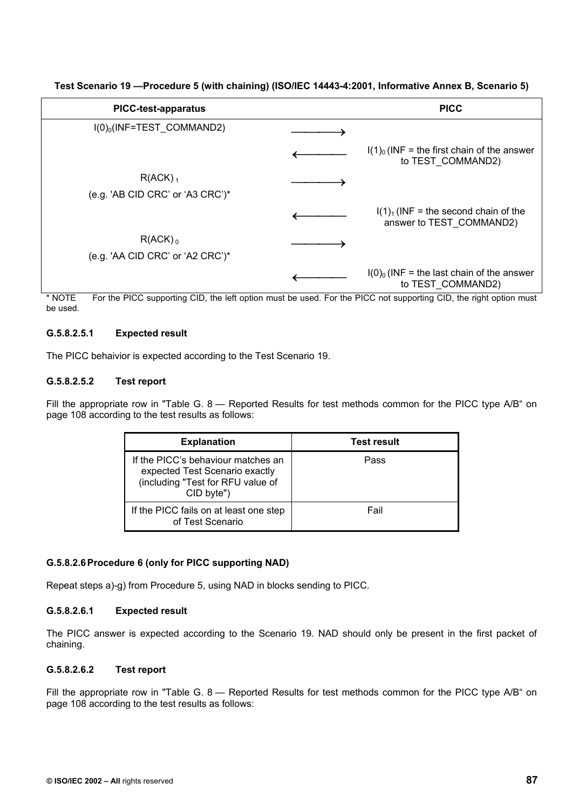| <b>PICC-test-apparatus</b>          | <b>PICC</b>                                                        |
|-------------------------------------|--------------------------------------------------------------------|
| $I(0)_0$ (INF=TEST COMMAND2)        |                                                                    |
|                                     | $I(1)0$ (INF = the first chain of the answer<br>to TEST COMMAND2)  |
| $R(ACK)_{1}$                        |                                                                    |
| (e.g. 'AB CID CRC' or 'A3 CRC') $*$ |                                                                    |
|                                     | $I(1)1$ (INF = the second chain of the<br>answer to TEST COMMAND2) |
| $R(ACK)$ <sub>0</sub>               |                                                                    |
| (e.g. 'AA CID CRC' or 'A2 CRC')*    |                                                                    |
|                                     | $I(0)_0$ (INF = the last chain of the answer<br>to TEST COMMAND2)  |

**Test Scenario 19 —Procedure 5 (with chaining) (ISO/IEC 14443-4:2001, Informative Annex B, Scenario 5)** 

\* NOTE For the PICC supporting CID, the left option must be used. For the PICC not supporting CID, the right option must be used.

# **G.5.8.2.5.1 Expected result**

The PICC behaivior is expected according to the Test Scenario 19.

# **G.5.8.2.5.2 Test report**

Fill the appropriate row in "Table G. 8 — Reported Results for test methods common for the PICC type A/B" on page 108 according to the test results as follows:

| <b>Explanation</b>                                                                                                      | <b>Test result</b> |
|-------------------------------------------------------------------------------------------------------------------------|--------------------|
| If the PICC's behaviour matches an<br>expected Test Scenario exactly<br>(including "Test for RFU value of<br>CID byte") | Pass               |
| If the PICC fails on at least one step<br>of Test Scenario                                                              | Fail               |

# **G.5.8.2.6 Procedure 6 (only for PICC supporting NAD)**

Repeat steps a)-g) from Procedure 5, using NAD in blocks sending to PICC.

# **G.5.8.2.6.1 Expected result**

The PICC answer is expected according to the Scenario 19. NAD should only be present in the first packet of chaining.

# **G.5.8.2.6.2 Test report**

Fill the appropriate row in "Table G. 8 — Reported Results for test methods common for the PICC type A/B" on page 108 according to the test results as follows: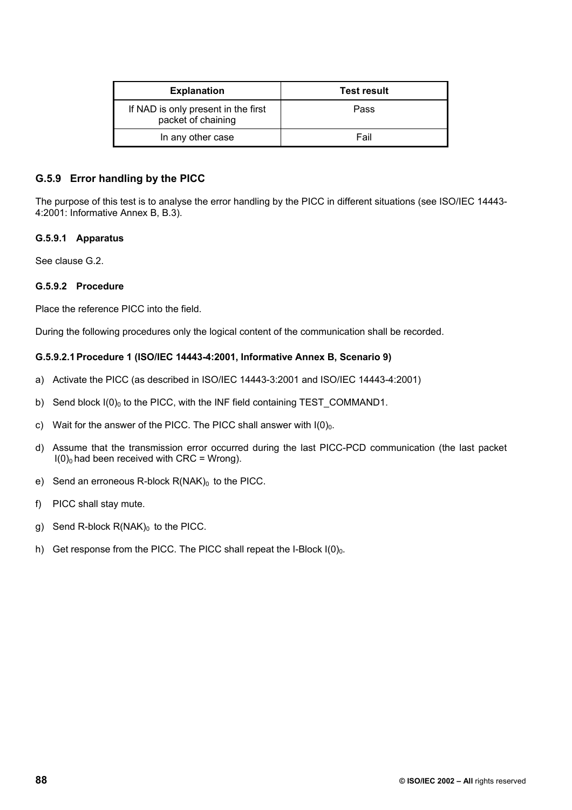| <b>Explanation</b>                                        | <b>Test result</b> |
|-----------------------------------------------------------|--------------------|
| If NAD is only present in the first<br>packet of chaining | Pass               |
| In any other case                                         | Fail               |

## **G.5.9 Error handling by the PICC**

The purpose of this test is to analyse the error handling by the PICC in different situations (see ISO/IEC 14443- 4:2001: Informative Annex B, B.3).

#### **G.5.9.1 Apparatus**

See clause G.2.

#### **G.5.9.2 Procedure**

Place the reference PICC into the field.

During the following procedures only the logical content of the communication shall be recorded.

## **G.5.9.2.1 Procedure 1 (ISO/IEC 14443-4:2001, Informative Annex B, Scenario 9)**

- a) Activate the PICC (as described in ISO/IEC 14443-3:2001 and ISO/IEC 14443-4:2001)
- b) Send block  $I(0)_0$  to the PICC, with the INF field containing TEST\_COMMAND1.
- c) Wait for the answer of the PICC. The PICC shall answer with  $I(0)_0$ .
- d) Assume that the transmission error occurred during the last PICC-PCD communication (the last packet  $I(0)_0$  had been received with CRC = Wrong).
- e) Send an erroneous R-block  $R(NAK)_0$  to the PICC.
- f) PICC shall stay mute.
- g) Send R-block  $R(NAK)_0$  to the PICC.
- h) Get response from the PICC. The PICC shall repeat the I-Block  $I(0)_0$ .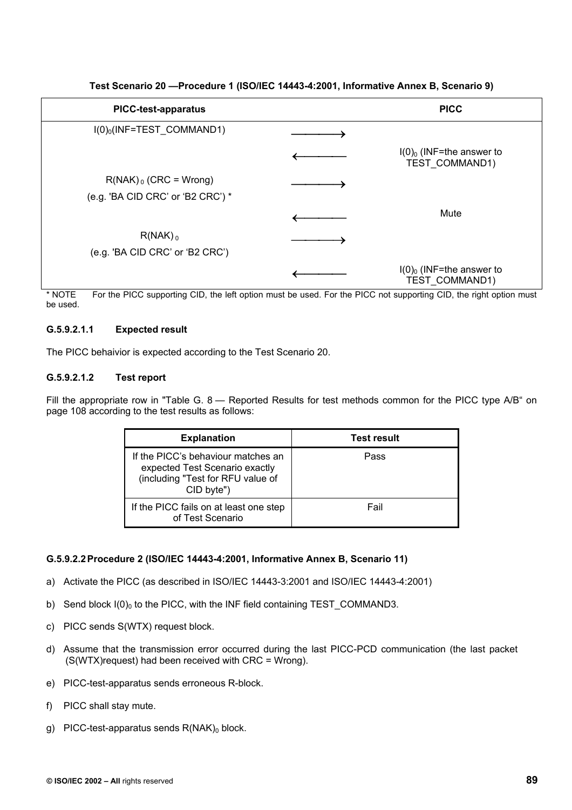| <b>PICC-test-apparatus</b>              | <b>PICC</b>                                              |
|-----------------------------------------|----------------------------------------------------------|
| $I(0)$ <sub>0</sub> (INF=TEST_COMMAND1) |                                                          |
|                                         | $I(0)$ <sub>0</sub> (INF=the answer to<br>TEST COMMAND1) |
| $R(NAK)_{0}$ (CRC = Wrong)              |                                                          |
| (e.g. 'BA CID CRC' or 'B2 CRC') *       |                                                          |
|                                         | Mute                                                     |
| $R(NAK)$ <sub>0</sub>                   |                                                          |
| (e.g. 'BA CID CRC' or 'B2 CRC')         |                                                          |
|                                         | $I(0)_0$ (INF=the answer to<br>TEST COMMAND1)            |

**Test Scenario 20 —Procedure 1 (ISO/IEC 14443-4:2001, Informative Annex B, Scenario 9)** 

\* NOTE For the PICC supporting CID, the left option must be used. For the PICC not supporting CID, the right option must be used.

## **G.5.9.2.1.1 Expected result**

The PICC behaivior is expected according to the Test Scenario 20.

## **G.5.9.2.1.2 Test report**

Fill the appropriate row in "Table G. 8 — Reported Results for test methods common for the PICC type A/B" on page 108 according to the test results as follows:

| <b>Explanation</b>                                                                                                      | <b>Test result</b> |
|-------------------------------------------------------------------------------------------------------------------------|--------------------|
| If the PICC's behaviour matches an<br>expected Test Scenario exactly<br>(including "Test for RFU value of<br>CID byte") | Pass               |
| If the PICC fails on at least one step<br>of Test Scenario                                                              | Fail               |

## **G.5.9.2.2 Procedure 2 (ISO/IEC 14443-4:2001, Informative Annex B, Scenario 11)**

- a) Activate the PICC (as described in ISO/IEC 14443-3:2001 and ISO/IEC 14443-4:2001)
- b) Send block  $I(0)_0$  to the PICC, with the INF field containing TEST\_COMMAND3.
- c) PICC sends S(WTX) request block.
- d) Assume that the transmission error occurred during the last PICC-PCD communication (the last packet  $(S(WTX)$ request) had been received with CRC = Wrong).
- e) PICC-test-apparatus sends erroneous R-block.
- f) PICC shall stay mute.
- g) PICC-test-apparatus sends  $R(NAK)_0$  block.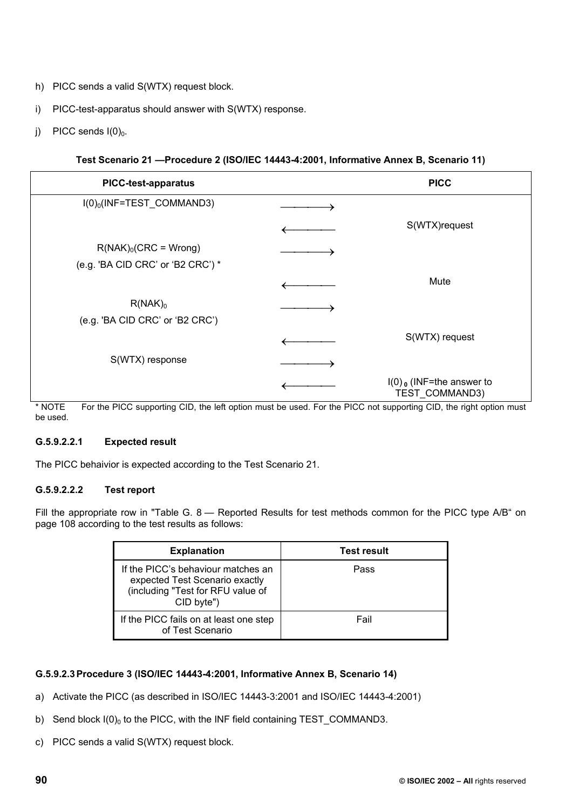- h) PICC sends a valid S(WTX) request block.
- i) PICC-test-apparatus should answer with S(WTX) response.
- i) PICC sends  $I(0)_0$ .

## **Test Scenario 21 —Procedure 2 (ISO/IEC 14443-4:2001, Informative Annex B, Scenario 11)**

| <b>PICC-test-apparatus</b>              | <b>PICC</b>                                              |
|-----------------------------------------|----------------------------------------------------------|
| $I(0)$ <sub>0</sub> (INF=TEST_COMMAND3) |                                                          |
|                                         | S(WTX)request                                            |
| $R(NAK)_{0}(CRC = Wrong)$               |                                                          |
| (e.g. 'BA CID CRC' or 'B2 CRC') *       |                                                          |
|                                         | Mute                                                     |
| $R(NAK)_0$                              |                                                          |
| (e.g. 'BA CID CRC' or 'B2 CRC')         |                                                          |
|                                         | S(WTX) request                                           |
| S(WTX) response                         |                                                          |
|                                         | $I(0)$ <sub>0</sub> (INF=the answer to<br>TEST_COMMAND3) |

\* NOTE For the PICC supporting CID, the left option must be used. For the PICC not supporting CID, the right option must be used.

## **G.5.9.2.2.1 Expected result**

The PICC behaivior is expected according to the Test Scenario 21.

## **G.5.9.2.2.2 Test report**

Fill the appropriate row in "Table G. 8 — Reported Results for test methods common for the PICC type A/B" on page 108 according to the test results as follows:

| <b>Explanation</b>                                                                                                      | <b>Test result</b> |
|-------------------------------------------------------------------------------------------------------------------------|--------------------|
| If the PICC's behaviour matches an<br>expected Test Scenario exactly<br>(including "Test for RFU value of<br>CID byte") | Pass               |
| If the PICC fails on at least one step<br>of Test Scenario                                                              | Fail               |

## **G.5.9.2.3 Procedure 3 (ISO/IEC 14443-4:2001, Informative Annex B, Scenario 14)**

- a) Activate the PICC (as described in ISO/IEC 14443-3:2001 and ISO/IEC 14443-4:2001)
- b) Send block  $I(0)_0$  to the PICC, with the INF field containing TEST\_COMMAND3.
- c) PICC sends a valid S(WTX) request block.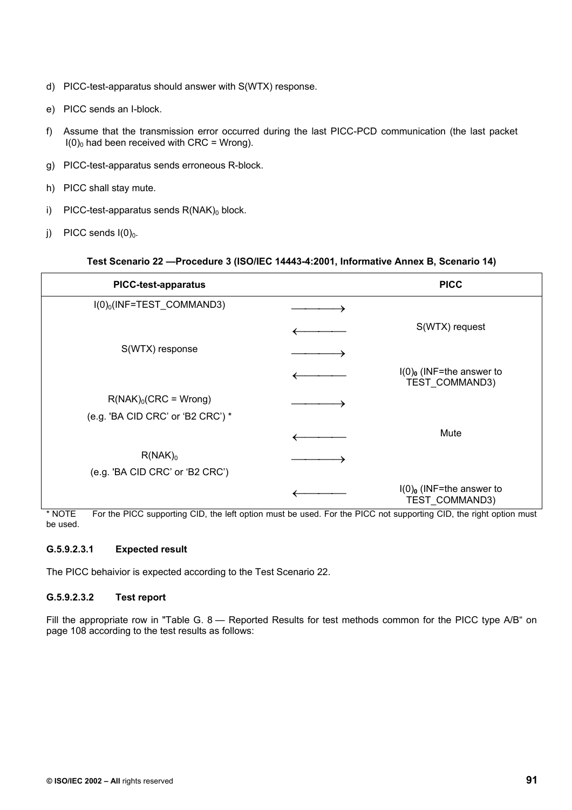- d) PICC-test-apparatus should answer with S(WTX) response.
- e) PICC sends an I-block.
- f) Assume that the transmission error occurred during the last PICC-PCD communication (the last packet  $I(0)_0$  had been received with CRC = Wrong).
- g) PICC-test-apparatus sends erroneous R-block.
- h) PICC shall stay mute.
- i) PICC-test-apparatus sends  $R(NAK)_0$  block.
- i) PICC sends  $I(0)_0$ .

#### **Test Scenario 22 —Procedure 3 (ISO/IEC 14443-4:2001, Informative Annex B, Scenario 14)**

| <b>PICC-test-apparatus</b>                                     | <b>PICC</b>                                              |
|----------------------------------------------------------------|----------------------------------------------------------|
| $I(0)_0$ (INF=TEST_COMMAND3)                                   |                                                          |
|                                                                | S(WTX) request                                           |
| S(WTX) response                                                |                                                          |
|                                                                | $I(0)$ <sub>0</sub> (INF=the answer to<br>TEST_COMMAND3) |
| $R(NAK)_{0}(CRC = Wrong)$<br>(e.g. 'BA CID CRC' or 'B2 CRC') * |                                                          |
|                                                                | Mute                                                     |
| $R(NAK)_0$<br>(e.g. 'BA CID CRC' or 'B2 CRC')                  |                                                          |
|                                                                | $I(0)$ <sub>0</sub> (INF=the answer to<br>TEST_COMMAND3) |

\* NOTE For the PICC supporting CID, the left option must be used. For the PICC not supporting CID, the right option must be used.

## **G.5.9.2.3.1 Expected result**

The PICC behaivior is expected according to the Test Scenario 22.

## **G.5.9.2.3.2 Test report**

Fill the appropriate row in "Table G. 8 — Reported Results for test methods common for the PICC type A/B" on page 108 according to the test results as follows: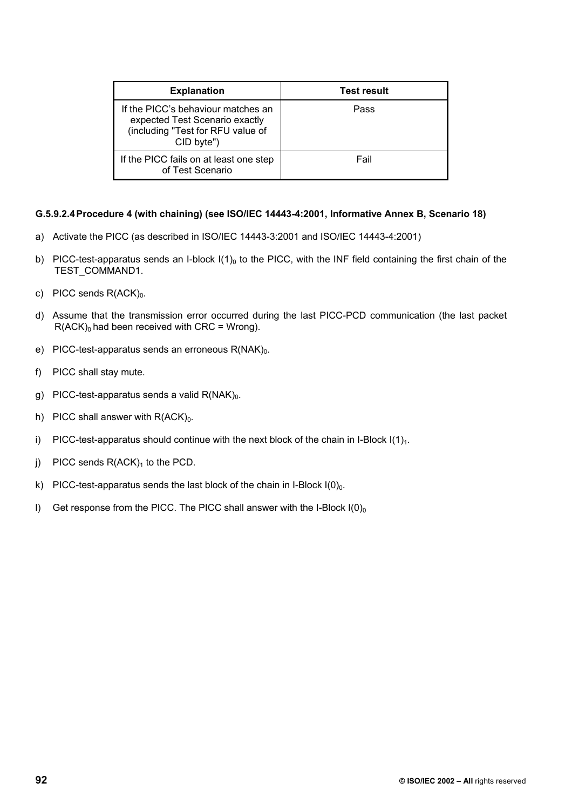| <b>Explanation</b>                                                                                                      | <b>Test result</b> |
|-------------------------------------------------------------------------------------------------------------------------|--------------------|
| If the PICC's behaviour matches an<br>expected Test Scenario exactly<br>(including "Test for RFU value of<br>CID byte") | Pass               |
| If the PICC fails on at least one step<br>of Test Scenario                                                              | Fail               |

## **G.5.9.2.4 Procedure 4 (with chaining) (see ISO/IEC 14443-4:2001, Informative Annex B, Scenario 18)**

- a) Activate the PICC (as described in ISO/IEC 14443-3:2001 and ISO/IEC 14443-4:2001)
- b) PICC-test-apparatus sends an I-block  $I(1)<sub>0</sub>$  to the PICC, with the INF field containing the first chain of the TEST\_COMMAND1.
- c) PICC sends  $R(ACK)_0$ .
- d) Assume that the transmission error occurred during the last PICC-PCD communication (the last packet  $R(ACK)<sub>0</sub>$  had been received with CRC = Wrong).
- e) PICC-test-apparatus sends an erroneous  $R(NAK)_0$ .
- f) PICC shall stay mute.
- g) PICC-test-apparatus sends a valid  $R(NAK)<sub>0</sub>$ .
- h) PICC shall answer with  $R(ACK)<sub>0</sub>$ .
- i) PICC-test-apparatus should continue with the next block of the chain in I-Block  $I(1)<sub>1</sub>$ .
- j) PICC sends  $R(ACK)_1$  to the PCD.
- k) PICC-test-apparatus sends the last block of the chain in I-Block  $I(0)<sub>0</sub>$ .
- I) Get response from the PICC. The PICC shall answer with the I-Block  $I(0)_0$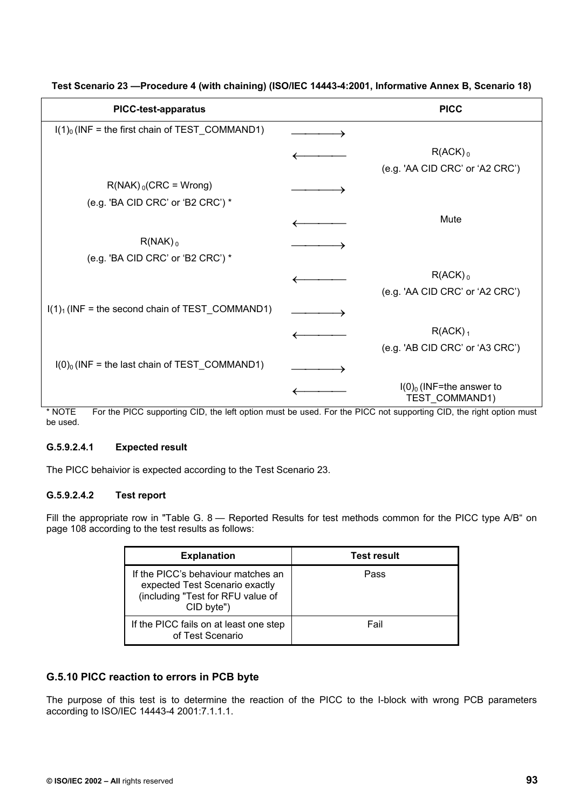| <b>PICC-test-apparatus</b>                                                                                                     | <b>PICC</b>                                              |
|--------------------------------------------------------------------------------------------------------------------------------|----------------------------------------------------------|
| $I(1)0$ (INF = the first chain of TEST_COMMAND1)                                                                               |                                                          |
|                                                                                                                                | $R(ACK)$ <sub>0</sub><br>(e.g. 'AA CID CRC' or 'A2 CRC') |
| $R(NAK)_{0}(CRC = Wrong)$<br>(e.g. 'BA CID CRC' or 'B2 CRC') *                                                                 |                                                          |
|                                                                                                                                | Mute                                                     |
| $R(NAK)$ <sub>0</sub><br>(e.g. 'BA CID CRC' or 'B2 CRC') *                                                                     |                                                          |
|                                                                                                                                | $R(ACK)$ <sub>0</sub><br>(e.g. 'AA CID CRC' or 'A2 CRC') |
| $I(1)1$ (INF = the second chain of TEST_COMMAND1)                                                                              |                                                          |
|                                                                                                                                | $R(ACK)$ <sub>1</sub><br>(e.g. 'AB CID CRC' or 'A3 CRC') |
| $I(0)_0$ (INF = the last chain of TEST_COMMAND1)                                                                               |                                                          |
| For the DICC currenting CID, the left entian must be used. For the DICC not currenting CID, the right entian must<br>$*$ NIOTE | $I(0)_0$ (INF=the answer to<br>TEST_COMMAND1)            |

**Test Scenario 23 —Procedure 4 (with chaining) (ISO/IEC 14443-4:2001, Informative Annex B, Scenario 18)** 

NOTE For the PICC supporting CID, the left option must be used. For the PICC not supporting CID, the right option must be used.

# **G.5.9.2.4.1 Expected result**

The PICC behaivior is expected according to the Test Scenario 23.

# **G.5.9.2.4.2 Test report**

Fill the appropriate row in "Table G. 8 — Reported Results for test methods common for the PICC type A/B" on page 108 according to the test results as follows:

| <b>Explanation</b>                                                                                                      | <b>Test result</b> |
|-------------------------------------------------------------------------------------------------------------------------|--------------------|
| If the PICC's behaviour matches an<br>expected Test Scenario exactly<br>(including "Test for RFU value of<br>CID byte") | Pass               |
| If the PICC fails on at least one step<br>of Test Scenario                                                              | Fail               |

# **G.5.10 PICC reaction to errors in PCB byte**

The purpose of this test is to determine the reaction of the PICC to the I-block with wrong PCB parameters according to ISO/IEC 14443-4 2001:7.1.1.1.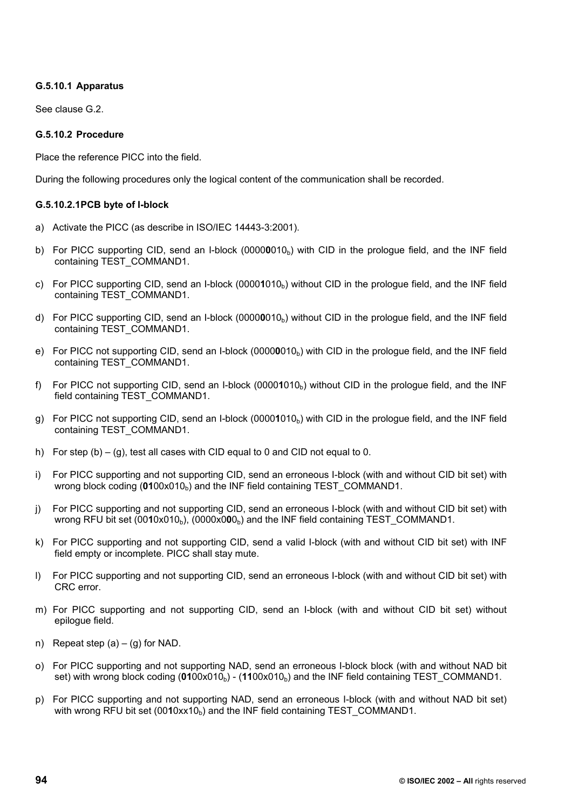## **G.5.10.1 Apparatus**

See clause G.2.

## **G.5.10.2 Procedure**

Place the reference PICC into the field.

During the following procedures only the logical content of the communication shall be recorded.

### **G.5.10.2.1 PCB byte of I-block**

- a) Activate the PICC (as describe in ISO/IEC 14443-3:2001).
- b) For PICC supporting CID, send an I-block (00000010<sub>b</sub>) with CID in the prologue field, and the INF field containing TEST\_COMMAND1.
- c) For PICC supporting CID, send an I-block (0000**1**010b) without CID in the prologue field, and the INF field containing TEST\_COMMAND1.
- d) For PICC supporting CID, send an I-block (00000010<sub>b</sub>) without CID in the prologue field, and the INF field containing TEST\_COMMAND1.
- e) For PICC not supporting CID, send an I-block (00000010<sub>b</sub>) with CID in the prologue field, and the INF field containing TEST\_COMMAND1.
- f) For PICC not supporting CID, send an I-block (0000**1**010b) without CID in the prologue field, and the INF field containing TEST\_COMMAND1.
- g) For PICC not supporting CID, send an I-block (00001010<sub>b</sub>) with CID in the prologue field, and the INF field containing TEST\_COMMAND1.
- h) For step  $(b) (g)$ , test all cases with CID equal to 0 and CID not equal to 0.
- i) For PICC supporting and not supporting CID, send an erroneous I-block (with and without CID bit set) with wrong block coding (**01**00x010<sub>b</sub>) and the INF field containing TEST COMMAND1.
- j) For PICC supporting and not supporting CID, send an erroneous I-block (with and without CID bit set) with wrong RFU bit set  $(0010x010<sub>b</sub>)$ ,  $(0000x000<sub>b</sub>)$  and the INF field containing TEST COMMAND1.
- k) For PICC supporting and not supporting CID, send a valid I-block (with and without CID bit set) with INF field empty or incomplete. PICC shall stay mute.
- l) For PICC supporting and not supporting CID, send an erroneous I-block (with and without CID bit set) with CRC error.
- m) For PICC supporting and not supporting CID, send an I-block (with and without CID bit set) without epilogue field.
- n) Repeat step  $(a) (g)$  for NAD.
- o) For PICC supporting and not supporting NAD, send an erroneous I-block block (with and without NAD bit set) with wrong block coding  $(0100x010_b)$  -  $(1100x010_b)$  and the INF field containing TEST COMMAND1.
- p) For PICC supporting and not supporting NAD, send an erroneous I-block (with and without NAD bit set) with wrong RFU bit set  $(0010xx10<sub>b</sub>)$  and the INF field containing TEST COMMAND1.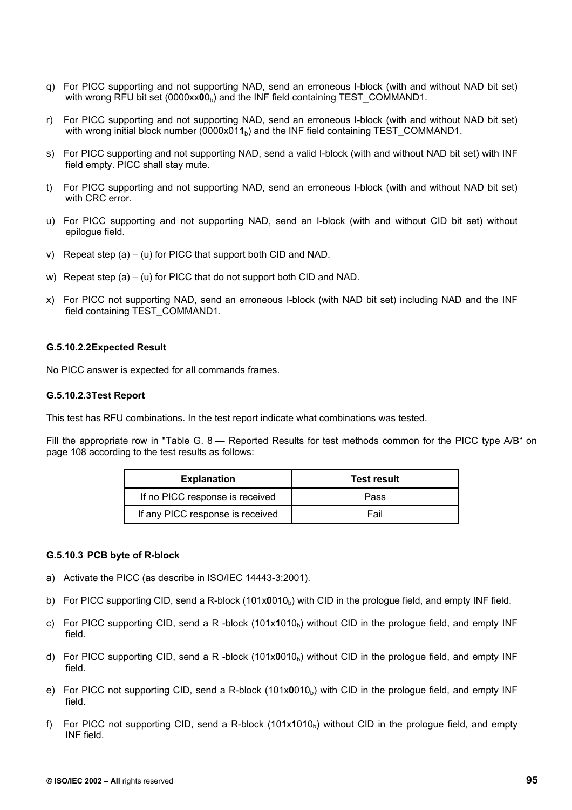- q) For PICC supporting and not supporting NAD, send an erroneous I-block (with and without NAD bit set) with wrong RFU bit set (0000xx**0**0<sub>b</sub>) and the INF field containing TEST COMMAND1.
- r) For PICC supporting and not supporting NAD, send an erroneous I-block (with and without NAD bit set) with wrong initial block number (0000x011<sub>b</sub>) and the INF field containing TEST\_COMMAND1.
- s) For PICC supporting and not supporting NAD, send a valid I-block (with and without NAD bit set) with INF field empty. PICC shall stay mute.
- t) For PICC supporting and not supporting NAD, send an erroneous I-block (with and without NAD bit set) with CRC error.
- u) For PICC supporting and not supporting NAD, send an I-block (with and without CID bit set) without epilogue field.
- v) Repeat step (a) (u) for PICC that support both CID and NAD.
- w) Repeat step (a) (u) for PICC that do not support both CID and NAD.
- x) For PICC not supporting NAD, send an erroneous I-block (with NAD bit set) including NAD and the INF field containing TEST\_COMMAND1.

#### **G.5.10.2.2 Expected Result**

No PICC answer is expected for all commands frames.

#### **G.5.10.2.3 Test Report**

This test has RFU combinations. In the test report indicate what combinations was tested.

Fill the appropriate row in "Table G. 8 — Reported Results for test methods common for the PICC type A/B" on page 108 according to the test results as follows:

| <b>Explanation</b>               | <b>Test result</b> |
|----------------------------------|--------------------|
| If no PICC response is received  | Pass               |
| If any PICC response is received | Fail               |

#### **G.5.10.3 PCB byte of R-block**

- a) Activate the PICC (as describe in ISO/IEC 14443-3:2001).
- b) For PICC supporting CID, send a R-block (101x0010<sub>b</sub>) with CID in the prologue field, and empty INF field.
- c) For PICC supporting CID, send a R -block (101x1010<sub>b</sub>) without CID in the prologue field, and empty INF field.
- d) For PICC supporting CID, send a R -block (101x0010<sub>b</sub>) without CID in the prologue field, and empty INF field.
- e) For PICC not supporting CID, send a R-block (101x0010<sub>b</sub>) with CID in the prologue field, and empty INF field.
- f) For PICC not supporting CID, send a R-block  $(101x1010<sub>b</sub>)$  without CID in the prologue field, and empty INF field.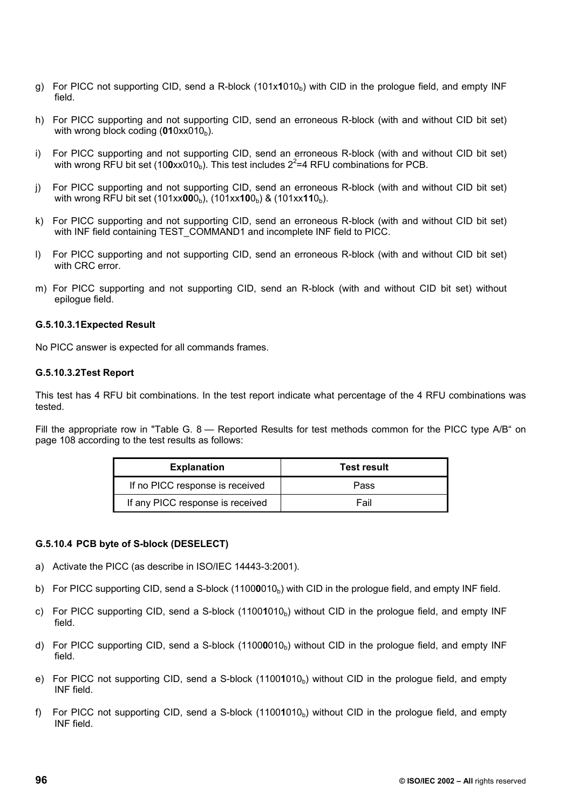- g) For PICC not supporting CID, send a R-block (101x1010<sub>b</sub>) with CID in the prologue field, and empty INF field.
- h) For PICC supporting and not supporting CID, send an erroneous R-block (with and without CID bit set) with wrong block coding  $(010x \times 010_b)$ .
- i) For PICC supporting and not supporting CID, send an erroneous R-block (with and without CID bit set) with wrong RFU bit set (100xx010<sub>b</sub>). This test includes  $2^2$ =4 RFU combinations for PCB.
- j) For PICC supporting and not supporting CID, send an erroneous R-block (with and without CID bit set) with wrong RFU bit set (101xx**00**0<sub>b</sub>), (101xx**10**0<sub>b</sub>) & (101xx**11**0<sub>b</sub>).
- k) For PICC supporting and not supporting CID, send an erroneous R-block (with and without CID bit set) with INF field containing TEST\_COMMAND1 and incomplete INF field to PICC.
- l) For PICC supporting and not supporting CID, send an erroneous R-block (with and without CID bit set) with CRC error.
- m) For PICC supporting and not supporting CID, send an R-block (with and without CID bit set) without epilogue field.

#### **G.5.10.3.1 Expected Result**

No PICC answer is expected for all commands frames.

#### **G.5.10.3.2 Test Report**

This test has 4 RFU bit combinations. In the test report indicate what percentage of the 4 RFU combinations was tested.

Fill the appropriate row in "Table G. 8 — Reported Results for test methods common for the PICC type A/B" on page 108 according to the test results as follows:

| <b>Explanation</b>               | Test result |  |
|----------------------------------|-------------|--|
| If no PICC response is received  | Pass        |  |
| If any PICC response is received | Fail        |  |

## **G.5.10.4 PCB byte of S-block (DESELECT)**

- a) Activate the PICC (as describe in ISO/IEC 14443-3:2001).
- b) For PICC supporting CID, send a S-block (11000010<sub>b</sub>) with CID in the prologue field, and empty INF field.
- c) For PICC supporting CID, send a S-block (11001010<sub>b</sub>) without CID in the prologue field, and empty INF field.
- d) For PICC supporting CID, send a S-block (11000010<sub>b</sub>) without CID in the prologue field, and empty INF field.
- e) For PICC not supporting CID, send a S-block (11001010<sub>b</sub>) without CID in the prologue field, and empty INF field.
- f) For PICC not supporting CID, send a S-block (11001010<sub>b</sub>) without CID in the prologue field, and empty INF field.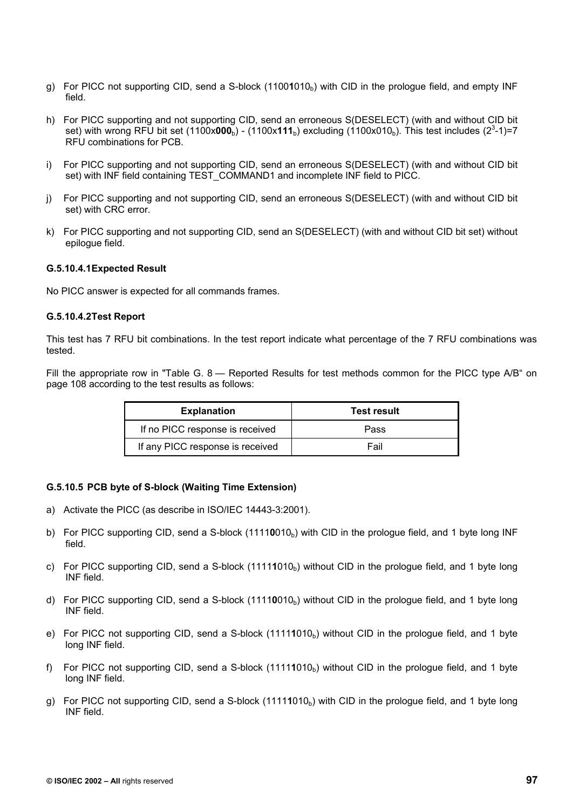- g) For PICC not supporting CID, send a S-block (11001010<sub>b</sub>) with CID in the prologue field, and empty INF field.
- h) For PICC supporting and not supporting CID, send an erroneous S(DESELECT) (with and without CID bit set) with wrong RFU bit set (1100x**000**<sub>b</sub>) - (1100x**111**<sub>b</sub>) excluding (1100x010<sub>b</sub>). This test includes (2<sup>3</sup>-1)=7 RFU combinations for PCB.
- i) For PICC supporting and not supporting CID, send an erroneous S(DESELECT) (with and without CID bit set) with INF field containing TEST\_COMMAND1 and incomplete INF field to PICC.
- j) For PICC supporting and not supporting CID, send an erroneous S(DESELECT) (with and without CID bit set) with CRC error.
- k) For PICC supporting and not supporting CID, send an S(DESELECT) (with and without CID bit set) without epilogue field.

#### **G.5.10.4.1 Expected Result**

No PICC answer is expected for all commands frames.

#### **G.5.10.4.2 Test Report**

This test has 7 RFU bit combinations. In the test report indicate what percentage of the 7 RFU combinations was tested.

Fill the appropriate row in "Table G. 8 - Reported Results for test methods common for the PICC type A/B" on page 108 according to the test results as follows:

| <b>Explanation</b>               | <b>Test result</b> |  |
|----------------------------------|--------------------|--|
| If no PICC response is received  | Pass               |  |
| If any PICC response is received | Fail               |  |

#### **G.5.10.5 PCB byte of S-block (Waiting Time Extension)**

- a) Activate the PICC (as describe in ISO/IEC 14443-3:2001).
- b) For PICC supporting CID, send a S-block (11110010<sub>b</sub>) with CID in the prologue field, and 1 byte long INF field.
- c) For PICC supporting CID, send a S-block  $(11111010<sub>b</sub>)$  without CID in the prologue field, and 1 byte long INF field.
- d) For PICC supporting CID, send a S-block (11110010<sub>b</sub>) without CID in the prologue field, and 1 byte long INF field.
- e) For PICC not supporting CID, send a S-block (11111010<sub>b</sub>) without CID in the prologue field, and 1 byte long INF field.
- f) For PICC not supporting CID, send a S-block (11111010<sub>b</sub>) without CID in the prologue field, and 1 byte long INF field.
- g) For PICC not supporting CID, send a S-block (11111010<sub>b</sub>) with CID in the prologue field, and 1 byte long INF field.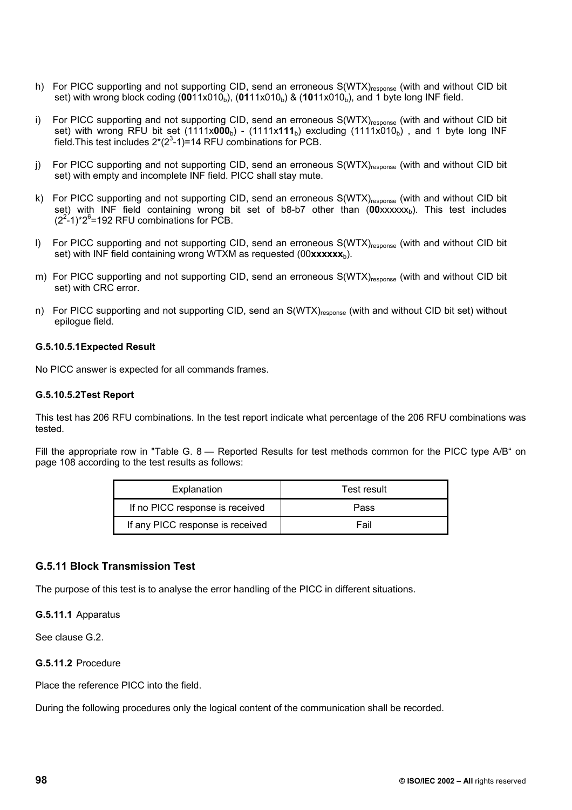- h) For PICC supporting and not supporting CID, send an erroneous S(WTX)<sub>response</sub> (with and without CID bit set) with wrong block coding (0011x010<sub>b</sub>), (0111x010<sub>b</sub>) & (1011x010<sub>b</sub>), and 1 byte long INF field.
- i) For PICC supporting and not supporting CID, send an erroneous S(WTX)<sub>response</sub> (with and without CID bit set) with wrong RFU bit set  $(1111 \times 000_b)$  -  $(1111 \times 111_b)$  excluding  $(1111 \times 010_b)$ , and 1 byte long INF field. This test includes  $2*(2^3-1)=14$  RFU combinations for PCB.
- j) For PICC supporting and not supporting CID, send an erroneous S(WTX)<sub>response</sub> (with and without CID bit set) with empty and incomplete INF field. PICC shall stay mute.
- k) For PICC supporting and not supporting CID, send an erroneous S(WTX)response (with and without CID bit set) with INF field containing wrong bit set of b8-b7 other than (00xxxxxx<sub>b</sub>). This test includes  $(2^2-1)^*2^6$ =192 RFU combinations for PCB.
- I) For PICC supporting and not supporting CID, send an erroneous S(WTX)<sub>response</sub> (with and without CID bit set) with INF field containing wrong WTXM as requested (00xxxxxx<sub>b</sub>).
- m) For PICC supporting and not supporting CID, send an erroneous S(WTX)<sub>response</sub> (with and without CID bit set) with CRC error.
- n) For PICC supporting and not supporting CID, send an S(WTX)response (with and without CID bit set) without epilogue field.

#### **G.5.10.5.1 Expected Result**

No PICC answer is expected for all commands frames.

#### **G.5.10.5.2 Test Report**

This test has 206 RFU combinations. In the test report indicate what percentage of the 206 RFU combinations was tested.

Fill the appropriate row in "Table G. 8 — Reported Results for test methods common for the PICC type A/B" on page 108 according to the test results as follows:

| Explanation                      | Test result |  |
|----------------------------------|-------------|--|
| If no PICC response is received  | Pass        |  |
| If any PICC response is received | Fail        |  |

## **G.5.11 Block Transmission Test**

The purpose of this test is to analyse the error handling of the PICC in different situations.

**G.5.11.1** Apparatus

See clause G.2.

#### **G.5.11.2** Procedure

Place the reference PICC into the field.

During the following procedures only the logical content of the communication shall be recorded.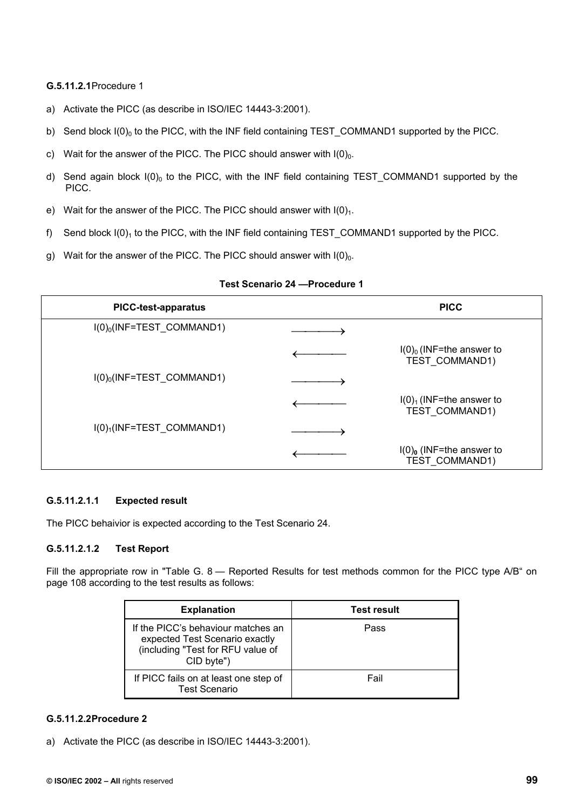## **G.5.11.2.1** Procedure 1

- a) Activate the PICC (as describe in ISO/IEC 14443-3:2001).
- b) Send block  $I(0)_0$  to the PICC, with the INF field containing TEST\_COMMAND1 supported by the PICC.
- c) Wait for the answer of the PICC. The PICC should answer with  $I(0)<sub>0</sub>$ .
- d) Send again block  $I(0)_0$  to the PICC, with the INF field containing TEST COMMAND1 supported by the PICC.
- e) Wait for the answer of the PICC. The PICC should answer with  $I(0)<sub>1</sub>$ .
- f) Send block  $I(0)_1$  to the PICC, with the INF field containing TEST\_COMMAND1 supported by the PICC.
- g) Wait for the answer of the PICC. The PICC should answer with  $I(0)_0$ .

| <b>PICC-test-apparatus</b>              | <b>PICC</b>                                                     |
|-----------------------------------------|-----------------------------------------------------------------|
| $I(0)_0$ (INF=TEST_COMMAND1)            |                                                                 |
|                                         | $I(0)_0$ (INF=the answer to<br><b>TEST COMMAND1)</b>            |
| $I(0)_0$ (INF=TEST_COMMAND1)            |                                                                 |
|                                         | $I(0)1$ (INF=the answer to<br>TEST COMMAND1)                    |
| $I(0)$ <sub>1</sub> (INF=TEST_COMMAND1) |                                                                 |
|                                         | $I(0)$ <sub>0</sub> (INF=the answer to<br><b>TEST COMMAND1)</b> |

#### **Test Scenario 24 —Procedure 1**

## **G.5.11.2.1.1 Expected result**

The PICC behaivior is expected according to the Test Scenario 24.

## **G.5.11.2.1.2 Test Report**

Fill the appropriate row in "Table G. 8 — Reported Results for test methods common for the PICC type A/B" on page 108 according to the test results as follows:

| <b>Explanation</b>                                                                                                      | <b>Test result</b> |
|-------------------------------------------------------------------------------------------------------------------------|--------------------|
| If the PICC's behaviour matches an<br>expected Test Scenario exactly<br>(including "Test for RFU value of<br>CID byte") | Pass               |
| If PICC fails on at least one step of<br><b>Test Scenario</b>                                                           | Fail               |

#### **G.5.11.2.2 Procedure 2**

a) Activate the PICC (as describe in ISO/IEC 14443-3:2001).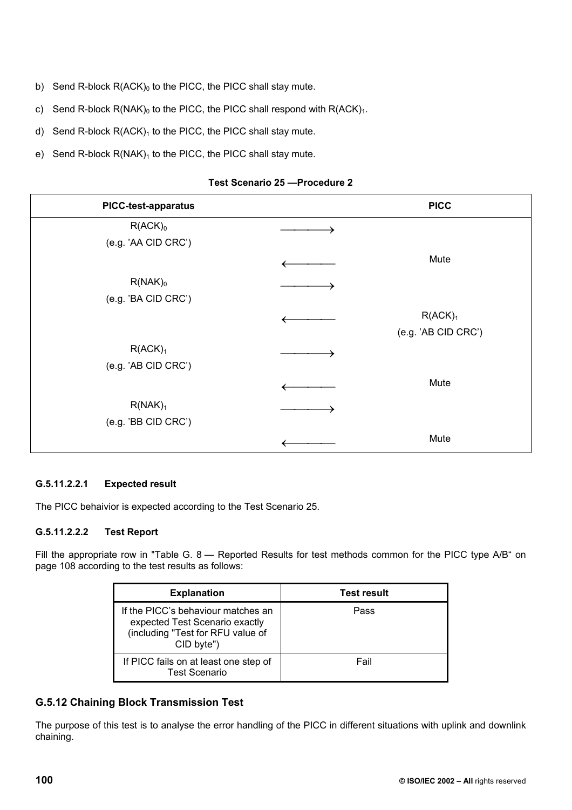- b) Send R-block  $R(ACK)_0$  to the PICC, the PICC shall stay mute.
- c) Send R-block  $R(NAK)_0$  to the PICC, the PICC shall respond with  $R(ACK)_1$ .
- d) Send R-block  $R(ACK)_1$  to the PICC, the PICC shall stay mute.
- e) Send R-block  $R(NAK)_1$  to the PICC, the PICC shall stay mute.

## **Test Scenario 25 —Procedure 2**

| <b>PICC-test-apparatus</b> | <b>PICC</b>         |
|----------------------------|---------------------|
| $R(ACK)_0$                 |                     |
| (e.g. 'AA CID CRC')        |                     |
|                            | Mute                |
| $R(NAK)_0$                 |                     |
| (e.g. 'BA CID CRC')        |                     |
|                            | R(ACK) <sub>1</sub> |
|                            | (e.g. 'AB CID CRC') |
| R(ACK) <sub>1</sub>        |                     |
| (e.g. 'AB CID CRC')        |                     |
|                            | Mute                |
| R(NAK) <sub>1</sub>        |                     |
| (e.g. 'BB CID CRC')        |                     |
|                            | Mute                |

## **G.5.11.2.2.1 Expected result**

The PICC behaivior is expected according to the Test Scenario 25.

## **G.5.11.2.2.2 Test Report**

Fill the appropriate row in "Table G. 8 - Reported Results for test methods common for the PICC type A/B" on page 108 according to the test results as follows:

| <b>Explanation</b>                                                                                                      | <b>Test result</b> |  |
|-------------------------------------------------------------------------------------------------------------------------|--------------------|--|
| If the PICC's behaviour matches an<br>expected Test Scenario exactly<br>(including "Test for RFU value of<br>CID byte") | Pass               |  |
| If PICC fails on at least one step of<br>Test Scenario                                                                  | Fail               |  |

# **G.5.12 Chaining Block Transmission Test**

The purpose of this test is to analyse the error handling of the PICC in different situations with uplink and downlink chaining.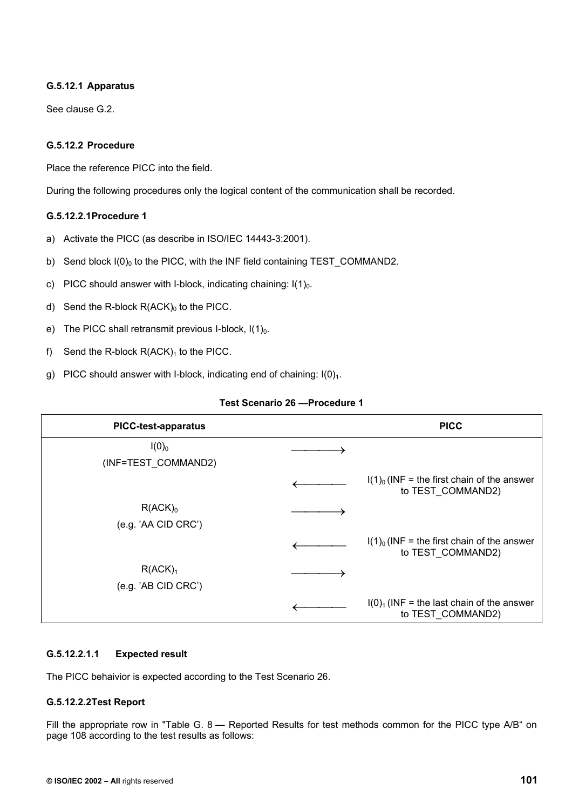## **G.5.12.1 Apparatus**

See clause G.2.

## **G.5.12.2 Procedure**

Place the reference PICC into the field.

During the following procedures only the logical content of the communication shall be recorded.

## **G.5.12.2.1 Procedure 1**

- a) Activate the PICC (as describe in ISO/IEC 14443-3:2001).
- b) Send block  $I(0)_0$  to the PICC, with the INF field containing TEST\_COMMAND2.
- c) PICC should answer with I-block, indicating chaining:  $I(1)<sub>0</sub>$ .
- d) Send the R-block  $R(ACK)_0$  to the PICC.
- e) The PICC shall retransmit previous I-block,  $I(1)_0$ .
- f) Send the R-block  $R(ACK)_1$  to the PICC.
- g) PICC should answer with I-block, indicating end of chaining:  $I(0)<sub>1</sub>$ .

| <b>PICC-test-apparatus</b>                 | <b>PICC</b>                                                       |
|--------------------------------------------|-------------------------------------------------------------------|
| $I(0)_0$<br>(INF=TEST COMMAND2)            |                                                                   |
|                                            | $I(1)0$ (INF = the first chain of the answer<br>to TEST COMMAND2) |
| $R(ACK)_0$<br>(e.g. 'AA CID CRC')          |                                                                   |
|                                            | $I(1)0$ (INF = the first chain of the answer<br>to TEST COMMAND2) |
| R(ACK) <sub>1</sub><br>(e.g. 'AB CID CRC') |                                                                   |
|                                            | $I(0)1$ (INF = the last chain of the answer<br>to TEST COMMAND2)  |

## **Test Scenario 26 —Procedure 1**

## **G.5.12.2.1.1 Expected result**

The PICC behaivior is expected according to the Test Scenario 26.

## **G.5.12.2.2 Test Report**

Fill the appropriate row in "Table G. 8 — Reported Results for test methods common for the PICC type A/B" on page 108 according to the test results as follows: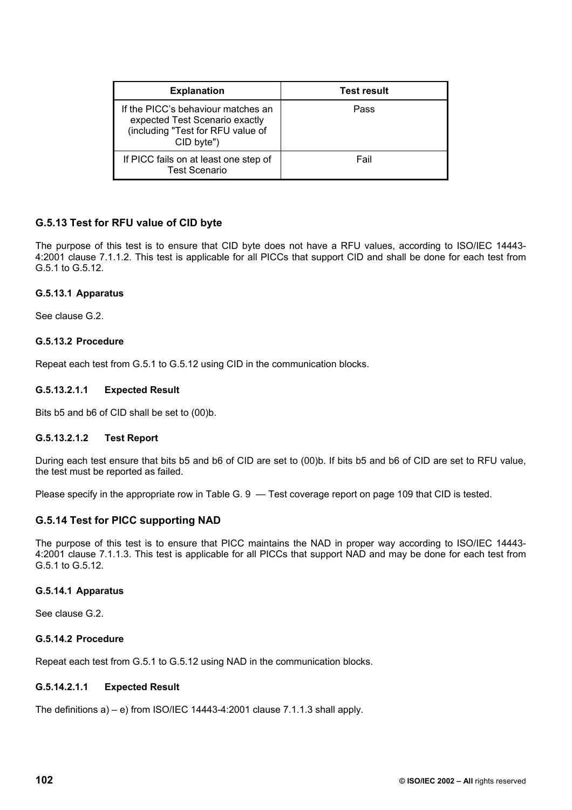| <b>Explanation</b>                                                                                                      | <b>Test result</b> |
|-------------------------------------------------------------------------------------------------------------------------|--------------------|
| If the PICC's behaviour matches an<br>expected Test Scenario exactly<br>(including "Test for RFU value of<br>CID byte") | Pass               |
| If PICC fails on at least one step of<br><b>Test Scenario</b>                                                           | Fail               |

## **G.5.13 Test for RFU value of CID byte**

The purpose of this test is to ensure that CID byte does not have a RFU values, according to ISO/IEC 14443- 4:2001 clause 7.1.1.2. This test is applicable for all PICCs that support CID and shall be done for each test from G.5.1 to G.5.12.

## **G.5.13.1 Apparatus**

See clause G.2.

## **G.5.13.2 Procedure**

Repeat each test from G.5.1 to G.5.12 using CID in the communication blocks.

## **G.5.13.2.1.1 Expected Result**

Bits b5 and b6 of CID shall be set to (00)b.

## **G.5.13.2.1.2 Test Report**

During each test ensure that bits b5 and b6 of CID are set to (00)b. If bits b5 and b6 of CID are set to RFU value, the test must be reported as failed.

Please specify in the appropriate row in Table G. 9 — Test coverage report on page 109 that CID is tested.

## **G.5.14 Test for PICC supporting NAD**

The purpose of this test is to ensure that PICC maintains the NAD in proper way according to ISO/IEC 14443- 4:2001 clause 7.1.1.3. This test is applicable for all PICCs that support NAD and may be done for each test from G.5.1 to G.5.12.

## **G.5.14.1 Apparatus**

See clause G.2.

## **G.5.14.2 Procedure**

Repeat each test from G.5.1 to G.5.12 using NAD in the communication blocks.

## **G.5.14.2.1.1 Expected Result**

The definitions  $a$ ) – e) from ISO/IEC 14443-4:2001 clause 7.1.1.3 shall apply.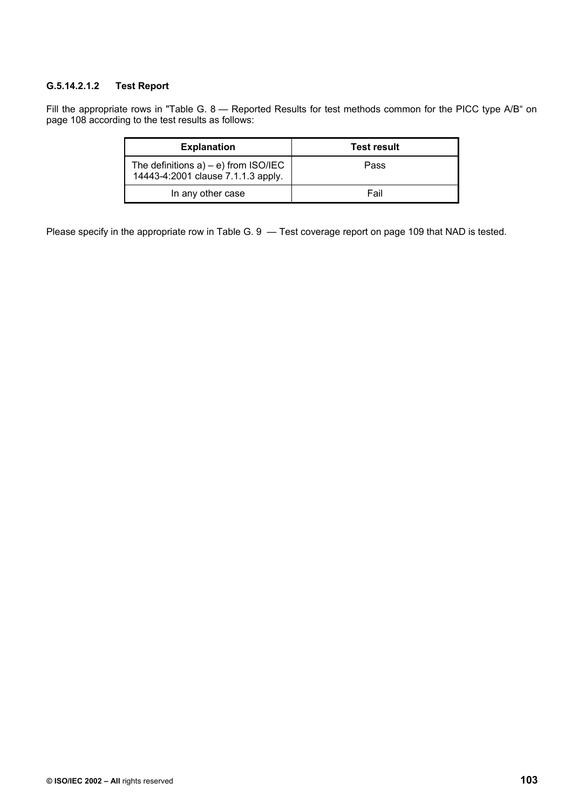# **G.5.14.2.1.2 Test Report**

Fill the appropriate rows in "Table G. 8 - Reported Results for test methods common for the PICC type A/B" on page 108 according to the test results as follows:

| <b>Explanation</b>                                                              | <b>Test result</b> |
|---------------------------------------------------------------------------------|--------------------|
| The definitions $a$ ) – e) from $ISO/IEC$<br>14443-4:2001 clause 7.1.1.3 apply. | Pass               |
| In any other case                                                               | Fail               |

Please specify in the appropriate row in Table G. 9 — Test coverage report on page 109 that NAD is tested.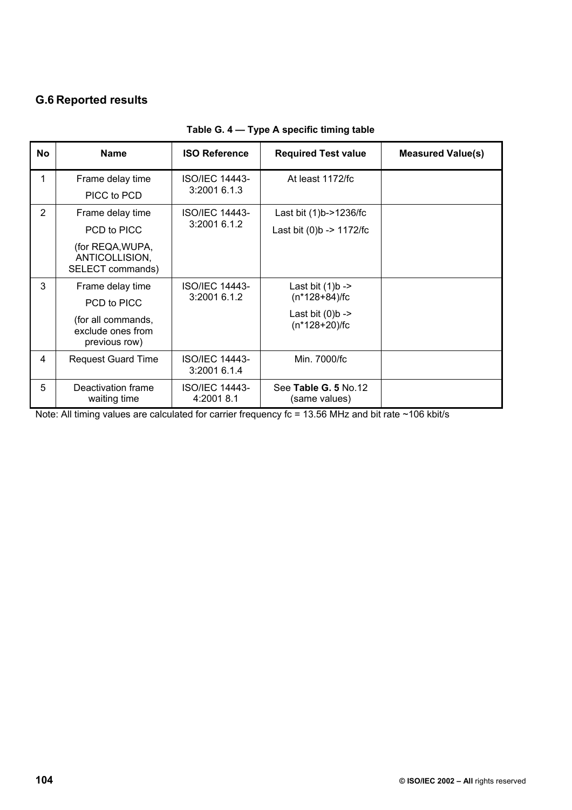# **G.6 Reported results**

| No             | <b>Name</b>                                              | <b>ISO Reference</b>                  | <b>Required Test value</b>                   | <b>Measured Value(s)</b> |
|----------------|----------------------------------------------------------|---------------------------------------|----------------------------------------------|--------------------------|
| 1              | Frame delay time                                         | <b>ISO/IEC 14443-</b>                 | At least 1172/fc                             |                          |
|                | PICC to PCD                                              | 3:2001 6.1.3                          |                                              |                          |
| $\overline{2}$ | Frame delay time                                         | <b>ISO/IEC 14443-</b>                 | Last bit (1)b->1236/fc                       |                          |
|                | PCD to PICC                                              | 3:2001 6.1.2                          | Last bit $(0)$ b -> 1172/fc                  |                          |
|                | (for REQA, WUPA,<br>ANTICOLLISION,<br>SELECT commands)   |                                       |                                              |                          |
| 3              | Frame delay time                                         | <b>ISO/IEC 14443-</b>                 | Last bit $(1)b \rightarrow$                  |                          |
|                | PCD to PICC                                              | 3:2001 6.1.2<br>$(n*128+84)/fc$       |                                              |                          |
|                | (for all commands,<br>exclude ones from<br>previous row) |                                       | Last bit $(0)b \rightarrow$<br>(n*128+20)/fc |                          |
| 4              | <b>Request Guard Time</b>                                | <b>ISO/IEC 14443-</b><br>3:2001 6.1.4 | Min. 7000/fc                                 |                          |
| 5              | Deactivation frame<br>waiting time                       | <b>ISO/IEC 14443-</b><br>4:2001 8.1   | See Table G. 5 No.12<br>(same values)        |                          |

# **Table G. 4 — Type A specific timing table**

Note: All timing values are calculated for carrier frequency fc = 13.56 MHz and bit rate ~106 kbit/s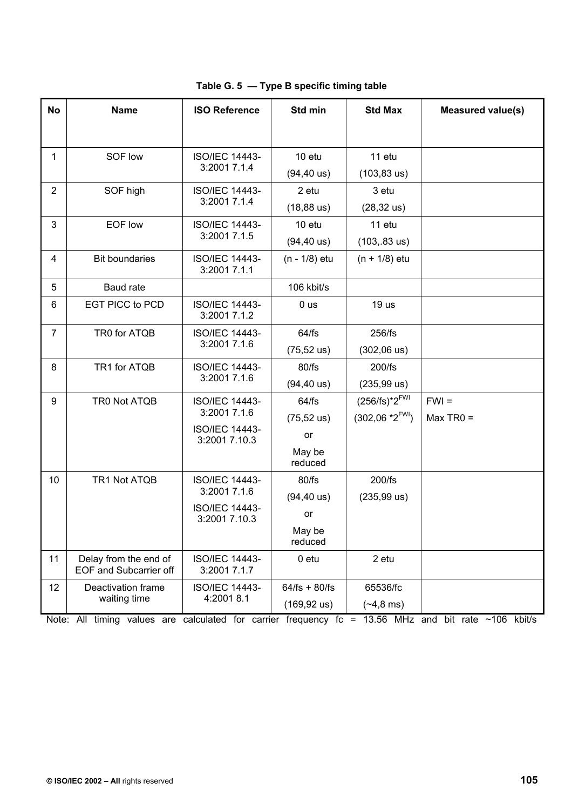| <b>No</b>      | <b>Name</b>                                            | <b>ISO Reference</b>                   | Std min                | <b>Std Max</b>              | <b>Measured value(s)</b> |
|----------------|--------------------------------------------------------|----------------------------------------|------------------------|-----------------------------|--------------------------|
|                |                                                        |                                        |                        |                             |                          |
|                |                                                        |                                        |                        |                             |                          |
| 1              | SOF low                                                | <b>ISO/IEC 14443-</b>                  | 10 etu                 | 11 etu                      |                          |
|                |                                                        | 3:2001 7.1.4                           | $(94, 40 \text{ us})$  | $(103, 83 \text{ us})$      |                          |
| $\overline{2}$ | SOF high                                               | <b>ISO/IEC 14443-</b>                  | 2 etu                  | 3 etu                       |                          |
|                |                                                        | 3:2001 7.1.4                           | $(18, 88 \text{ us})$  | $(28, 32 \text{ us})$       |                          |
| 3              | EOF low                                                | <b>ISO/IEC 14443-</b>                  | 10 etu                 | 11 etu                      |                          |
|                |                                                        | 3:2001 7.1.5                           | $(94, 40 \text{ us})$  | $(103, .83 \text{ us})$     |                          |
| 4              | <b>Bit boundaries</b>                                  | <b>ISO/IEC 14443-</b><br>3:2001 7.1.1  | (n - 1/8) etu          | $(n + 1/8)$ etu             |                          |
| 5              | Baud rate                                              |                                        | 106 kbit/s             |                             |                          |
| 6              | <b>EGT PICC to PCD</b>                                 | <b>ISO/IEC 14443-</b><br>3:2001 7.1.2  | 0 <sub>us</sub>        | 19 <sub>us</sub>            |                          |
| $\overline{7}$ | TR0 for ATQB                                           | <b>ISO/IEC 14443-</b>                  | 64/fs                  | 256/fs                      |                          |
|                |                                                        | 3:2001 7.1.6                           | $(75, 52 \text{ us})$  | $(302,06 \text{ us})$       |                          |
| 8              | TR1 for ATQB                                           | <b>ISO/IEC 14443-</b>                  | 80/fs                  | 200/fs                      |                          |
|                |                                                        | 3:2001 7.1.6                           | $(94, 40 \text{ us})$  | $(235, 99 \text{ us})$      |                          |
| 9              | TR0 Not ATQB                                           | <b>ISO/IEC 14443-</b>                  | 64/fs                  | $(256/fs)*2^{FWI}$          | $FWI =$                  |
|                |                                                        | 3:2001 7.1.6                           | $(75, 52 \text{ us})$  | $(302,06 * 2^{\text{FWI}})$ | $Max TR0 =$              |
|                |                                                        | <b>ISO/IEC 14443-</b><br>3:2001 7.10.3 | or                     |                             |                          |
|                |                                                        |                                        | May be<br>reduced      |                             |                          |
| 10             | TR1 Not ATQB                                           | <b>ISO/IEC 14443-</b>                  | 80/fs                  | 200/fs                      |                          |
|                |                                                        | 3:2001 7.1.6                           | $(94, 40 \text{ us})$  | $(235, 99 \text{ us})$      |                          |
|                | <b>ISO/IEC 14443-</b>                                  | 3:2001 7.10.3                          | or                     |                             |                          |
|                |                                                        |                                        | May be<br>reduced      |                             |                          |
| 11             | Delay from the end of<br><b>EOF and Subcarrier off</b> | <b>ISO/IEC 14443-</b><br>3:2001 7.1.7  | $0$ etu                | 2 etu                       |                          |
| 12             | Deactivation frame                                     | <b>ISO/IEC 14443-</b>                  | $64/fs + 80/fs$        | 65536/fc                    |                          |
|                | waiting time                                           | 4:2001 8.1                             | $(169, 92 \text{ us})$ | $(*4, 8 ms)$                |                          |

**Table G. 5 — Type B specific timing table** 

Note: All timing values are calculated for carrier frequency fc = 13.56 MHz and bit rate ~106 kbit/s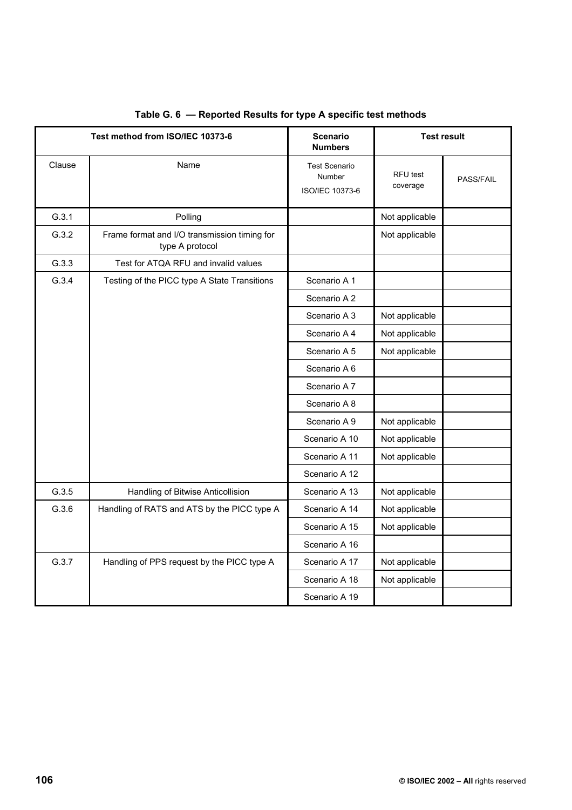| Test method from ISO/IEC 10373-6 |                                                                 | <b>Scenario</b><br><b>Numbers</b>                 | <b>Test result</b>   |           |
|----------------------------------|-----------------------------------------------------------------|---------------------------------------------------|----------------------|-----------|
| Clause                           | Name                                                            | <b>Test Scenario</b><br>Number<br>ISO/IEC 10373-6 | RFU test<br>coverage | PASS/FAIL |
| G.3.1                            | Polling                                                         |                                                   | Not applicable       |           |
| G.3.2                            | Frame format and I/O transmission timing for<br>type A protocol |                                                   | Not applicable       |           |
| G.3.3                            | Test for ATQA RFU and invalid values                            |                                                   |                      |           |
| G.3.4                            | Testing of the PICC type A State Transitions                    | Scenario A 1                                      |                      |           |
|                                  |                                                                 | Scenario A 2                                      |                      |           |
|                                  |                                                                 | Scenario A 3                                      | Not applicable       |           |
|                                  |                                                                 | Scenario A 4                                      | Not applicable       |           |
|                                  |                                                                 | Scenario A 5                                      | Not applicable       |           |
|                                  |                                                                 | Scenario A 6                                      |                      |           |
|                                  |                                                                 | Scenario A 7                                      |                      |           |
|                                  |                                                                 | Scenario A 8                                      |                      |           |
|                                  |                                                                 | Scenario A 9                                      | Not applicable       |           |
|                                  |                                                                 | Scenario A 10                                     | Not applicable       |           |
|                                  |                                                                 | Scenario A 11                                     | Not applicable       |           |
|                                  |                                                                 | Scenario A 12                                     |                      |           |
| G.3.5                            | Handling of Bitwise Anticollision                               | Scenario A 13                                     | Not applicable       |           |
| G.3.6                            | Handling of RATS and ATS by the PICC type A                     | Scenario A 14                                     | Not applicable       |           |
|                                  |                                                                 | Scenario A 15                                     | Not applicable       |           |
|                                  |                                                                 | Scenario A 16                                     |                      |           |
| G.3.7                            | Handling of PPS request by the PICC type A                      | Scenario A 17                                     | Not applicable       |           |
|                                  |                                                                 | Scenario A 18                                     | Not applicable       |           |
|                                  |                                                                 | Scenario A 19                                     |                      |           |

# **Table G. 6 — Reported Results for type A specific test methods**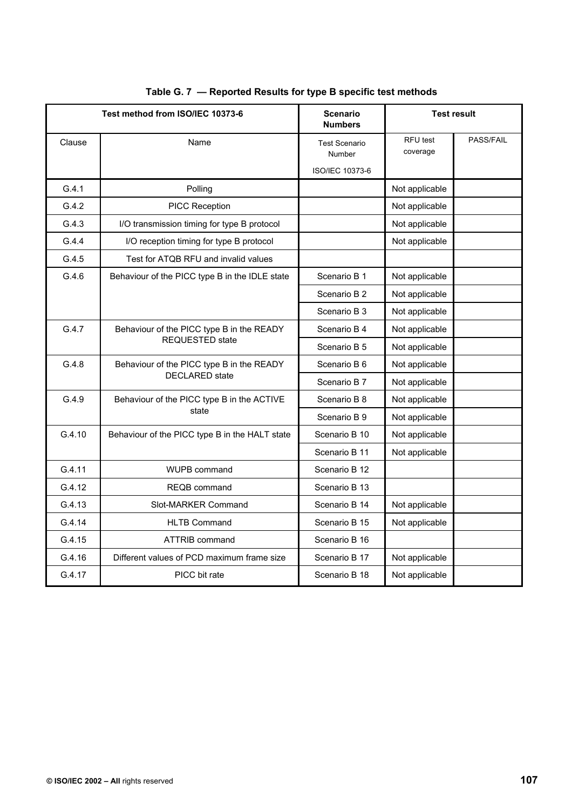| Test method from ISO/IEC 10373-6 |                                                                     | <b>Scenario</b><br><b>Numbers</b> | <b>Test result</b>   |           |
|----------------------------------|---------------------------------------------------------------------|-----------------------------------|----------------------|-----------|
| Clause                           | Name                                                                | <b>Test Scenario</b><br>Number    | RFU test<br>coverage | PASS/FAIL |
|                                  |                                                                     | <b>ISO/IEC 10373-6</b>            |                      |           |
| G.4.1                            | Polling                                                             |                                   | Not applicable       |           |
| G.4.2                            | PICC Reception                                                      |                                   | Not applicable       |           |
| G.4.3                            | I/O transmission timing for type B protocol                         |                                   | Not applicable       |           |
| G.4.4                            | I/O reception timing for type B protocol                            |                                   | Not applicable       |           |
| G.4.5                            | Test for ATQB RFU and invalid values                                |                                   |                      |           |
| G.4.6                            | Behaviour of the PICC type B in the IDLE state                      | Scenario B 1                      | Not applicable       |           |
|                                  |                                                                     | Scenario B 2                      | Not applicable       |           |
|                                  |                                                                     | Scenario B 3                      | Not applicable       |           |
| G.4.7                            | Behaviour of the PICC type B in the READY<br><b>REQUESTED state</b> | Scenario B 4                      | Not applicable       |           |
|                                  |                                                                     | Scenario B 5                      | Not applicable       |           |
| G.4.8                            | Behaviour of the PICC type B in the READY<br><b>DECLARED</b> state  | Scenario B 6                      | Not applicable       |           |
|                                  |                                                                     | Scenario B 7                      | Not applicable       |           |
| G.4.9                            | Behaviour of the PICC type B in the ACTIVE<br>state                 | Scenario B 8                      | Not applicable       |           |
|                                  |                                                                     | Scenario B 9                      | Not applicable       |           |
| G.4.10                           | Behaviour of the PICC type B in the HALT state                      | Scenario B 10                     | Not applicable       |           |
|                                  |                                                                     | Scenario B 11                     | Not applicable       |           |
| G.4.11                           | <b>WUPB command</b>                                                 | Scenario B 12                     |                      |           |
| G.4.12                           | <b>REQB</b> command                                                 | Scenario B 13                     |                      |           |
| G.4.13                           | Slot-MARKER Command                                                 | Scenario B 14                     | Not applicable       |           |
| G.4.14                           | <b>HLTB Command</b>                                                 | Scenario B 15                     | Not applicable       |           |
| G.4.15                           | <b>ATTRIB command</b>                                               | Scenario B 16                     |                      |           |
| G.4.16                           | Different values of PCD maximum frame size                          | Scenario B 17                     | Not applicable       |           |
| G.4.17                           | PICC bit rate                                                       | Scenario B 18                     | Not applicable       |           |

## **Table G. 7 — Reported Results for type B specific test methods**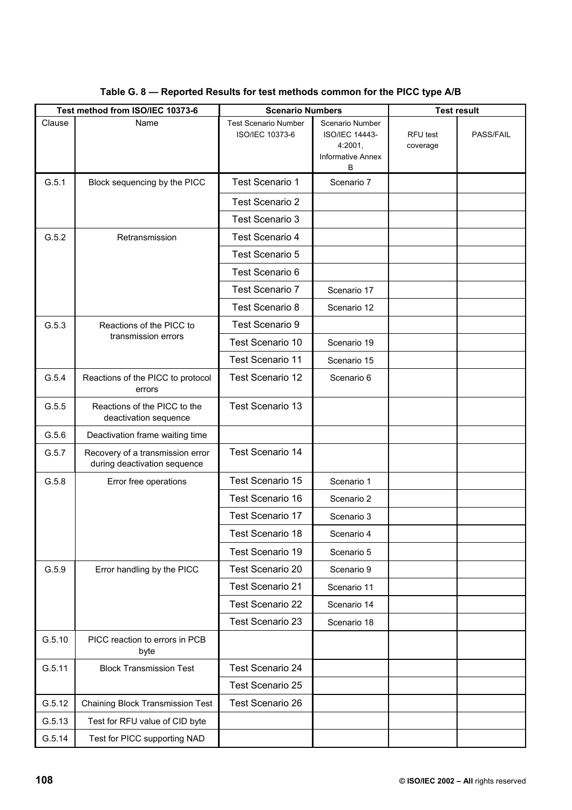|        | Test method from ISO/IEC 10373-6                                 | <b>Scenario Numbers</b>                        |                                                                                      | <b>Test result</b>   |           |
|--------|------------------------------------------------------------------|------------------------------------------------|--------------------------------------------------------------------------------------|----------------------|-----------|
| Clause | Name                                                             | <b>Test Scenario Number</b><br>ISO/IEC 10373-6 | Scenario Number<br><b>ISO/IEC 14443-</b><br>4:2001,<br><b>Informative Annex</b><br>B | RFU test<br>coverage | PASS/FAIL |
| G.5.1  | Block sequencing by the PICC                                     | Test Scenario 1                                | Scenario 7                                                                           |                      |           |
|        |                                                                  | <b>Test Scenario 2</b>                         |                                                                                      |                      |           |
|        |                                                                  | Test Scenario 3                                |                                                                                      |                      |           |
| G.5.2  | Retransmission                                                   | <b>Test Scenario 4</b>                         |                                                                                      |                      |           |
|        |                                                                  | Test Scenario 5                                |                                                                                      |                      |           |
|        |                                                                  | Test Scenario 6                                |                                                                                      |                      |           |
|        |                                                                  | Test Scenario 7                                | Scenario 17                                                                          |                      |           |
|        |                                                                  | <b>Test Scenario 8</b>                         | Scenario 12                                                                          |                      |           |
| G.5.3  | Reactions of the PICC to<br>transmission errors                  | Test Scenario 9                                |                                                                                      |                      |           |
|        |                                                                  | Test Scenario 10                               | Scenario 19                                                                          |                      |           |
|        |                                                                  | Test Scenario 11                               | Scenario 15                                                                          |                      |           |
| G.5.4  | Reactions of the PICC to protocol<br>errors                      | Test Scenario 12                               | Scenario 6                                                                           |                      |           |
| G.5.5  | Reactions of the PICC to the<br>deactivation sequence            | Test Scenario 13                               |                                                                                      |                      |           |
| G.5.6  | Deactivation frame waiting time                                  |                                                |                                                                                      |                      |           |
| G.5.7  | Recovery of a transmission error<br>during deactivation sequence | <b>Test Scenario 14</b>                        |                                                                                      |                      |           |
| G.5.8  | Error free operations                                            | Test Scenario 15                               | Scenario 1                                                                           |                      |           |
|        |                                                                  | Test Scenario 16                               | Scenario 2                                                                           |                      |           |
|        |                                                                  | Test Scenario 17                               | Scenario 3                                                                           |                      |           |
|        |                                                                  | Test Scenario 18                               | Scenario 4                                                                           |                      |           |
|        |                                                                  | Test Scenario 19                               | Scenario 5                                                                           |                      |           |
| G.5.9  | Error handling by the PICC                                       | <b>Test Scenario 20</b>                        | Scenario 9                                                                           |                      |           |
|        |                                                                  | Test Scenario 21                               | Scenario 11                                                                          |                      |           |
|        |                                                                  | Test Scenario 22                               | Scenario 14                                                                          |                      |           |
|        |                                                                  | Test Scenario 23                               | Scenario 18                                                                          |                      |           |
| G.5.10 | PICC reaction to errors in PCB<br>byte                           |                                                |                                                                                      |                      |           |
| G.5.11 | <b>Block Transmission Test</b>                                   | Test Scenario 24                               |                                                                                      |                      |           |
|        |                                                                  | <b>Test Scenario 25</b>                        |                                                                                      |                      |           |
| G.5.12 | <b>Chaining Block Transmission Test</b>                          | <b>Test Scenario 26</b>                        |                                                                                      |                      |           |
| G.5.13 | Test for RFU value of CID byte                                   |                                                |                                                                                      |                      |           |
| G.5.14 | Test for PICC supporting NAD                                     |                                                |                                                                                      |                      |           |

## **Table G. 8 — Reported Results for test methods common for the PICC type A/B**